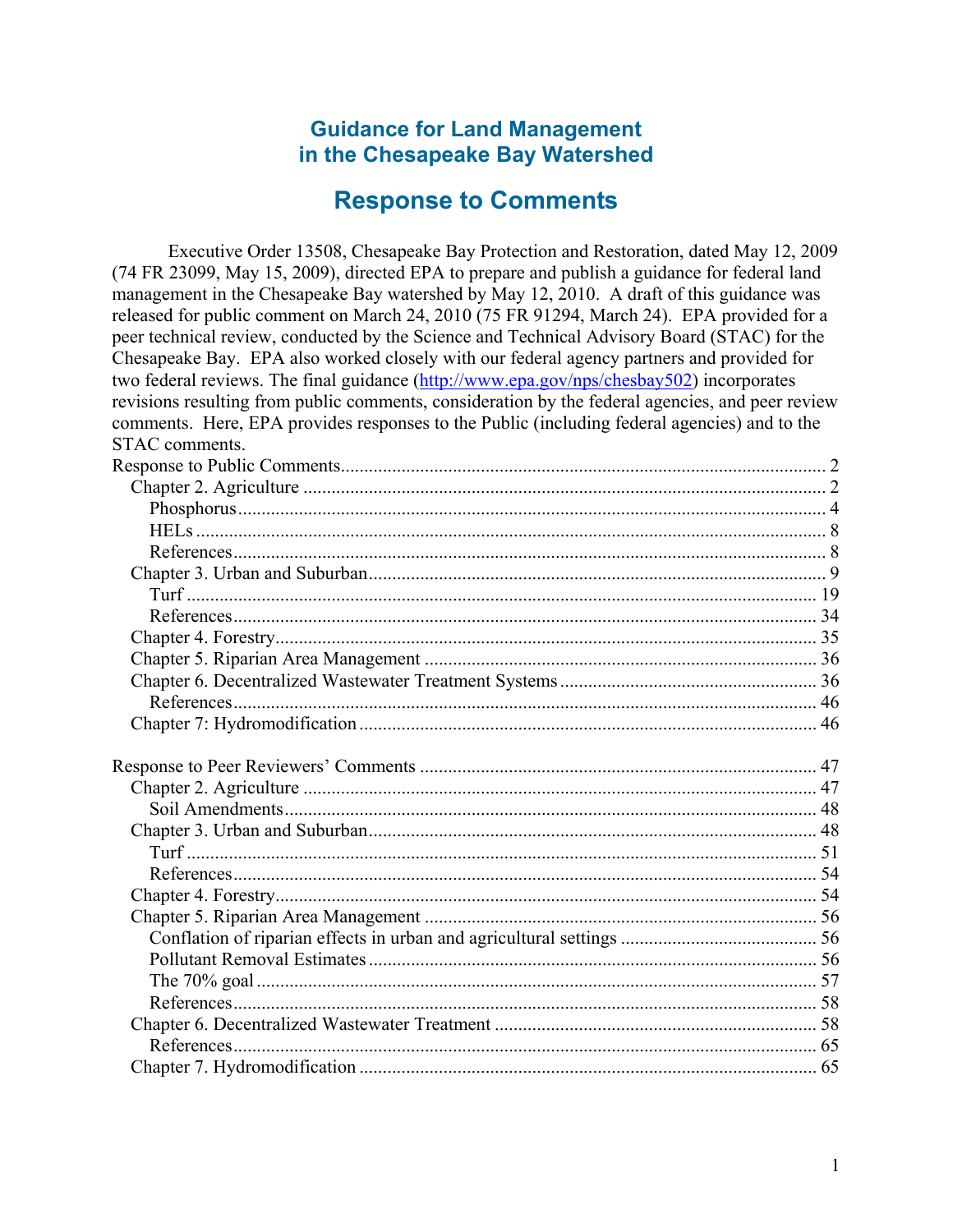### **Guidance for Land Management in the Chesapeake Bay Watershed**

# **Response to Comments**

Executive Order 13508, Chesapeake Bay Protection and Restoration, dated May 12, 2009 (74 FR 23099, May 15, 2009), directed EPA to prepare and publish a guidance for federal land management in the Chesapeake Bay watershed by May 12, 2010. A draft of this guidance was released for public comment on March 24, 2010 (75 FR 91294, March 24). EPA provided for a peer technical review, conducted by the Science and Technical Advisory Board (STAC) for the Chesapeake Bay. EPA also worked closely with our federal agency partners and provided for two federal reviews. The final guidance ([http://www.epa.gov/nps/chesbay502\)](http://www.epa.gov/nps/chesbay502) incorporates revisions resulting from public comments, consideration by the federal agencies, and peer review comments. Here, EPA provides responses to the Public (including federal agencies) and to the STAC comments.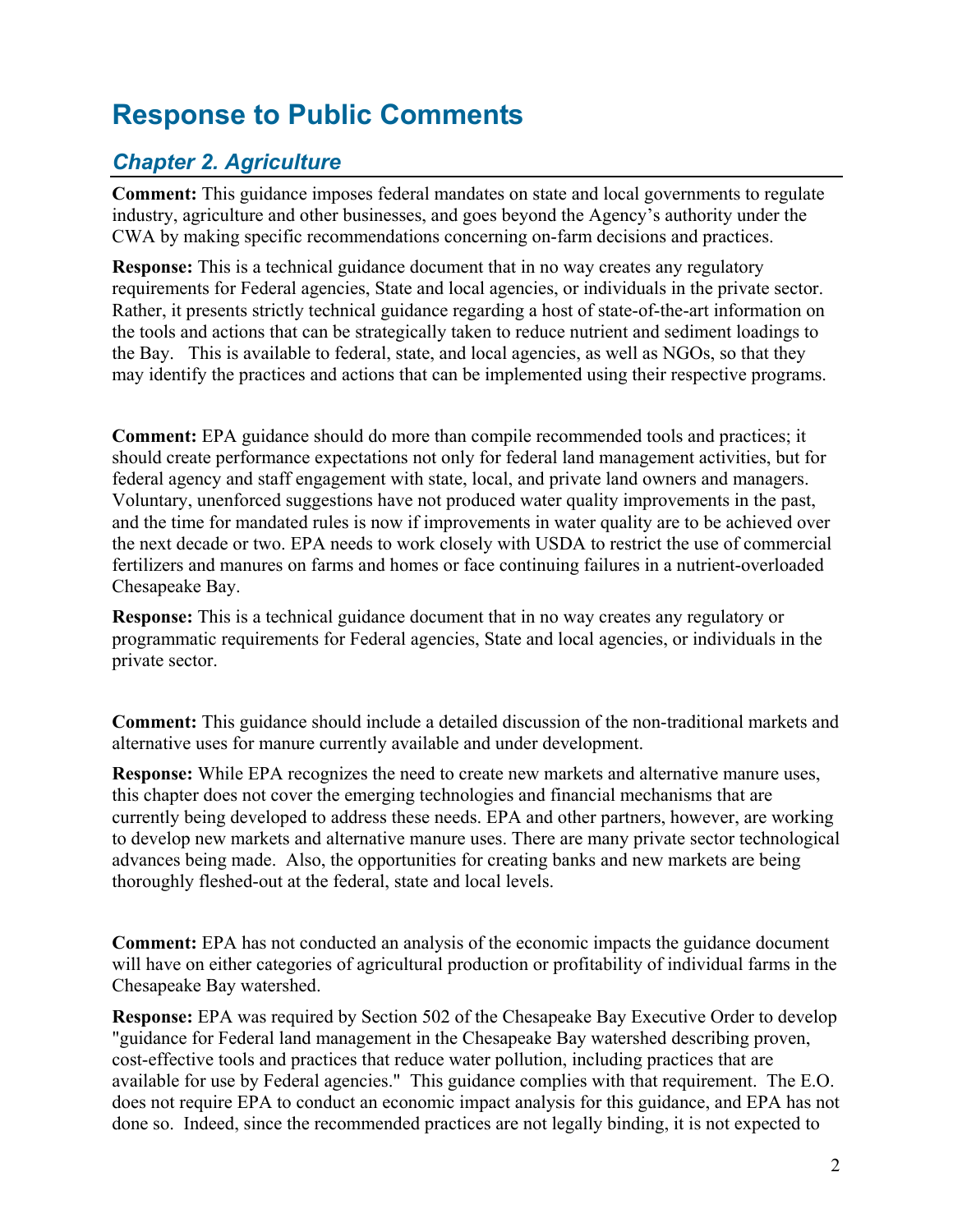# <span id="page-1-0"></span>**Response to Public Comments**

# <span id="page-1-1"></span>*Chapter 2. Agriculture*

**Comment:** This guidance imposes federal mandates on state and local governments to regulate industry, agriculture and other businesses, and goes beyond the Agency's authority under the CWA by making specific recommendations concerning on-farm decisions and practices.

**Response:** This is a technical guidance document that in no way creates any regulatory requirements for Federal agencies, State and local agencies, or individuals in the private sector. Rather, it presents strictly technical guidance regarding a host of state-of-the-art information on the tools and actions that can be strategically taken to reduce nutrient and sediment loadings to the Bay. This is available to federal, state, and local agencies, as well as NGOs, so that they may identify the practices and actions that can be implemented using their respective programs.

**Comment:** EPA guidance should do more than compile recommended tools and practices; it should create performance expectations not only for federal land management activities, but for federal agency and staff engagement with state, local, and private land owners and managers. Voluntary, unenforced suggestions have not produced water quality improvements in the past, and the time for mandated rules is now if improvements in water quality are to be achieved over the next decade or two. EPA needs to work closely with USDA to restrict the use of commercial fertilizers and manures on farms and homes or face continuing failures in a nutrient-overloaded Chesapeake Bay.

**Response:** This is a technical guidance document that in no way creates any regulatory or programmatic requirements for Federal agencies, State and local agencies, or individuals in the private sector.

**Comment:** This guidance should include a detailed discussion of the non-traditional markets and alternative uses for manure currently available and under development.

**Response:** While EPA recognizes the need to create new markets and alternative manure uses, this chapter does not cover the emerging technologies and financial mechanisms that are currently being developed to address these needs. EPA and other partners, however, are working to develop new markets and alternative manure uses. There are many private sector technological advances being made. Also, the opportunities for creating banks and new markets are being thoroughly fleshed-out at the federal, state and local levels.

**Comment:** EPA has not conducted an analysis of the economic impacts the guidance document will have on either categories of agricultural production or profitability of individual farms in the Chesapeake Bay watershed.

**Response:** EPA was required by Section 502 of the Chesapeake Bay Executive Order to develop "guidance for Federal land management in the Chesapeake Bay watershed describing proven, cost-effective tools and practices that reduce water pollution, including practices that are available for use by Federal agencies." This guidance complies with that requirement. The E.O. does not require EPA to conduct an economic impact analysis for this guidance, and EPA has not done so. Indeed, since the recommended practices are not legally binding, it is not expected to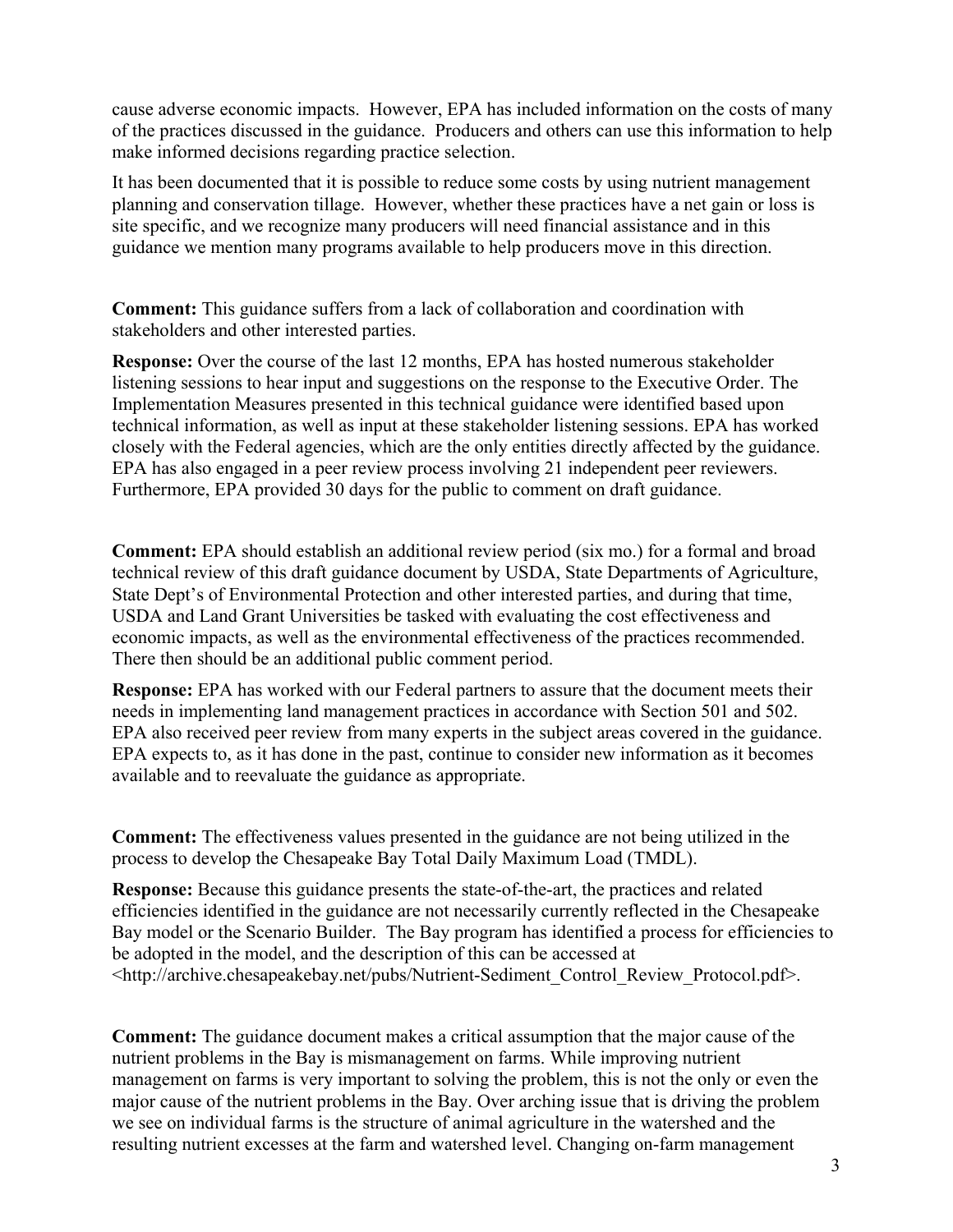cause adverse economic impacts. However, EPA has included information on the costs of many of the practices discussed in the guidance. Producers and others can use this information to help make informed decisions regarding practice selection.

It has been documented that it is possible to reduce some costs by using nutrient management planning and conservation tillage. However, whether these practices have a net gain or loss is site specific, and we recognize many producers will need financial assistance and in this guidance we mention many programs available to help producers move in this direction.

**Comment:** This guidance suffers from a lack of collaboration and coordination with stakeholders and other interested parties.

**Response:** Over the course of the last 12 months, EPA has hosted numerous stakeholder listening sessions to hear input and suggestions on the response to the Executive Order. The Implementation Measures presented in this technical guidance were identified based upon technical information, as well as input at these stakeholder listening sessions. EPA has worked closely with the Federal agencies, which are the only entities directly affected by the guidance. EPA has also engaged in a peer review process involving 21 independent peer reviewers. Furthermore, EPA provided 30 days for the public to comment on draft guidance.

**Comment:** EPA should establish an additional review period (six mo.) for a formal and broad technical review of this draft guidance document by USDA, State Departments of Agriculture, State Dept's of Environmental Protection and other interested parties, and during that time, USDA and Land Grant Universities be tasked with evaluating the cost effectiveness and economic impacts, as well as the environmental effectiveness of the practices recommended. There then should be an additional public comment period.

**Response:** EPA has worked with our Federal partners to assure that the document meets their needs in implementing land management practices in accordance with Section 501 and 502. EPA also received peer review from many experts in the subject areas covered in the guidance. EPA expects to, as it has done in the past, continue to consider new information as it becomes available and to reevaluate the guidance as appropriate.

**Comment:** The effectiveness values presented in the guidance are not being utilized in the process to develop the Chesapeake Bay Total Daily Maximum Load (TMDL).

**Response:** Because this guidance presents the state-of-the-art, the practices and related efficiencies identified in the guidance are not necessarily currently reflected in the Chesapeake Bay model or the Scenario Builder. The Bay program has identified a process for efficiencies to be adopted in the model, and the description of this can be accessed at <http://archive.chesapeakebay.net/pubs/Nutrient-Sediment\_Control\_Review\_Protocol.pdf>.

**Comment:** The guidance document makes a critical assumption that the major cause of the nutrient problems in the Bay is mismanagement on farms. While improving nutrient management on farms is very important to solving the problem, this is not the only or even the major cause of the nutrient problems in the Bay. Over arching issue that is driving the problem we see on individual farms is the structure of animal agriculture in the watershed and the resulting nutrient excesses at the farm and watershed level. Changing on-farm management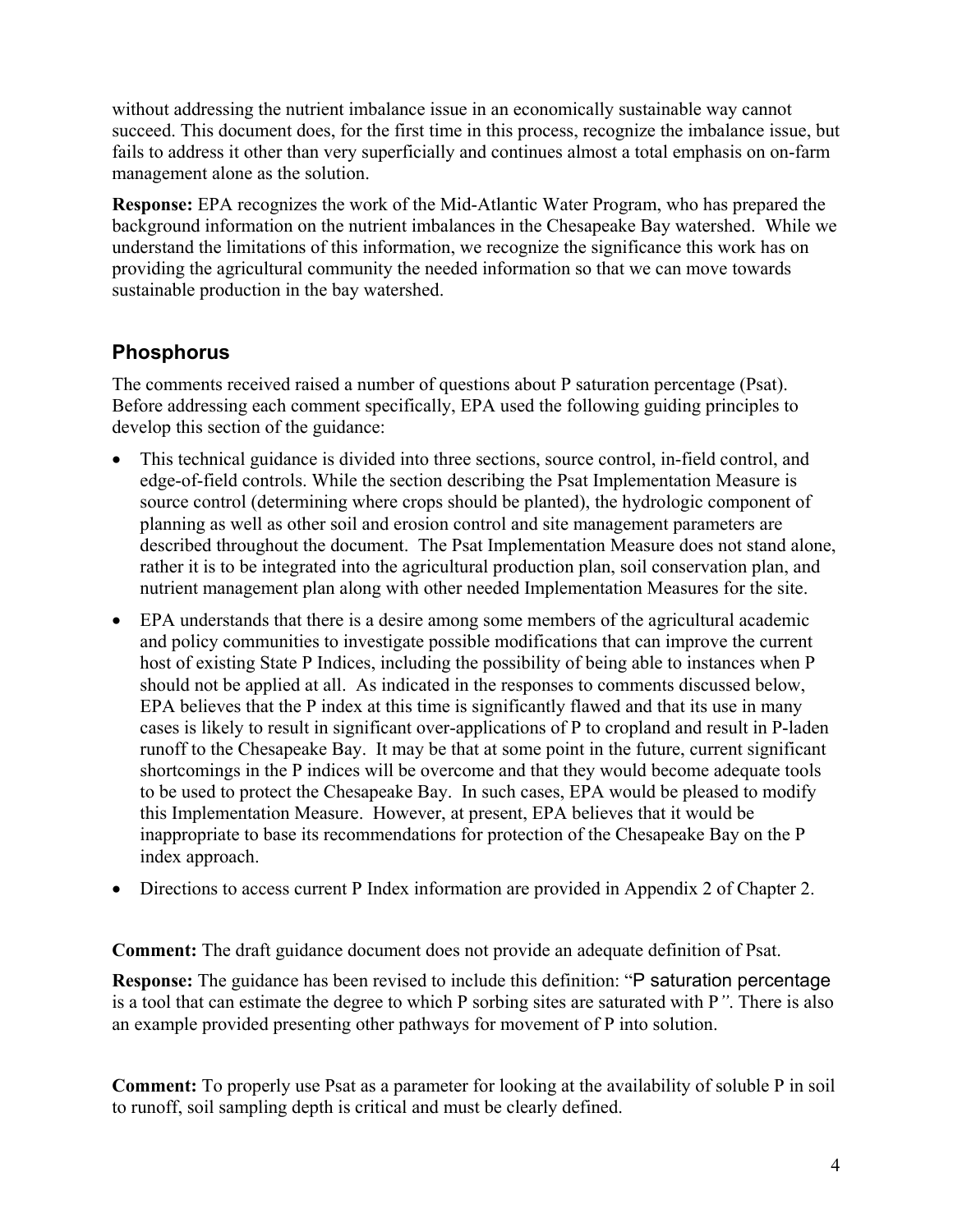without addressing the nutrient imbalance issue in an economically sustainable way cannot succeed. This document does, for the first time in this process, recognize the imbalance issue, but fails to address it other than very superficially and continues almost a total emphasis on on-farm management alone as the solution.

**Response:** EPA recognizes the work of the Mid-Atlantic Water Program, who has prepared the background information on the nutrient imbalances in the Chesapeake Bay watershed. While we understand the limitations of this information, we recognize the significance this work has on providing the agricultural community the needed information so that we can move towards sustainable production in the bay watershed.

### <span id="page-3-0"></span>**Phosphorus**

The comments received raised a number of questions about P saturation percentage (Psat). Before addressing each comment specifically, EPA used the following guiding principles to develop this section of the guidance:

- This technical guidance is divided into three sections, source control, in-field control, and edge-of-field controls. While the section describing the Psat Implementation Measure is source control (determining where crops should be planted), the hydrologic component of planning as well as other soil and erosion control and site management parameters are described throughout the document. The Psat Implementation Measure does not stand alone, rather it is to be integrated into the agricultural production plan, soil conservation plan, and nutrient management plan along with other needed Implementation Measures for the site.
- EPA understands that there is a desire among some members of the agricultural academic and policy communities to investigate possible modifications that can improve the current host of existing State P Indices, including the possibility of being able to instances when P should not be applied at all. As indicated in the responses to comments discussed below, EPA believes that the P index at this time is significantly flawed and that its use in many cases is likely to result in significant over-applications of P to cropland and result in P-laden runoff to the Chesapeake Bay. It may be that at some point in the future, current significant shortcomings in the P indices will be overcome and that they would become adequate tools to be used to protect the Chesapeake Bay. In such cases, EPA would be pleased to modify this Implementation Measure. However, at present, EPA believes that it would be inappropriate to base its recommendations for protection of the Chesapeake Bay on the P index approach.
- Directions to access current P Index information are provided in Appendix 2 of Chapter 2.

**Comment:** The draft guidance document does not provide an adequate definition of Psat.

**Response:** The guidance has been revised to include this definition: "P saturation percentage is a tool that can estimate the degree to which P sorbing sites are saturated with P*"*. There is also an example provided presenting other pathways for movement of P into solution.

**Comment:** To properly use Psat as a parameter for looking at the availability of soluble P in soil to runoff, soil sampling depth is critical and must be clearly defined.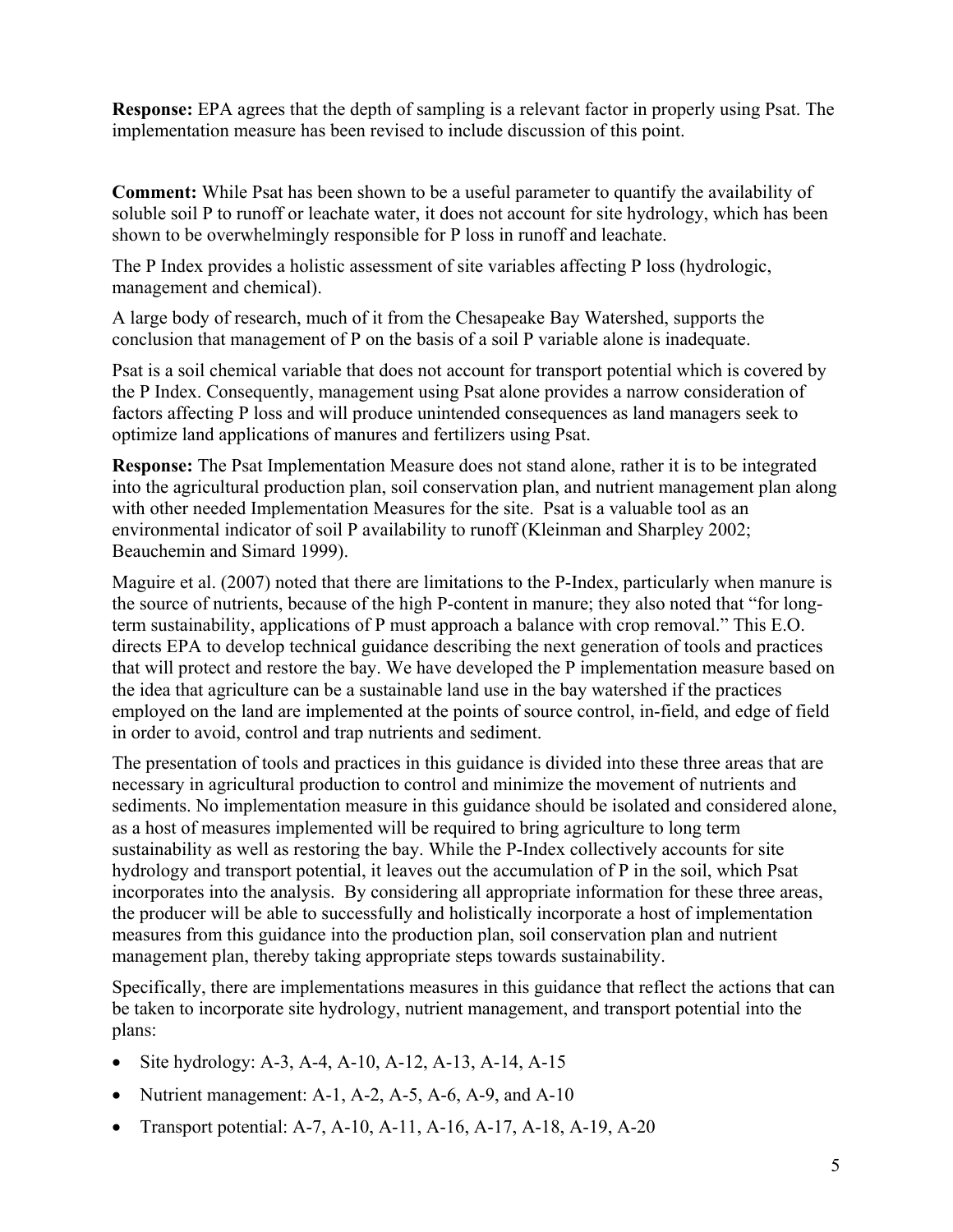**Response:** EPA agrees that the depth of sampling is a relevant factor in properly using Psat. The implementation measure has been revised to include discussion of this point.

**Comment:** While Psat has been shown to be a useful parameter to quantify the availability of soluble soil P to runoff or leachate water, it does not account for site hydrology, which has been shown to be overwhelmingly responsible for P loss in runoff and leachate.

The P Index provides a holistic assessment of site variables affecting P loss (hydrologic, management and chemical).

A large body of research, much of it from the Chesapeake Bay Watershed, supports the conclusion that management of P on the basis of a soil P variable alone is inadequate.

Psat is a soil chemical variable that does not account for transport potential which is covered by the P Index. Consequently, management using Psat alone provides a narrow consideration of factors affecting P loss and will produce unintended consequences as land managers seek to optimize land applications of manures and fertilizers using Psat.

**Response:** The Psat Implementation Measure does not stand alone, rather it is to be integrated into the agricultural production plan, soil conservation plan, and nutrient management plan along with other needed Implementation Measures for the site. Psat is a valuable tool as an environmental indicator of soil P availability to runoff (Kleinman and Sharpley 2002; Beauchemin and Simard 1999).

Maguire et al. (2007) noted that there are limitations to the P-Index, particularly when manure is the source of nutrients, because of the high P-content in manure; they also noted that "for longterm sustainability, applications of P must approach a balance with crop removal." This E.O. directs EPA to develop technical guidance describing the next generation of tools and practices that will protect and restore the bay. We have developed the P implementation measure based on the idea that agriculture can be a sustainable land use in the bay watershed if the practices employed on the land are implemented at the points of source control, in-field, and edge of field in order to avoid, control and trap nutrients and sediment.

The presentation of tools and practices in this guidance is divided into these three areas that are necessary in agricultural production to control and minimize the movement of nutrients and sediments. No implementation measure in this guidance should be isolated and considered alone, as a host of measures implemented will be required to bring agriculture to long term sustainability as well as restoring the bay. While the P-Index collectively accounts for site hydrology and transport potential, it leaves out the accumulation of P in the soil, which Psat incorporates into the analysis. By considering all appropriate information for these three areas, the producer will be able to successfully and holistically incorporate a host of implementation measures from this guidance into the production plan, soil conservation plan and nutrient management plan, thereby taking appropriate steps towards sustainability.

Specifically, there are implementations measures in this guidance that reflect the actions that can be taken to incorporate site hydrology, nutrient management, and transport potential into the plans:

- Site hydrology: A-3, A-4, A-10, A-12, A-13, A-14, A-15
- Nutrient management: A-1, A-2, A-5, A-6, A-9, and A-10
- Transport potential: A-7, A-10, A-11, A-16, A-17, A-18, A-19, A-20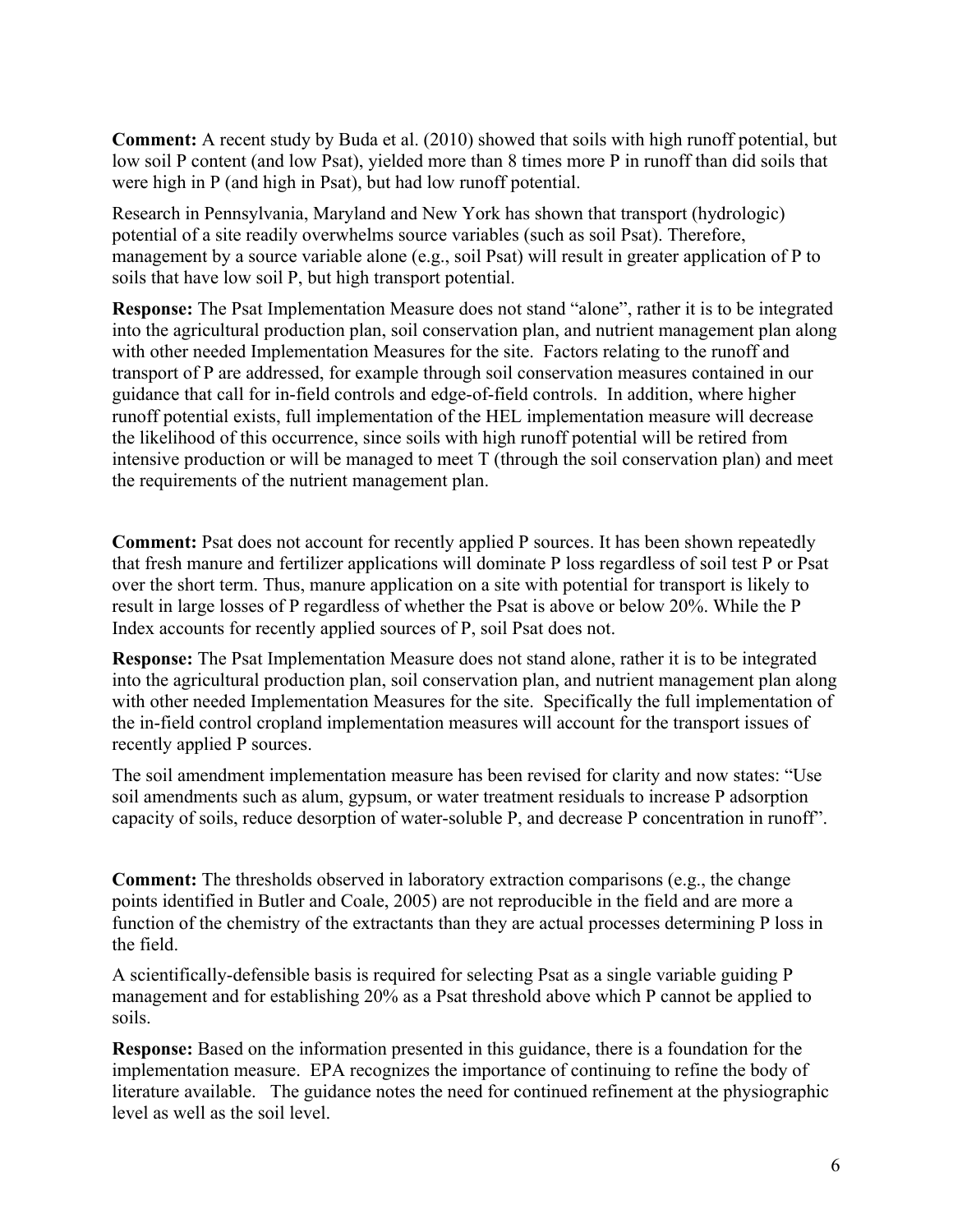**Comment:** A recent study by Buda et al. (2010) showed that soils with high runoff potential, but low soil P content (and low Psat), yielded more than 8 times more P in runoff than did soils that were high in P (and high in Psat), but had low runoff potential.

Research in Pennsylvania, Maryland and New York has shown that transport (hydrologic) potential of a site readily overwhelms source variables (such as soil Psat). Therefore, management by a source variable alone (e.g., soil Psat) will result in greater application of P to soils that have low soil P, but high transport potential.

**Response:** The Psat Implementation Measure does not stand "alone", rather it is to be integrated into the agricultural production plan, soil conservation plan, and nutrient management plan along with other needed Implementation Measures for the site. Factors relating to the runoff and transport of P are addressed, for example through soil conservation measures contained in our guidance that call for in-field controls and edge-of-field controls. In addition, where higher runoff potential exists, full implementation of the HEL implementation measure will decrease the likelihood of this occurrence, since soils with high runoff potential will be retired from intensive production or will be managed to meet T (through the soil conservation plan) and meet the requirements of the nutrient management plan.

**Comment:** Psat does not account for recently applied P sources. It has been shown repeatedly that fresh manure and fertilizer applications will dominate P loss regardless of soil test P or Psat over the short term. Thus, manure application on a site with potential for transport is likely to result in large losses of P regardless of whether the Psat is above or below 20%. While the P Index accounts for recently applied sources of P, soil Psat does not.

**Response:** The Psat Implementation Measure does not stand alone, rather it is to be integrated into the agricultural production plan, soil conservation plan, and nutrient management plan along with other needed Implementation Measures for the site. Specifically the full implementation of the in-field control cropland implementation measures will account for the transport issues of recently applied P sources.

The soil amendment implementation measure has been revised for clarity and now states: "Use soil amendments such as alum, gypsum, or water treatment residuals to increase P adsorption capacity of soils, reduce desorption of water-soluble P, and decrease P concentration in runoff".

**Comment:** The thresholds observed in laboratory extraction comparisons (e.g., the change points identified in Butler and Coale, 2005) are not reproducible in the field and are more a function of the chemistry of the extractants than they are actual processes determining P loss in the field.

A scientifically-defensible basis is required for selecting Psat as a single variable guiding P management and for establishing 20% as a Psat threshold above which P cannot be applied to soils.

**Response:** Based on the information presented in this guidance, there is a foundation for the implementation measure. EPA recognizes the importance of continuing to refine the body of literature available. The guidance notes the need for continued refinement at the physiographic level as well as the soil level.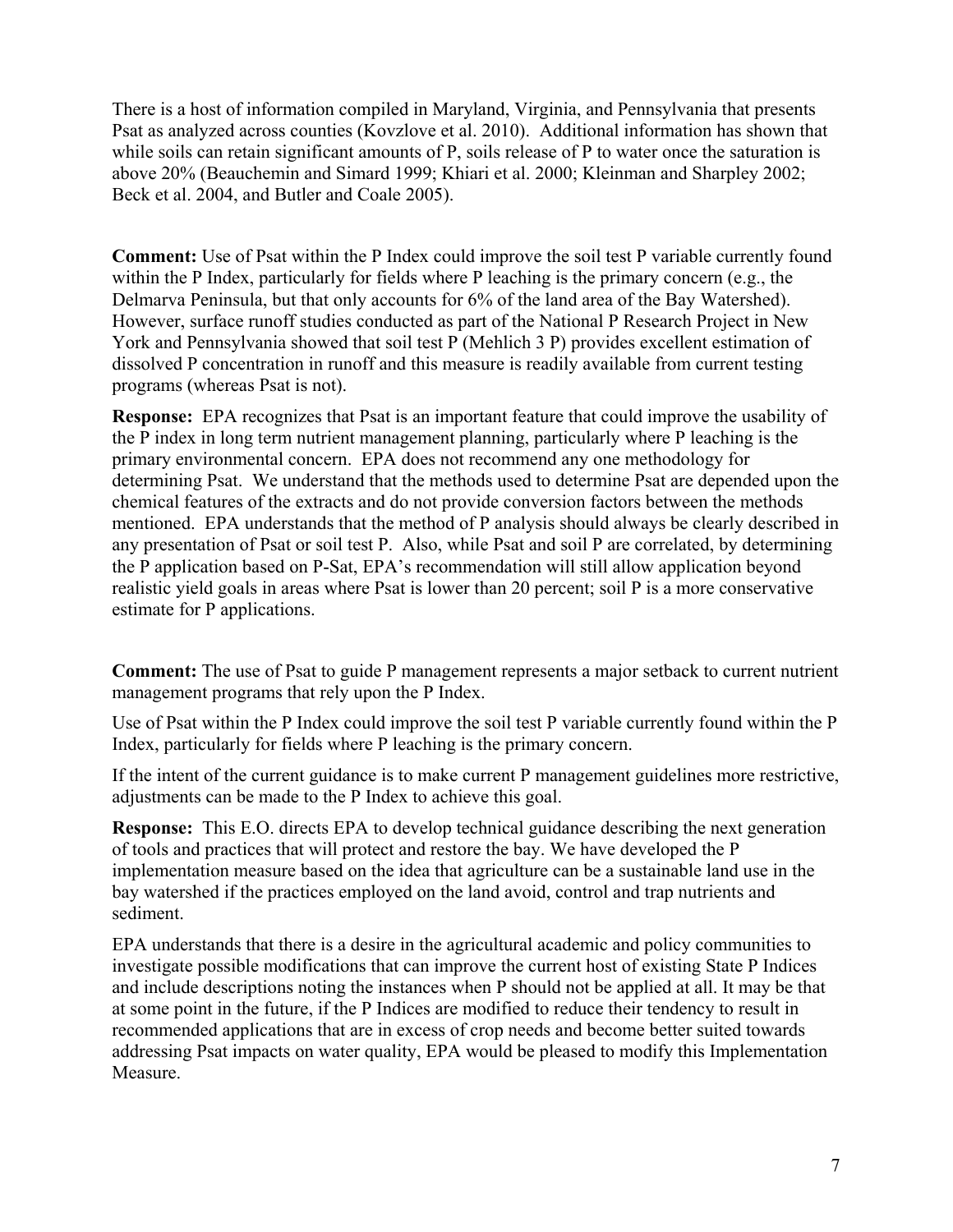There is a host of information compiled in Maryland, Virginia, and Pennsylvania that presents Psat as analyzed across counties (Kovzlove et al. 2010). Additional information has shown that while soils can retain significant amounts of P, soils release of P to water once the saturation is above 20% (Beauchemin and Simard 1999; Khiari et al. 2000; Kleinman and Sharpley 2002; Beck et al. 2004, and Butler and Coale 2005).

**Comment:** Use of Psat within the P Index could improve the soil test P variable currently found within the P Index, particularly for fields where P leaching is the primary concern (e.g., the Delmarva Peninsula, but that only accounts for 6% of the land area of the Bay Watershed). However, surface runoff studies conducted as part of the National P Research Project in New York and Pennsylvania showed that soil test P (Mehlich 3 P) provides excellent estimation of dissolved P concentration in runoff and this measure is readily available from current testing programs (whereas Psat is not).

**Response:** EPA recognizes that Psat is an important feature that could improve the usability of the P index in long term nutrient management planning, particularly where P leaching is the primary environmental concern. EPA does not recommend any one methodology for determining Psat. We understand that the methods used to determine Psat are depended upon the chemical features of the extracts and do not provide conversion factors between the methods mentioned. EPA understands that the method of P analysis should always be clearly described in any presentation of Psat or soil test P. Also, while Psat and soil P are correlated, by determining the P application based on P-Sat, EPA's recommendation will still allow application beyond realistic yield goals in areas where Psat is lower than 20 percent; soil P is a more conservative estimate for P applications.

**Comment:** The use of Psat to guide P management represents a major setback to current nutrient management programs that rely upon the P Index.

Use of Psat within the P Index could improve the soil test P variable currently found within the P Index, particularly for fields where P leaching is the primary concern.

If the intent of the current guidance is to make current P management guidelines more restrictive, adjustments can be made to the P Index to achieve this goal.

**Response:** This E.O. directs EPA to develop technical guidance describing the next generation of tools and practices that will protect and restore the bay. We have developed the P implementation measure based on the idea that agriculture can be a sustainable land use in the bay watershed if the practices employed on the land avoid, control and trap nutrients and sediment.

EPA understands that there is a desire in the agricultural academic and policy communities to investigate possible modifications that can improve the current host of existing State P Indices and include descriptions noting the instances when P should not be applied at all. It may be that at some point in the future, if the P Indices are modified to reduce their tendency to result in recommended applications that are in excess of crop needs and become better suited towards addressing Psat impacts on water quality, EPA would be pleased to modify this Implementation Measure.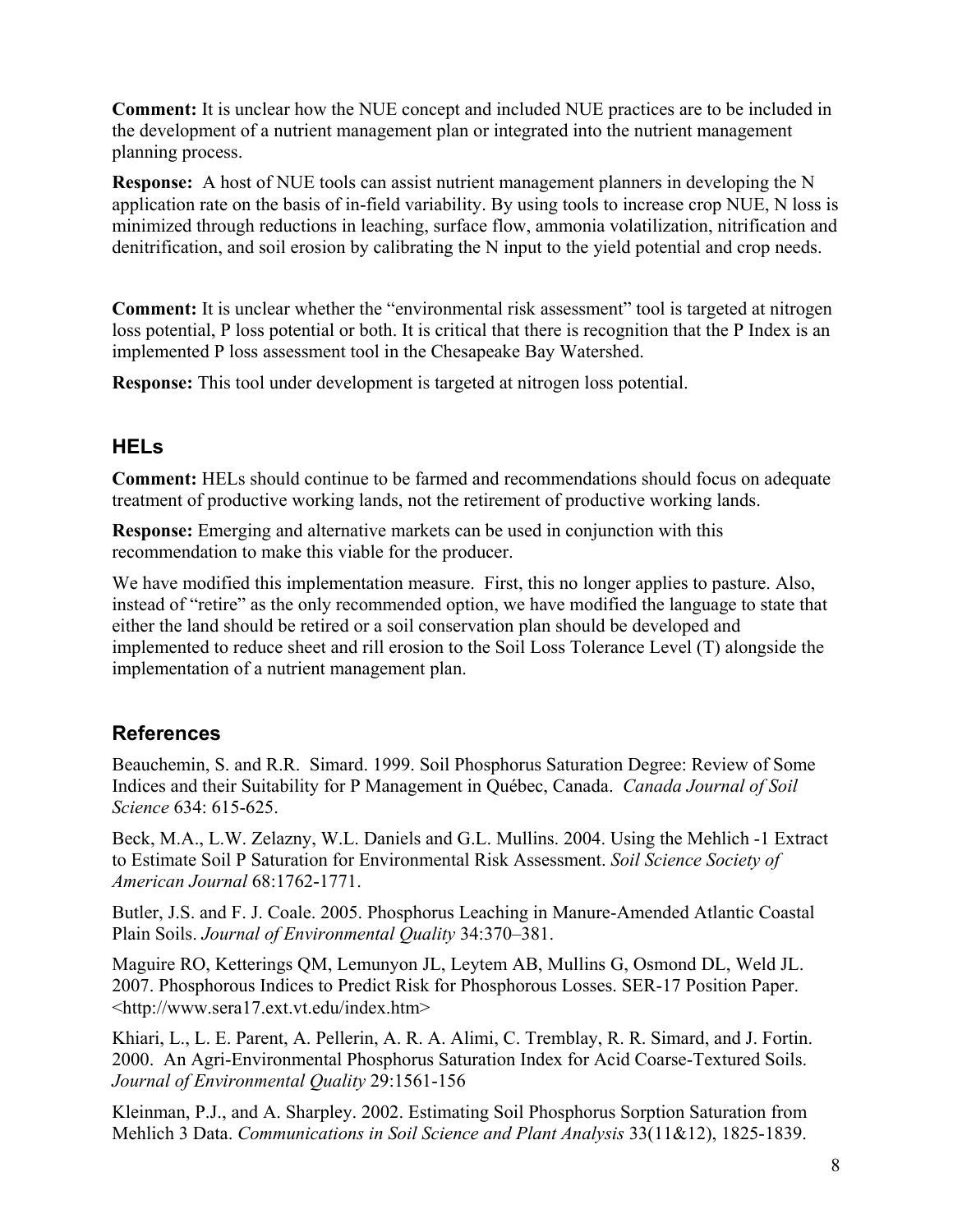**Comment:** It is unclear how the NUE concept and included NUE practices are to be included in the development of a nutrient management plan or integrated into the nutrient management planning process.

**Response:** A host of NUE tools can assist nutrient management planners in developing the N application rate on the basis of in-field variability. By using tools to increase crop NUE, N loss is minimized through reductions in leaching, surface flow, ammonia volatilization, nitrification and denitrification, and soil erosion by calibrating the N input to the yield potential and crop needs.

**Comment:** It is unclear whether the "environmental risk assessment" tool is targeted at nitrogen loss potential, P loss potential or both. It is critical that there is recognition that the P Index is an implemented P loss assessment tool in the Chesapeake Bay Watershed.

**Response:** This tool under development is targeted at nitrogen loss potential.

### <span id="page-7-0"></span>**HELs**

**Comment:** HELs should continue to be farmed and recommendations should focus on adequate treatment of productive working lands, not the retirement of productive working lands.

**Response:** Emerging and alternative markets can be used in conjunction with this recommendation to make this viable for the producer.

We have modified this implementation measure. First, this no longer applies to pasture. Also, instead of "retire" as the only recommended option, we have modified the language to state that either the land should be retired or a soil conservation plan should be developed and implemented to reduce sheet and rill erosion to the Soil Loss Tolerance Level (T) alongside the implementation of a nutrient management plan.

### <span id="page-7-1"></span>**References**

Beauchemin, S. and R.R. Simard. 1999. Soil Phosphorus Saturation Degree: Review of Some Indices and their Suitability for P Management in Québec, Canada. *Canada Journal of Soil Science* 634: 615-625.

Beck, M.A., L.W. Zelazny, W.L. Daniels and G.L. Mullins. 2004. Using the Mehlich -1 Extract to Estimate Soil P Saturation for Environmental Risk Assessment. *Soil Science Society of American Journal* 68:1762-1771.

Butler, J.S. and F. J. Coale. 2005. Phosphorus Leaching in Manure-Amended Atlantic Coastal Plain Soils. *Journal of Environmental Quality* 34:370–381.

Maguire RO, Ketterings QM, Lemunyon JL, Leytem AB, Mullins G, Osmond DL, Weld JL. 2007. Phosphorous Indices to Predict Risk for Phosphorous Losses. SER-17 Position Paper. <http://www.sera17.ext.vt.edu/index.htm>

Khiari, L., L. E. Parent, A. Pellerin, A. R. A. Alimi, C. Tremblay, R. R. Simard, and J. Fortin. 2000. An Agri-Environmental Phosphorus Saturation Index for Acid Coarse-Textured Soils. *Journal of Environmental Quality* 29:1561-156

Kleinman, P.J., and A. Sharpley. 2002. Estimating Soil Phosphorus Sorption Saturation from Mehlich 3 Data. *Communications in Soil Science and Plant Analysis* 33(11&12), 1825-1839.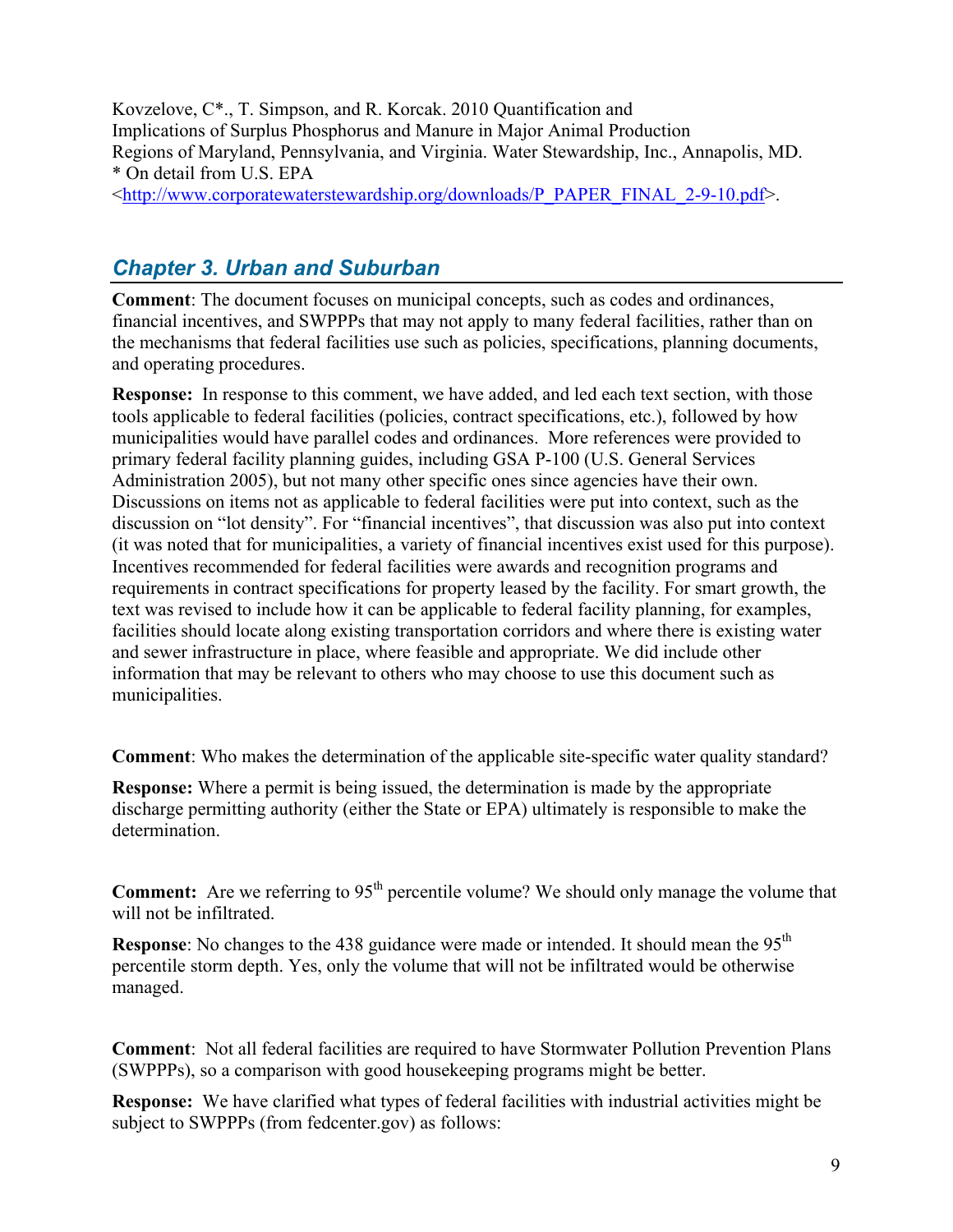Kovzelove, C\*., T. Simpson, and R. Korcak. 2010 Quantification and Implications of Surplus Phosphorus and Manure in Major Animal Production Regions of Maryland, Pennsylvania, and Virginia. Water Stewardship, Inc., Annapolis, MD. \* On detail from U.S. EPA

<[http://www.corporatewaterstewardship.org/downloads/P\\_PAPER\\_FINAL\\_2-9-10.pdf>](http://www.corporatewaterstewardship.org/downloads/P_PAPER_FINAL_2-9-10.pdf).

# <span id="page-8-0"></span>*Chapter 3. Urban and Suburban*

**Comment**: The document focuses on municipal concepts, such as codes and ordinances, financial incentives, and SWPPPs that may not apply to many federal facilities, rather than on the mechanisms that federal facilities use such as policies, specifications, planning documents, and operating procedures.

**Response:** In response to this comment, we have added, and led each text section, with those tools applicable to federal facilities (policies, contract specifications, etc.), followed by how municipalities would have parallel codes and ordinances. More references were provided to primary federal facility planning guides, including GSA P-100 (U.S. General Services Administration 2005), but not many other specific ones since agencies have their own. Discussions on items not as applicable to federal facilities were put into context, such as the discussion on "lot density". For "financial incentives", that discussion was also put into context (it was noted that for municipalities, a variety of financial incentives exist used for this purpose). Incentives recommended for federal facilities were awards and recognition programs and requirements in contract specifications for property leased by the facility. For smart growth, the text was revised to include how it can be applicable to federal facility planning, for examples, facilities should locate along existing transportation corridors and where there is existing water and sewer infrastructure in place, where feasible and appropriate. We did include other information that may be relevant to others who may choose to use this document such as municipalities.

**Comment**: Who makes the determination of the applicable site-specific water quality standard?

**Response:** Where a permit is being issued, the determination is made by the appropriate discharge permitting authority (either the State or EPA) ultimately is responsible to make the determination.

**Comment:** Are we referring to 95<sup>th</sup> percentile volume? We should only manage the volume that will not be infiltrated.

**Response**: No changes to the 438 guidance were made or intended. It should mean the 95<sup>th</sup> percentile storm depth. Yes, only the volume that will not be infiltrated would be otherwise managed.

**Comment**: Not all federal facilities are required to have Stormwater Pollution Prevention Plans (SWPPPs), so a comparison with good housekeeping programs might be better.

**Response:** We have clarified what types of federal facilities with industrial activities might be subject to SWPPPs (from fedcenter.gov) as follows: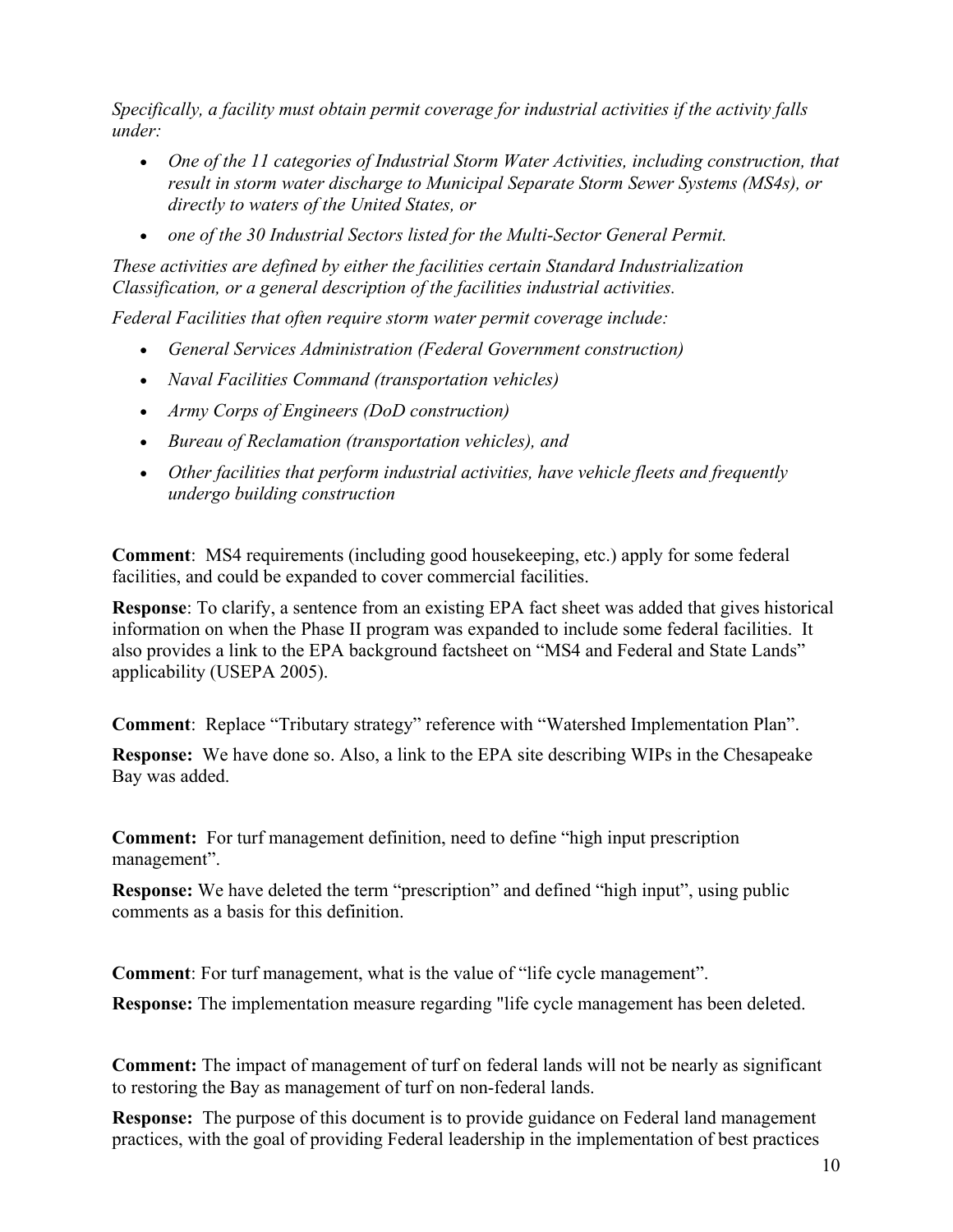*Specifically, a facility must obtain permit coverage for industrial activities if the activity falls under:* 

- One of the 11 categories of Industrial Storm Water Activities, including construction, that *result in storm water discharge to Municipal Separate Storm Sewer Systems (MS4s), or directly to waters of the United States, or*
- *one of the 30 Industrial Sectors listed for the Multi-Sector General Permit.*

*These activities are defined by either the facilities certain Standard Industrialization Classification, or a general description of the facilities industrial activities.* 

*Federal Facilities that often require storm water permit coverage include:* 

- *General Services Administration (Federal Government construction)*
- *Naval Facilities Command (transportation vehicles)*
- *Army Corps of Engineers (DoD construction)*
- *Bureau of Reclamation (transportation vehicles), and*
- *Other facilities that perform industrial activities, have vehicle fleets and frequently undergo building construction*

**Comment**: MS4 requirements (including good housekeeping, etc.) apply for some federal facilities, and could be expanded to cover commercial facilities.

**Response**: To clarify, a sentence from an existing EPA fact sheet was added that gives historical information on when the Phase II program was expanded to include some federal facilities. It also provides a link to the EPA background factsheet on "MS4 and Federal and State Lands" applicability (USEPA 2005).

**Comment**: Replace "Tributary strategy" reference with "Watershed Implementation Plan".

**Response:** We have done so. Also, a link to the EPA site describing WIPs in the Chesapeake Bay was added.

**Comment:** For turf management definition, need to define "high input prescription management".

**Response:** We have deleted the term "prescription" and defined "high input", using public comments as a basis for this definition.

**Comment**: For turf management, what is the value of "life cycle management".

**Response:** The implementation measure regarding "life cycle management has been deleted.

**Comment:** The impact of management of turf on federal lands will not be nearly as significant to restoring the Bay as management of turf on non-federal lands.

**Response:** The purpose of this document is to provide guidance on Federal land management practices, with the goal of providing Federal leadership in the implementation of best practices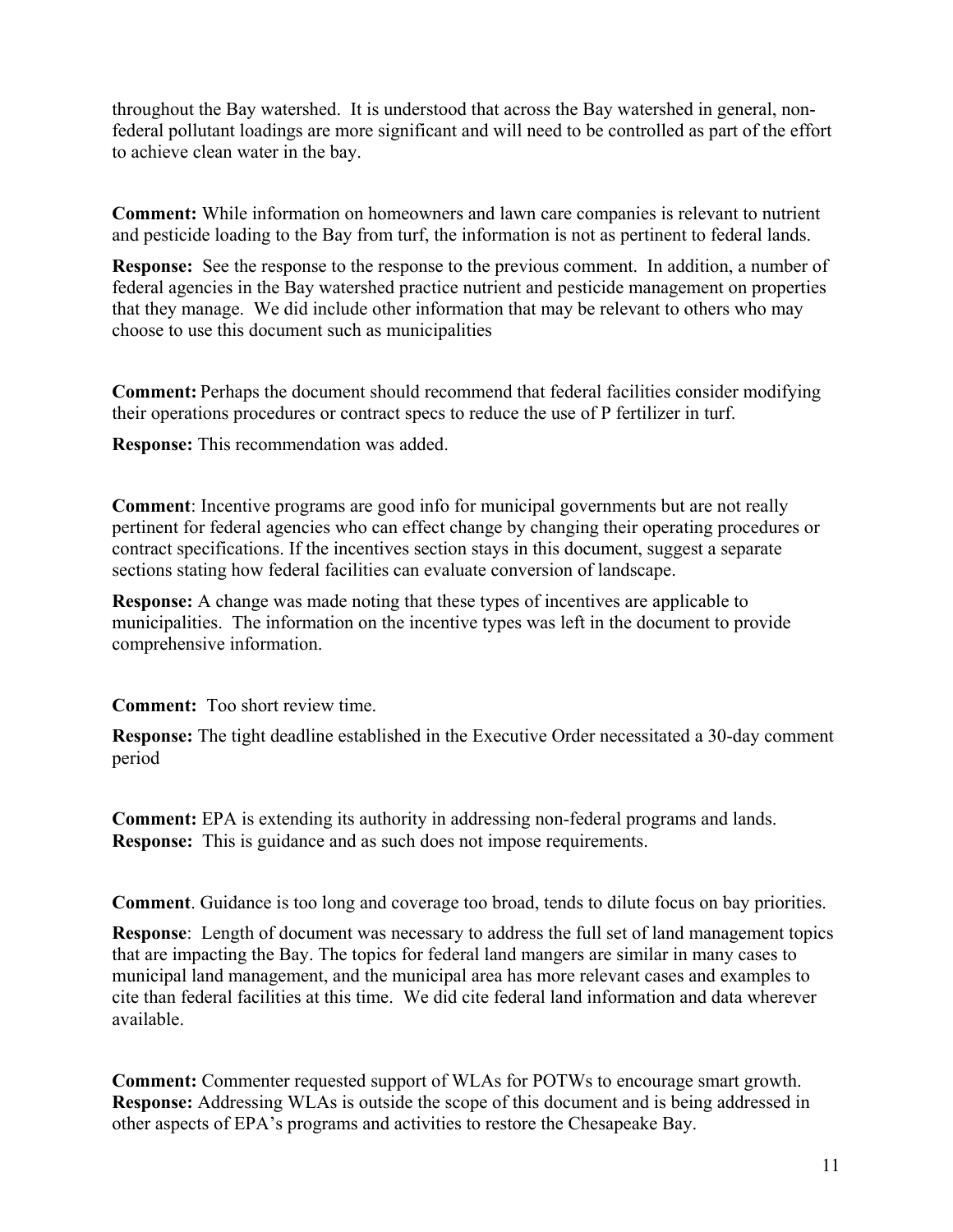throughout the Bay watershed. It is understood that across the Bay watershed in general, nonfederal pollutant loadings are more significant and will need to be controlled as part of the effort to achieve clean water in the bay.

**Comment:** While information on homeowners and lawn care companies is relevant to nutrient and pesticide loading to the Bay from turf, the information is not as pertinent to federal lands.

**Response:** See the response to the response to the previous comment. In addition, a number of federal agencies in the Bay watershed practice nutrient and pesticide management on properties that they manage. We did include other information that may be relevant to others who may choose to use this document such as municipalities

**Comment:** Perhaps the document should recommend that federal facilities consider modifying their operations procedures or contract specs to reduce the use of P fertilizer in turf.

**Response:** This recommendation was added.

**Comment**: Incentive programs are good info for municipal governments but are not really pertinent for federal agencies who can effect change by changing their operating procedures or contract specifications. If the incentives section stays in this document, suggest a separate sections stating how federal facilities can evaluate conversion of landscape.

**Response:** A change was made noting that these types of incentives are applicable to municipalities. The information on the incentive types was left in the document to provide comprehensive information.

**Comment:** Too short review time.

**Response:** The tight deadline established in the Executive Order necessitated a 30-day comment period

**Comment:** EPA is extending its authority in addressing non-federal programs and lands. **Response:** This is guidance and as such does not impose requirements.

**Comment**. Guidance is too long and coverage too broad, tends to dilute focus on bay priorities.

**Response**: Length of document was necessary to address the full set of land management topics that are impacting the Bay. The topics for federal land mangers are similar in many cases to municipal land management, and the municipal area has more relevant cases and examples to cite than federal facilities at this time. We did cite federal land information and data wherever available.

**Comment:** Commenter requested support of WLAs for POTWs to encourage smart growth. **Response:** Addressing WLAs is outside the scope of this document and is being addressed in other aspects of EPA's programs and activities to restore the Chesapeake Bay.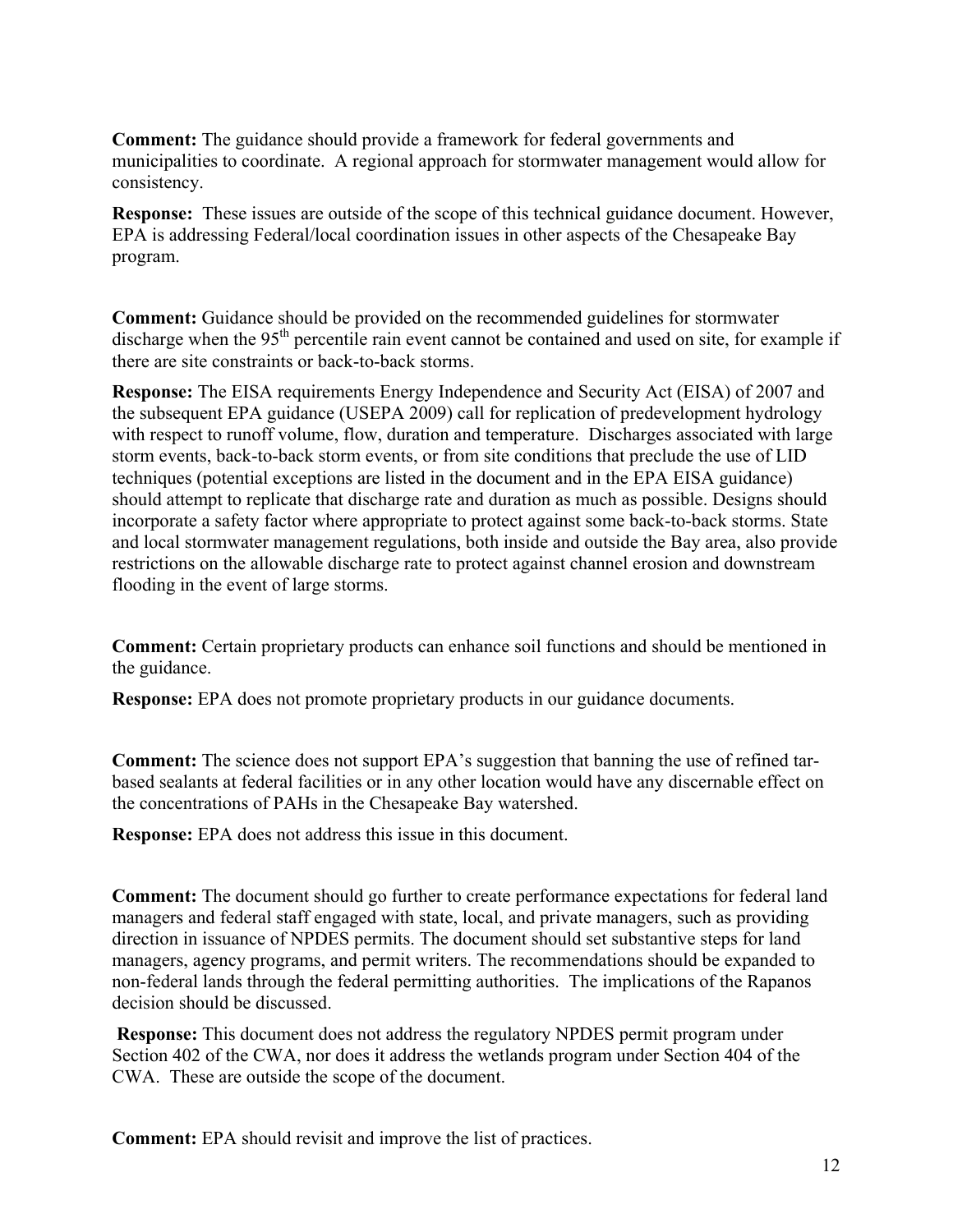**Comment:** The guidance should provide a framework for federal governments and municipalities to coordinate. A regional approach for stormwater management would allow for consistency.

**Response:** These issues are outside of the scope of this technical guidance document. However, EPA is addressing Federal/local coordination issues in other aspects of the Chesapeake Bay program.

**Comment:** Guidance should be provided on the recommended guidelines for stormwater discharge when the  $95<sup>th</sup>$  percentile rain event cannot be contained and used on site, for example if there are site constraints or back-to-back storms.

**Response:** The EISA requirements Energy Independence and Security Act (EISA) of 2007 and the subsequent EPA guidance (USEPA 2009) call for replication of predevelopment hydrology with respect to runoff volume, flow, duration and temperature. Discharges associated with large storm events, back-to-back storm events, or from site conditions that preclude the use of LID techniques (potential exceptions are listed in the document and in the EPA EISA guidance) should attempt to replicate that discharge rate and duration as much as possible. Designs should incorporate a safety factor where appropriate to protect against some back-to-back storms. State and local stormwater management regulations, both inside and outside the Bay area, also provide restrictions on the allowable discharge rate to protect against channel erosion and downstream flooding in the event of large storms.

**Comment:** Certain proprietary products can enhance soil functions and should be mentioned in the guidance.

**Response:** EPA does not promote proprietary products in our guidance documents.

**Comment:** The science does not support EPA's suggestion that banning the use of refined tarbased sealants at federal facilities or in any other location would have any discernable effect on the concentrations of PAHs in the Chesapeake Bay watershed.

**Response:** EPA does not address this issue in this document.

**Comment:** The document should go further to create performance expectations for federal land managers and federal staff engaged with state, local, and private managers, such as providing direction in issuance of NPDES permits. The document should set substantive steps for land managers, agency programs, and permit writers. The recommendations should be expanded to non-federal lands through the federal permitting authorities. The implications of the Rapanos decision should be discussed.

**Response:** This document does not address the regulatory NPDES permit program under Section 402 of the CWA, nor does it address the wetlands program under Section 404 of the CWA. These are outside the scope of the document.

**Comment:** EPA should revisit and improve the list of practices.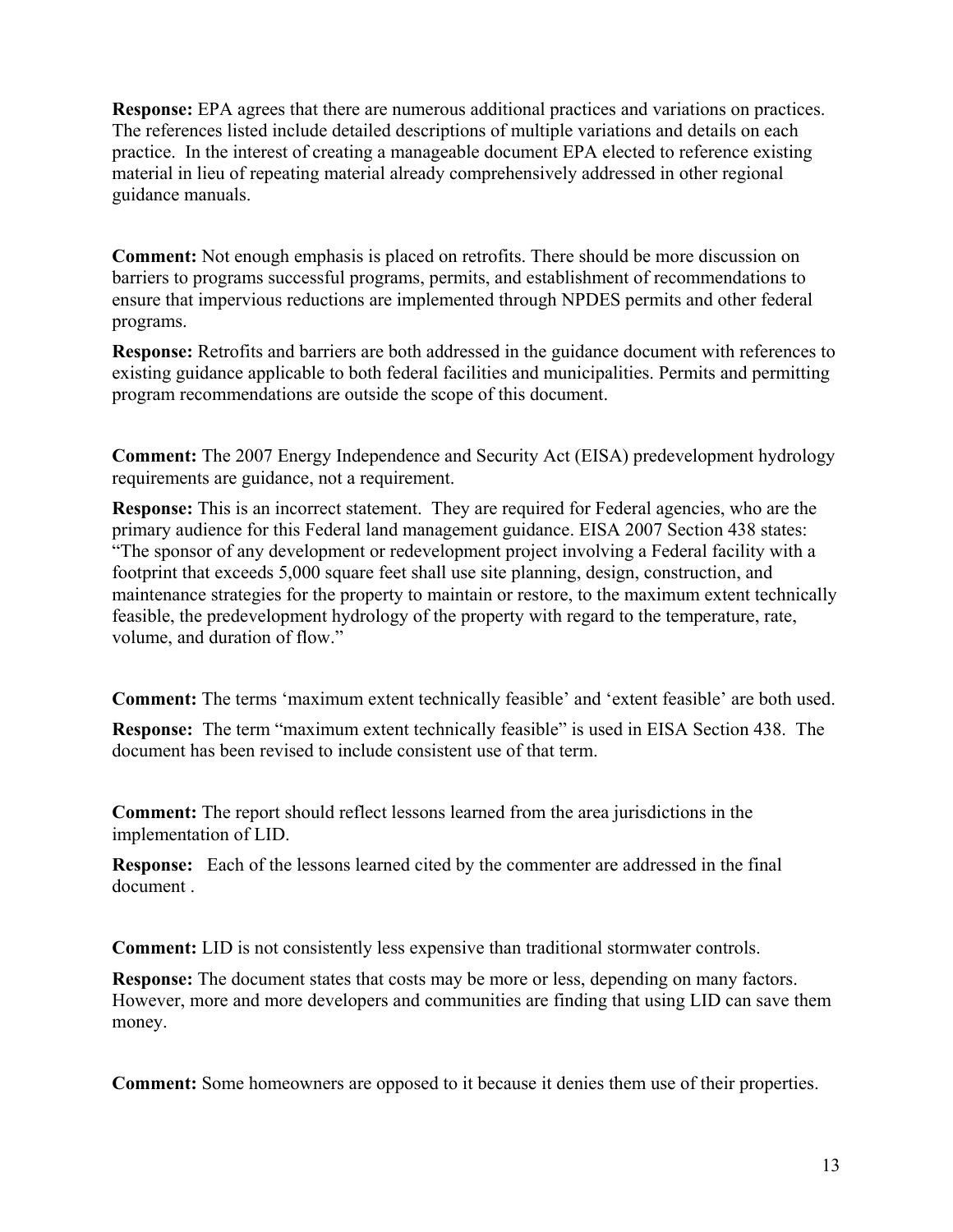**Response:** EPA agrees that there are numerous additional practices and variations on practices. The references listed include detailed descriptions of multiple variations and details on each practice. In the interest of creating a manageable document EPA elected to reference existing material in lieu of repeating material already comprehensively addressed in other regional guidance manuals.

**Comment:** Not enough emphasis is placed on retrofits. There should be more discussion on barriers to programs successful programs, permits, and establishment of recommendations to ensure that impervious reductions are implemented through NPDES permits and other federal programs.

**Response:** Retrofits and barriers are both addressed in the guidance document with references to existing guidance applicable to both federal facilities and municipalities. Permits and permitting program recommendations are outside the scope of this document.

**Comment:** The 2007 Energy Independence and Security Act (EISA) predevelopment hydrology requirements are guidance, not a requirement.

**Response:** This is an incorrect statement. They are required for Federal agencies, who are the primary audience for this Federal land management guidance. EISA 2007 Section 438 states: "The sponsor of any development or redevelopment project involving a Federal facility with a footprint that exceeds 5,000 square feet shall use site planning, design, construction, and maintenance strategies for the property to maintain or restore, to the maximum extent technically feasible, the predevelopment hydrology of the property with regard to the temperature, rate, volume, and duration of flow."

**Comment:** The terms 'maximum extent technically feasible' and 'extent feasible' are both used.

**Response:** The term "maximum extent technically feasible" is used in EISA Section 438. The document has been revised to include consistent use of that term.

**Comment:** The report should reflect lessons learned from the area jurisdictions in the implementation of LID.

**Response:** Each of the lessons learned cited by the commenter are addressed in the final document .

**Comment:** LID is not consistently less expensive than traditional stormwater controls.

**Response:** The document states that costs may be more or less, depending on many factors. However, more and more developers and communities are finding that using LID can save them money.

**Comment:** Some homeowners are opposed to it because it denies them use of their properties.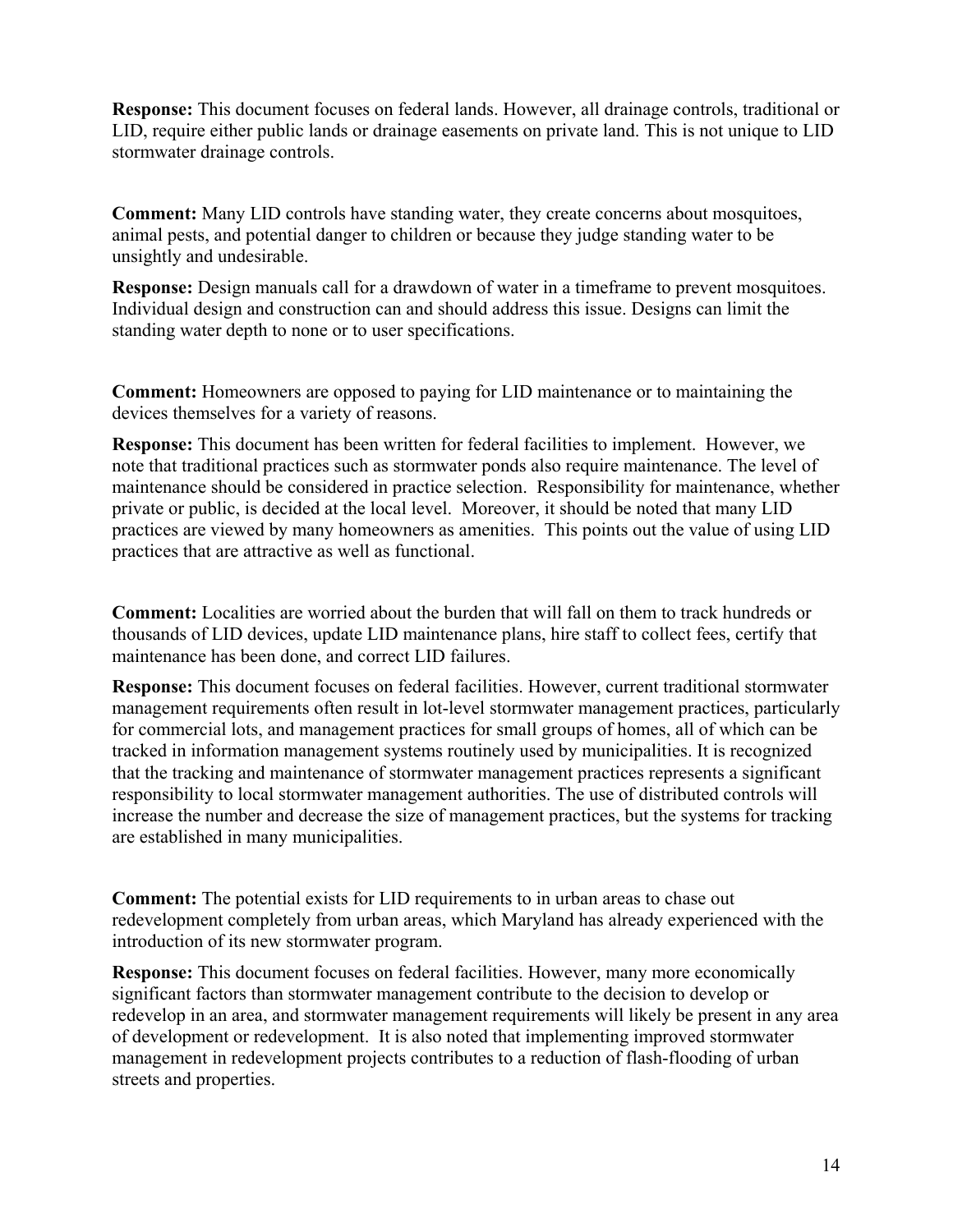**Response:** This document focuses on federal lands. However, all drainage controls, traditional or LID, require either public lands or drainage easements on private land. This is not unique to LID stormwater drainage controls.

**Comment:** Many LID controls have standing water, they create concerns about mosquitoes, animal pests, and potential danger to children or because they judge standing water to be unsightly and undesirable.

**Response:** Design manuals call for a drawdown of water in a timeframe to prevent mosquitoes. Individual design and construction can and should address this issue. Designs can limit the standing water depth to none or to user specifications.

**Comment:** Homeowners are opposed to paying for LID maintenance or to maintaining the devices themselves for a variety of reasons.

**Response:** This document has been written for federal facilities to implement. However, we note that traditional practices such as stormwater ponds also require maintenance. The level of maintenance should be considered in practice selection. Responsibility for maintenance, whether private or public, is decided at the local level. Moreover, it should be noted that many LID practices are viewed by many homeowners as amenities. This points out the value of using LID practices that are attractive as well as functional.

**Comment:** Localities are worried about the burden that will fall on them to track hundreds or thousands of LID devices, update LID maintenance plans, hire staff to collect fees, certify that maintenance has been done, and correct LID failures.

**Response:** This document focuses on federal facilities. However, current traditional stormwater management requirements often result in lot-level stormwater management practices, particularly for commercial lots, and management practices for small groups of homes, all of which can be tracked in information management systems routinely used by municipalities. It is recognized that the tracking and maintenance of stormwater management practices represents a significant responsibility to local stormwater management authorities. The use of distributed controls will increase the number and decrease the size of management practices, but the systems for tracking are established in many municipalities.

**Comment:** The potential exists for LID requirements to in urban areas to chase out redevelopment completely from urban areas, which Maryland has already experienced with the introduction of its new stormwater program.

**Response:** This document focuses on federal facilities. However, many more economically significant factors than stormwater management contribute to the decision to develop or redevelop in an area, and stormwater management requirements will likely be present in any area of development or redevelopment. It is also noted that implementing improved stormwater management in redevelopment projects contributes to a reduction of flash-flooding of urban streets and properties.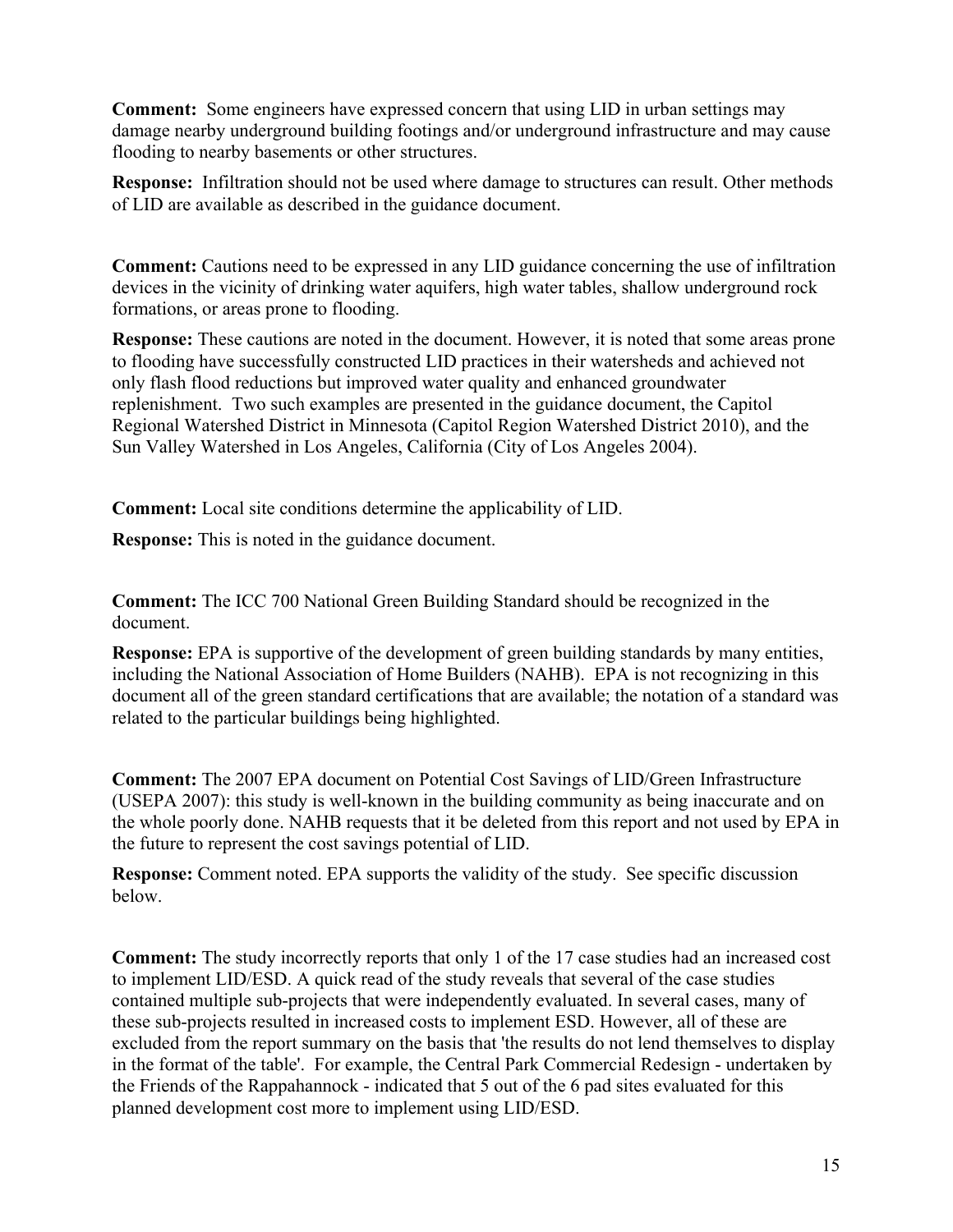**Comment:** Some engineers have expressed concern that using LID in urban settings may damage nearby underground building footings and/or underground infrastructure and may cause flooding to nearby basements or other structures.

**Response:** Infiltration should not be used where damage to structures can result. Other methods of LID are available as described in the guidance document.

**Comment:** Cautions need to be expressed in any LID guidance concerning the use of infiltration devices in the vicinity of drinking water aquifers, high water tables, shallow underground rock formations, or areas prone to flooding.

**Response:** These cautions are noted in the document. However, it is noted that some areas prone to flooding have successfully constructed LID practices in their watersheds and achieved not only flash flood reductions but improved water quality and enhanced groundwater replenishment. Two such examples are presented in the guidance document, the Capitol Regional Watershed District in Minnesota (Capitol Region Watershed District 2010), and the Sun Valley Watershed in Los Angeles, California (City of Los Angeles 2004).

**Comment:** Local site conditions determine the applicability of LID.

**Response:** This is noted in the guidance document.

**Comment:** The ICC 700 National Green Building Standard should be recognized in the document.

**Response:** EPA is supportive of the development of green building standards by many entities, including the National Association of Home Builders (NAHB). EPA is not recognizing in this document all of the green standard certifications that are available; the notation of a standard was related to the particular buildings being highlighted.

**Comment:** The 2007 EPA document on Potential Cost Savings of LID/Green Infrastructure (USEPA 2007): this study is well-known in the building community as being inaccurate and on the whole poorly done. NAHB requests that it be deleted from this report and not used by EPA in the future to represent the cost savings potential of LID.

**Response:** Comment noted. EPA supports the validity of the study. See specific discussion below.

**Comment:** The study incorrectly reports that only 1 of the 17 case studies had an increased cost to implement LID/ESD. A quick read of the study reveals that several of the case studies contained multiple sub-projects that were independently evaluated. In several cases, many of these sub-projects resulted in increased costs to implement ESD. However, all of these are excluded from the report summary on the basis that 'the results do not lend themselves to display in the format of the table'. For example, the Central Park Commercial Redesign - undertaken by the Friends of the Rappahannock - indicated that 5 out of the 6 pad sites evaluated for this planned development cost more to implement using LID/ESD.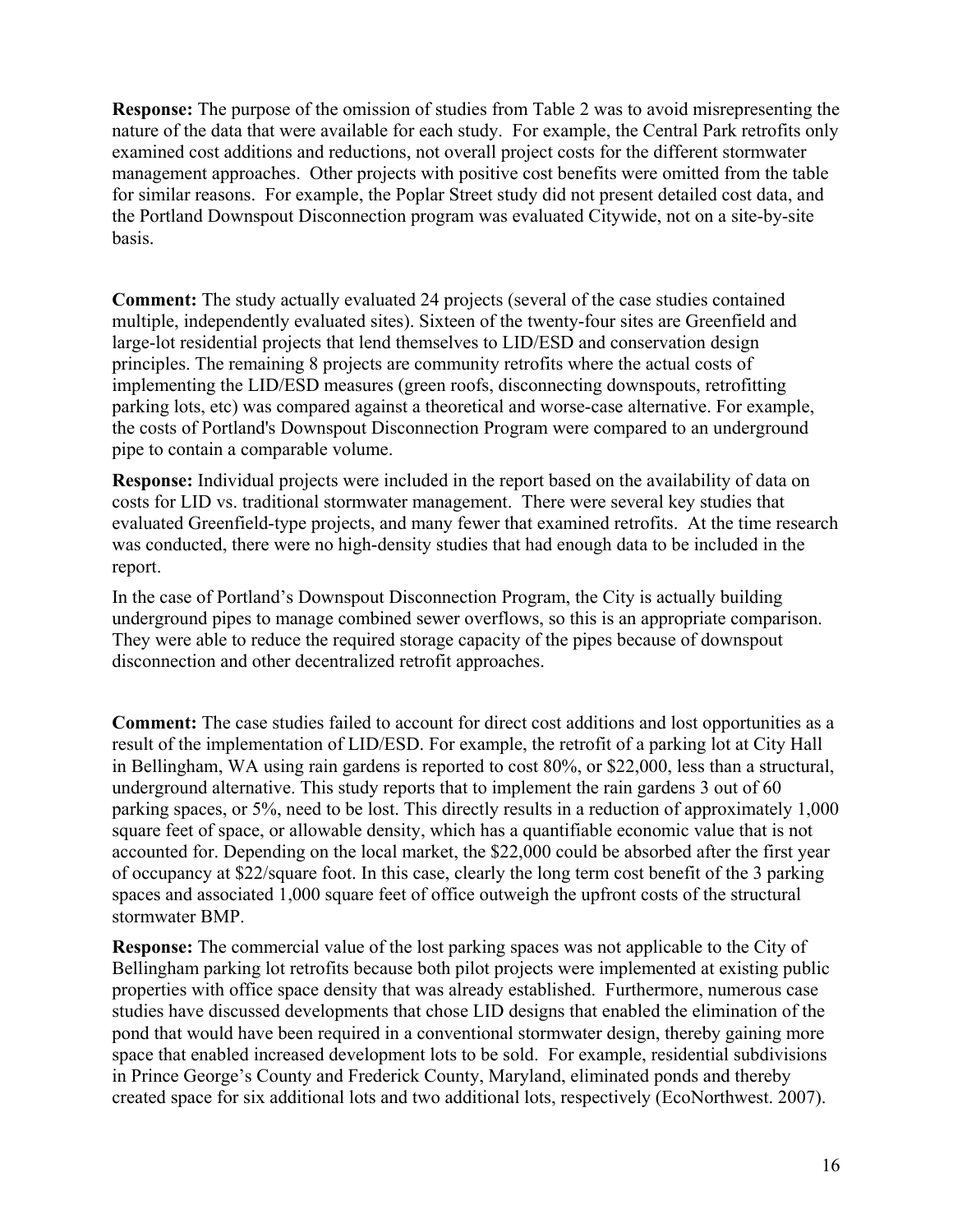**Response:** The purpose of the omission of studies from Table 2 was to avoid misrepresenting the nature of the data that were available for each study. For example, the Central Park retrofits only examined cost additions and reductions, not overall project costs for the different stormwater management approaches. Other projects with positive cost benefits were omitted from the table for similar reasons. For example, the Poplar Street study did not present detailed cost data, and the Portland Downspout Disconnection program was evaluated Citywide, not on a site-by-site basis.

**Comment:** The study actually evaluated 24 projects (several of the case studies contained multiple, independently evaluated sites). Sixteen of the twenty-four sites are Greenfield and large-lot residential projects that lend themselves to LID/ESD and conservation design principles. The remaining 8 projects are community retrofits where the actual costs of implementing the LID/ESD measures (green roofs, disconnecting downspouts, retrofitting parking lots, etc) was compared against a theoretical and worse-case alternative. For example, the costs of Portland's Downspout Disconnection Program were compared to an underground pipe to contain a comparable volume.

**Response:** Individual projects were included in the report based on the availability of data on costs for LID vs. traditional stormwater management. There were several key studies that evaluated Greenfield-type projects, and many fewer that examined retrofits. At the time research was conducted, there were no high-density studies that had enough data to be included in the report.

In the case of Portland's Downspout Disconnection Program, the City is actually building underground pipes to manage combined sewer overflows, so this is an appropriate comparison. They were able to reduce the required storage capacity of the pipes because of downspout disconnection and other decentralized retrofit approaches.

**Comment:** The case studies failed to account for direct cost additions and lost opportunities as a result of the implementation of LID/ESD. For example, the retrofit of a parking lot at City Hall in Bellingham, WA using rain gardens is reported to cost 80%, or \$22,000, less than a structural, underground alternative. This study reports that to implement the rain gardens 3 out of 60 parking spaces, or 5%, need to be lost. This directly results in a reduction of approximately 1,000 square feet of space, or allowable density, which has a quantifiable economic value that is not accounted for. Depending on the local market, the \$22,000 could be absorbed after the first year of occupancy at \$22/square foot. In this case, clearly the long term cost benefit of the 3 parking spaces and associated 1,000 square feet of office outweigh the upfront costs of the structural stormwater BMP.

**Response:** The commercial value of the lost parking spaces was not applicable to the City of Bellingham parking lot retrofits because both pilot projects were implemented at existing public properties with office space density that was already established. Furthermore, numerous case studies have discussed developments that chose LID designs that enabled the elimination of the pond that would have been required in a conventional stormwater design, thereby gaining more space that enabled increased development lots to be sold. For example, residential subdivisions in Prince George's County and Frederick County, Maryland, eliminated ponds and thereby created space for six additional lots and two additional lots, respectively (EcoNorthwest. 2007).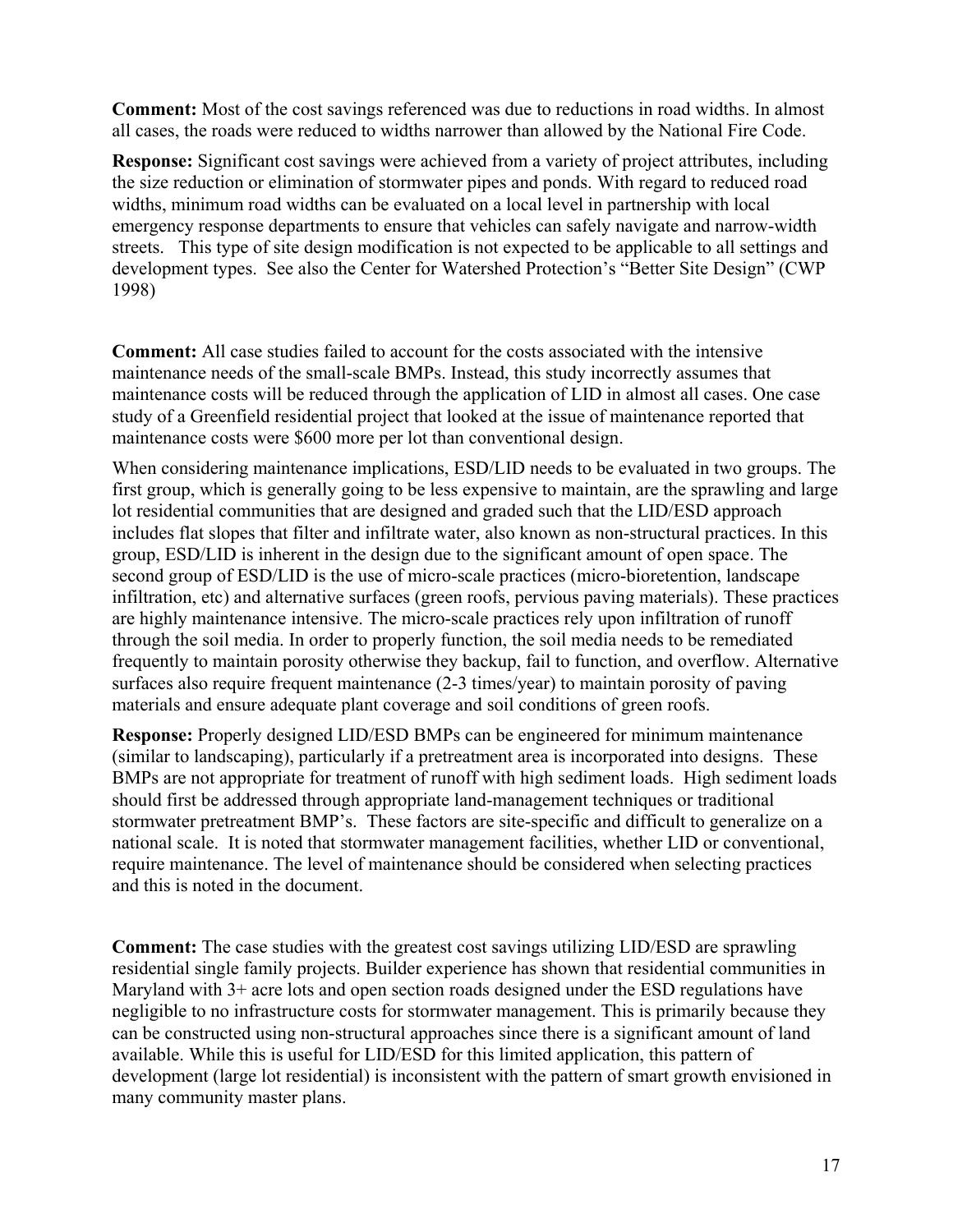**Comment:** Most of the cost savings referenced was due to reductions in road widths. In almost all cases, the roads were reduced to widths narrower than allowed by the National Fire Code.

**Response:** Significant cost savings were achieved from a variety of project attributes, including the size reduction or elimination of stormwater pipes and ponds. With regard to reduced road widths, minimum road widths can be evaluated on a local level in partnership with local emergency response departments to ensure that vehicles can safely navigate and narrow-width streets. This type of site design modification is not expected to be applicable to all settings and development types. See also the Center for Watershed Protection's "Better Site Design" (CWP 1998)

**Comment:** All case studies failed to account for the costs associated with the intensive maintenance needs of the small-scale BMPs. Instead, this study incorrectly assumes that maintenance costs will be reduced through the application of LID in almost all cases. One case study of a Greenfield residential project that looked at the issue of maintenance reported that maintenance costs were \$600 more per lot than conventional design.

When considering maintenance implications, ESD/LID needs to be evaluated in two groups. The first group, which is generally going to be less expensive to maintain, are the sprawling and large lot residential communities that are designed and graded such that the LID/ESD approach includes flat slopes that filter and infiltrate water, also known as non-structural practices. In this group, ESD/LID is inherent in the design due to the significant amount of open space. The second group of ESD/LID is the use of micro-scale practices (micro-bioretention, landscape infiltration, etc) and alternative surfaces (green roofs, pervious paving materials). These practices are highly maintenance intensive. The micro-scale practices rely upon infiltration of runoff through the soil media. In order to properly function, the soil media needs to be remediated frequently to maintain porosity otherwise they backup, fail to function, and overflow. Alternative surfaces also require frequent maintenance (2-3 times/year) to maintain porosity of paving materials and ensure adequate plant coverage and soil conditions of green roofs.

**Response:** Properly designed LID/ESD BMPs can be engineered for minimum maintenance (similar to landscaping), particularly if a pretreatment area is incorporated into designs. These BMPs are not appropriate for treatment of runoff with high sediment loads. High sediment loads should first be addressed through appropriate land-management techniques or traditional stormwater pretreatment BMP's. These factors are site-specific and difficult to generalize on a national scale. It is noted that stormwater management facilities, whether LID or conventional, require maintenance. The level of maintenance should be considered when selecting practices and this is noted in the document.

**Comment:** The case studies with the greatest cost savings utilizing LID/ESD are sprawling residential single family projects. Builder experience has shown that residential communities in Maryland with 3+ acre lots and open section roads designed under the ESD regulations have negligible to no infrastructure costs for stormwater management. This is primarily because they can be constructed using non-structural approaches since there is a significant amount of land available. While this is useful for LID/ESD for this limited application, this pattern of development (large lot residential) is inconsistent with the pattern of smart growth envisioned in many community master plans.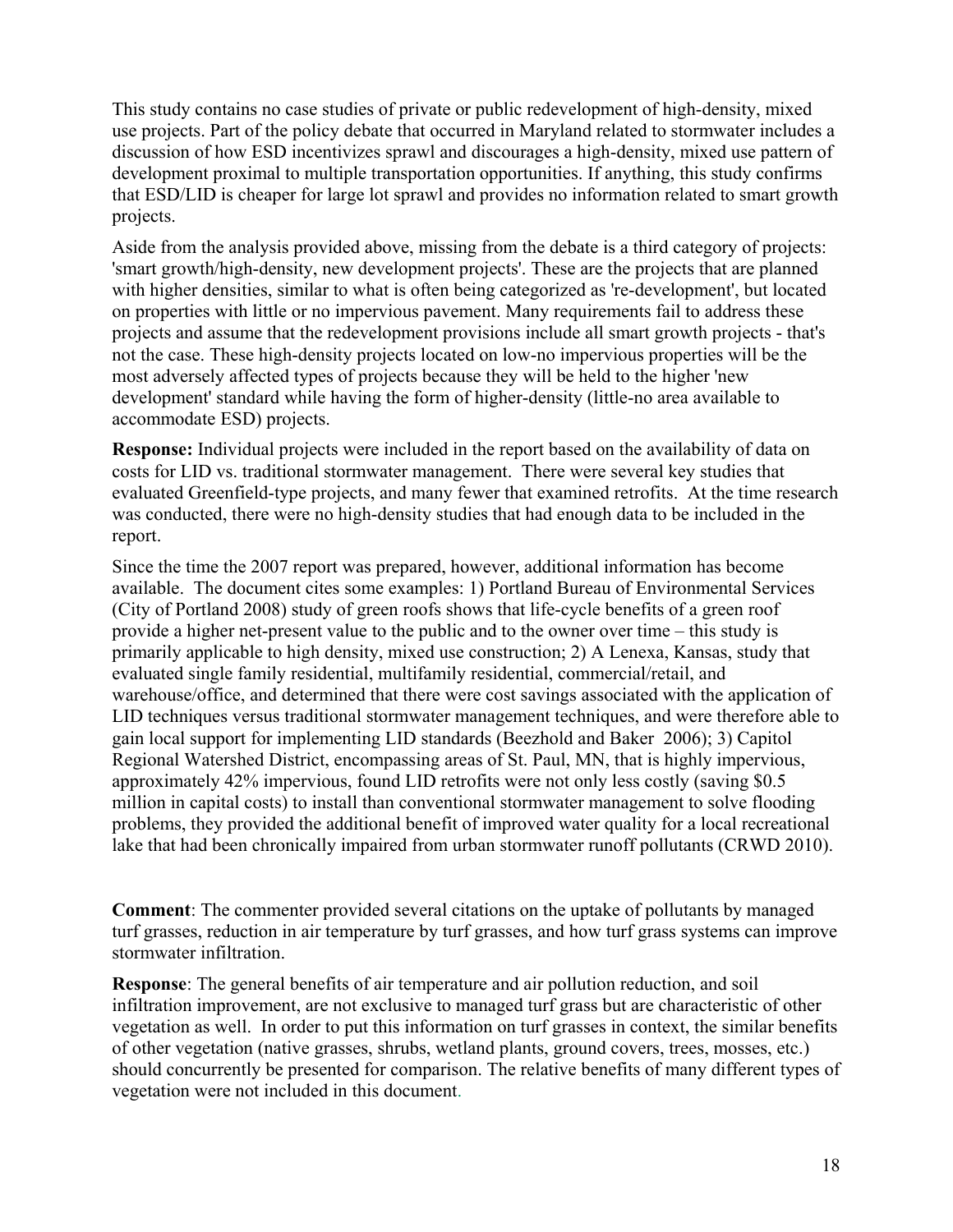This study contains no case studies of private or public redevelopment of high-density, mixed use projects. Part of the policy debate that occurred in Maryland related to stormwater includes a discussion of how ESD incentivizes sprawl and discourages a high-density, mixed use pattern of development proximal to multiple transportation opportunities. If anything, this study confirms that ESD/LID is cheaper for large lot sprawl and provides no information related to smart growth projects.

Aside from the analysis provided above, missing from the debate is a third category of projects: 'smart growth/high-density, new development projects'. These are the projects that are planned with higher densities, similar to what is often being categorized as 're-development', but located on properties with little or no impervious pavement. Many requirements fail to address these projects and assume that the redevelopment provisions include all smart growth projects - that's not the case. These high-density projects located on low-no impervious properties will be the most adversely affected types of projects because they will be held to the higher 'new development' standard while having the form of higher-density (little-no area available to accommodate ESD) projects.

**Response:** Individual projects were included in the report based on the availability of data on costs for LID vs. traditional stormwater management. There were several key studies that evaluated Greenfield-type projects, and many fewer that examined retrofits. At the time research was conducted, there were no high-density studies that had enough data to be included in the report.

Since the time the 2007 report was prepared, however, additional information has become available. The document cites some examples: 1) Portland Bureau of Environmental Services (City of Portland 2008) study of green roofs shows that life-cycle benefits of a green roof provide a higher net-present value to the public and to the owner over time – this study is primarily applicable to high density, mixed use construction; 2) A Lenexa, Kansas, study that evaluated single family residential, multifamily residential, commercial/retail, and warehouse/office, and determined that there were cost savings associated with the application of LID techniques versus traditional stormwater management techniques, and were therefore able to gain local support for implementing LID standards (Beezhold and Baker 2006); 3) Capitol Regional Watershed District, encompassing areas of St. Paul, MN, that is highly impervious, approximately 42% impervious, found LID retrofits were not only less costly (saving \$0.5 million in capital costs) to install than conventional stormwater management to solve flooding problems, they provided the additional benefit of improved water quality for a local recreational lake that had been chronically impaired from urban stormwater runoff pollutants (CRWD 2010).

**Comment**: The commenter provided several citations on the uptake of pollutants by managed turf grasses, reduction in air temperature by turf grasses, and how turf grass systems can improve stormwater infiltration.

**Response**: The general benefits of air temperature and air pollution reduction, and soil infiltration improvement, are not exclusive to managed turf grass but are characteristic of other vegetation as well. In order to put this information on turf grasses in context, the similar benefits of other vegetation (native grasses, shrubs, wetland plants, ground covers, trees, mosses, etc.) should concurrently be presented for comparison. The relative benefits of many different types of vegetation were not included in this document.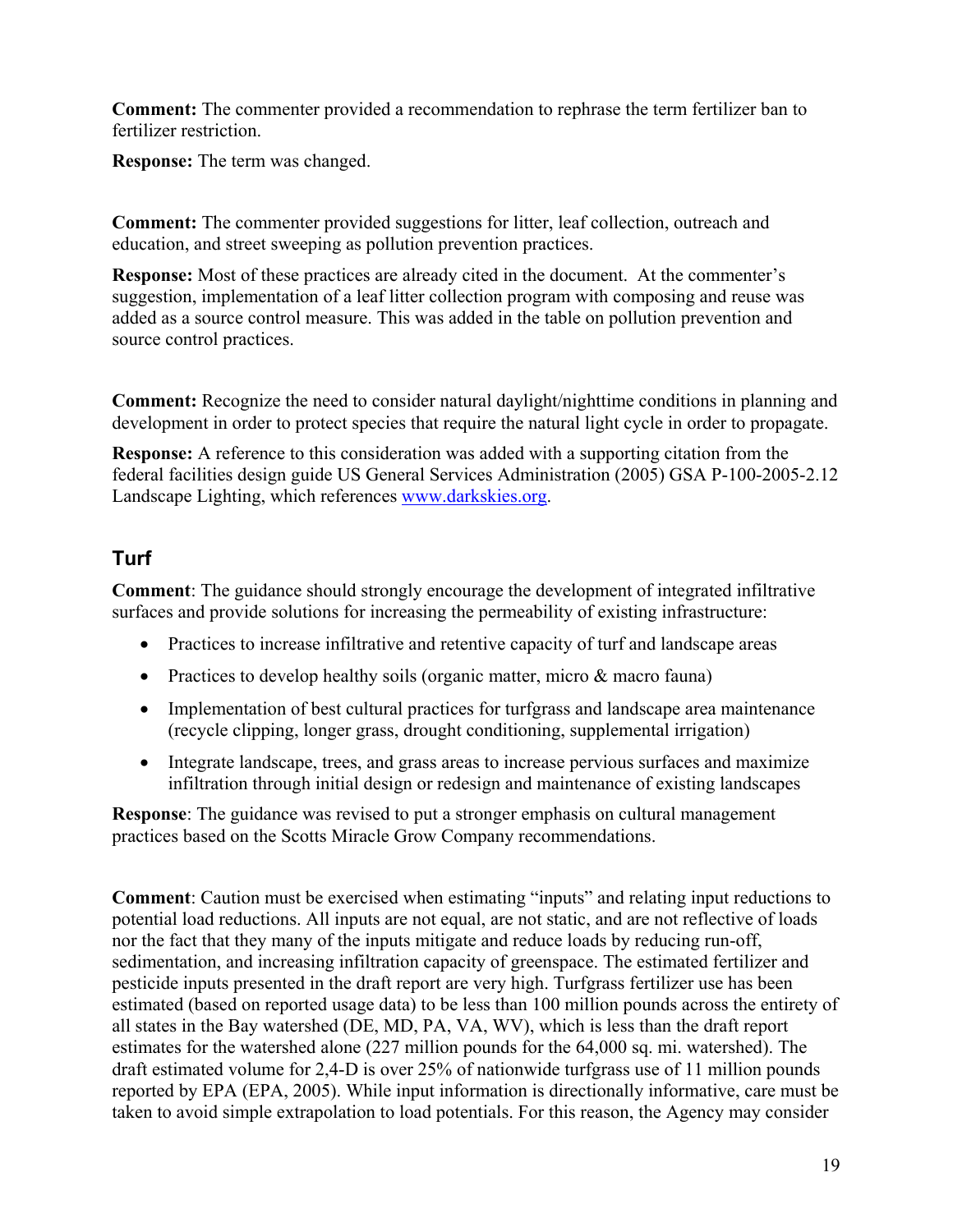**Comment:** The commenter provided a recommendation to rephrase the term fertilizer ban to fertilizer restriction.

**Response:** The term was changed.

**Comment:** The commenter provided suggestions for litter, leaf collection, outreach and education, and street sweeping as pollution prevention practices.

**Response:** Most of these practices are already cited in the document. At the commenter's suggestion, implementation of a leaf litter collection program with composing and reuse was added as a source control measure. This was added in the table on pollution prevention and source control practices.

**Comment:** Recognize the need to consider natural daylight/nighttime conditions in planning and development in order to protect species that require the natural light cycle in order to propagate.

**Response:** A reference to this consideration was added with a supporting citation from the federal facilities design guide US General Services Administration (2005) GSA P-100-2005-2.12 Landscape Lighting, which references [www.darkskies.org.](http://docs.darksky.org/Codes/SimpleGuidelines.pdf)

### <span id="page-18-0"></span>**Turf**

**Comment**: The guidance should strongly encourage the development of integrated infiltrative surfaces and provide solutions for increasing the permeability of existing infrastructure:

- Practices to increase infiltrative and retentive capacity of turf and landscape areas
- Practices to develop healthy soils (organic matter, micro  $\&$  macro fauna)
- Implementation of best cultural practices for turfgrass and landscape area maintenance (recycle clipping, longer grass, drought conditioning, supplemental irrigation)
- Integrate landscape, trees, and grass areas to increase pervious surfaces and maximize infiltration through initial design or redesign and maintenance of existing landscapes

**Response**: The guidance was revised to put a stronger emphasis on cultural management practices based on the Scotts Miracle Grow Company recommendations.

**Comment**: Caution must be exercised when estimating "inputs" and relating input reductions to potential load reductions. All inputs are not equal, are not static, and are not reflective of loads nor the fact that they many of the inputs mitigate and reduce loads by reducing run-off, sedimentation, and increasing infiltration capacity of greenspace. The estimated fertilizer and pesticide inputs presented in the draft report are very high. Turfgrass fertilizer use has been estimated (based on reported usage data) to be less than 100 million pounds across the entirety of all states in the Bay watershed (DE, MD, PA, VA, WV), which is less than the draft report estimates for the watershed alone (227 million pounds for the 64,000 sq. mi. watershed). The draft estimated volume for 2,4-D is over 25% of nationwide turfgrass use of 11 million pounds reported by EPA (EPA, 2005). While input information is directionally informative, care must be taken to avoid simple extrapolation to load potentials. For this reason, the Agency may consider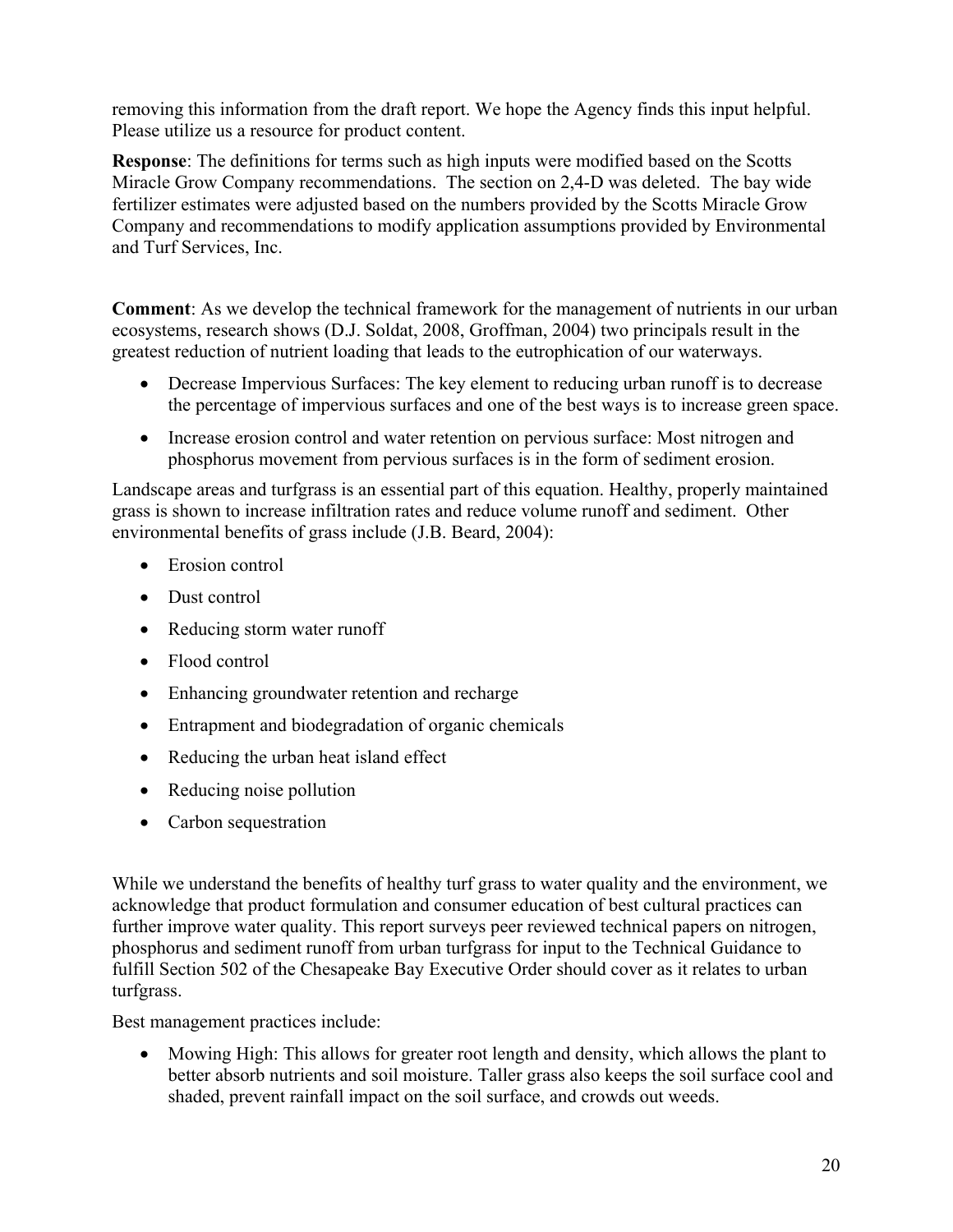removing this information from the draft report. We hope the Agency finds this input helpful. Please utilize us a resource for product content.

**Response**: The definitions for terms such as high inputs were modified based on the Scotts Miracle Grow Company recommendations. The section on 2,4-D was deleted. The bay wide fertilizer estimates were adjusted based on the numbers provided by the Scotts Miracle Grow Company and recommendations to modify application assumptions provided by Environmental and Turf Services, Inc.

**Comment**: As we develop the technical framework for the management of nutrients in our urban ecosystems, research shows (D.J. Soldat, 2008, Groffman, 2004) two principals result in the greatest reduction of nutrient loading that leads to the eutrophication of our waterways.

- Decrease Impervious Surfaces: The key element to reducing urban runoff is to decrease the percentage of impervious surfaces and one of the best ways is to increase green space.
- Increase erosion control and water retention on pervious surface: Most nitrogen and phosphorus movement from pervious surfaces is in the form of sediment erosion.

Landscape areas and turfgrass is an essential part of this equation. Healthy, properly maintained grass is shown to increase infiltration rates and reduce volume runoff and sediment. Other environmental benefits of grass include (J.B. Beard, 2004):

- Erosion control
- Dust control
- Reducing storm water runoff
- Flood control
- Enhancing groundwater retention and recharge
- Entrapment and biodegradation of organic chemicals
- Reducing the urban heat island effect
- Reducing noise pollution
- Carbon sequestration

While we understand the benefits of healthy turf grass to water quality and the environment, we acknowledge that product formulation and consumer education of best cultural practices can further improve water quality. This report surveys peer reviewed technical papers on nitrogen, phosphorus and sediment runoff from urban turfgrass for input to the Technical Guidance to fulfill Section 502 of the Chesapeake Bay Executive Order should cover as it relates to urban turfgrass.

Best management practices include:

 Mowing High: This allows for greater root length and density, which allows the plant to better absorb nutrients and soil moisture. Taller grass also keeps the soil surface cool and shaded, prevent rainfall impact on the soil surface, and crowds out weeds.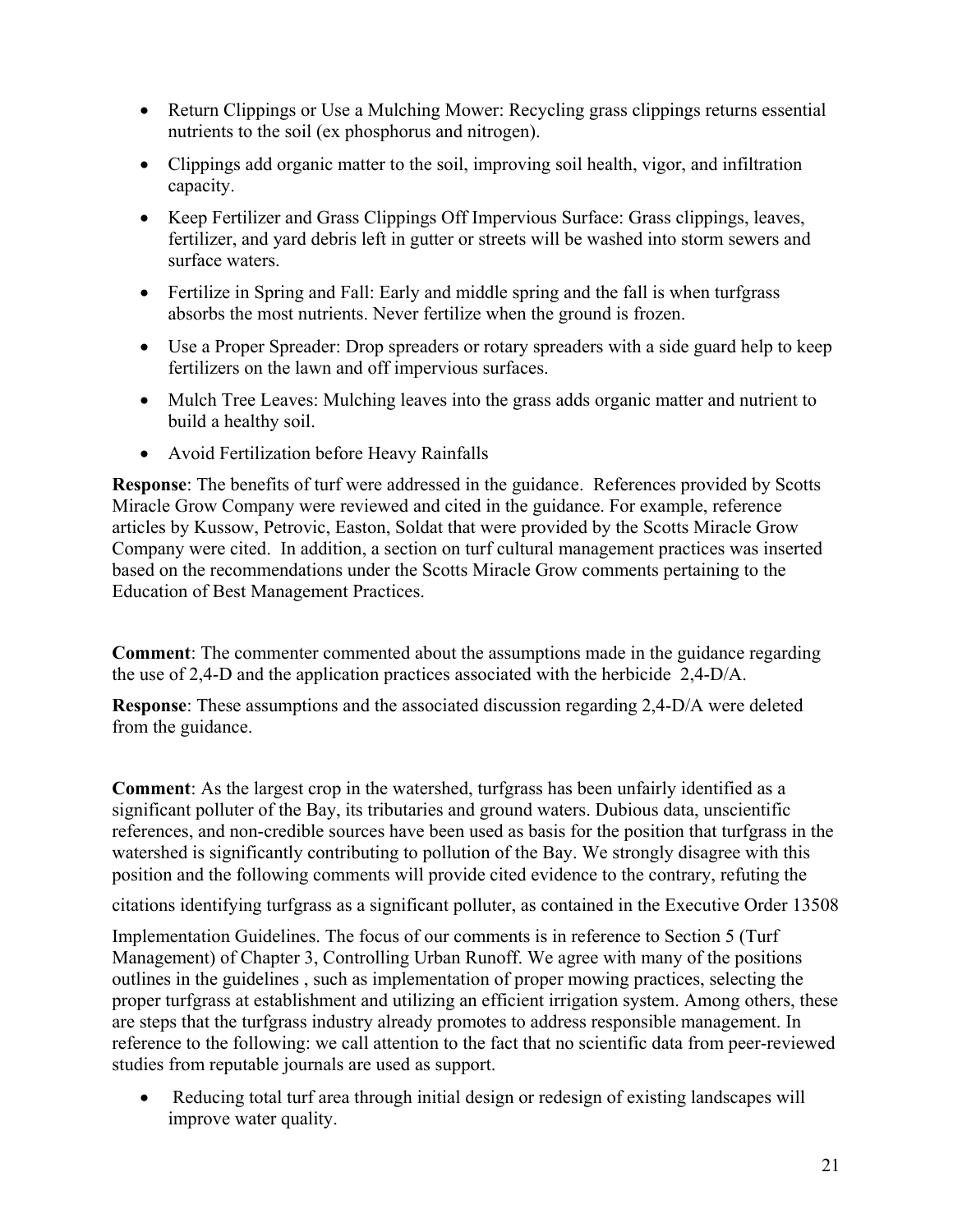- Return Clippings or Use a Mulching Mower: Recycling grass clippings returns essential nutrients to the soil (ex phosphorus and nitrogen).
- Clippings add organic matter to the soil, improving soil health, vigor, and infiltration capacity.
- Keep Fertilizer and Grass Clippings Off Impervious Surface: Grass clippings, leaves, fertilizer, and yard debris left in gutter or streets will be washed into storm sewers and surface waters.
- Fertilize in Spring and Fall: Early and middle spring and the fall is when turfgrass absorbs the most nutrients. Never fertilize when the ground is frozen.
- Use a Proper Spreader: Drop spreaders or rotary spreaders with a side guard help to keep fertilizers on the lawn and off impervious surfaces.
- Mulch Tree Leaves: Mulching leaves into the grass adds organic matter and nutrient to build a healthy soil.
- Avoid Fertilization before Heavy Rainfalls

**Response**: The benefits of turf were addressed in the guidance. References provided by Scotts Miracle Grow Company were reviewed and cited in the guidance. For example, reference articles by Kussow, Petrovic, Easton, Soldat that were provided by the Scotts Miracle Grow Company were cited. In addition, a section on turf cultural management practices was inserted based on the recommendations under the Scotts Miracle Grow comments pertaining to the Education of Best Management Practices.

**Comment**: The commenter commented about the assumptions made in the guidance regarding the use of 2,4-D and the application practices associated with the herbicide 2,4-D/A.

**Response**: These assumptions and the associated discussion regarding 2,4-D/A were deleted from the guidance.

**Comment**: As the largest crop in the watershed, turfgrass has been unfairly identified as a significant polluter of the Bay, its tributaries and ground waters. Dubious data, unscientific references, and non-credible sources have been used as basis for the position that turfgrass in the watershed is significantly contributing to pollution of the Bay. We strongly disagree with this position and the following comments will provide cited evidence to the contrary, refuting the

citations identifying turfgrass as a significant polluter, as contained in the Executive Order 13508

Implementation Guidelines. The focus of our comments is in reference to Section 5 (Turf Management) of Chapter 3, Controlling Urban Runoff. We agree with many of the positions outlines in the guidelines , such as implementation of proper mowing practices, selecting the proper turfgrass at establishment and utilizing an efficient irrigation system. Among others, these are steps that the turfgrass industry already promotes to address responsible management. In reference to the following: we call attention to the fact that no scientific data from peer-reviewed studies from reputable journals are used as support.

• Reducing total turf area through initial design or redesign of existing landscapes will improve water quality.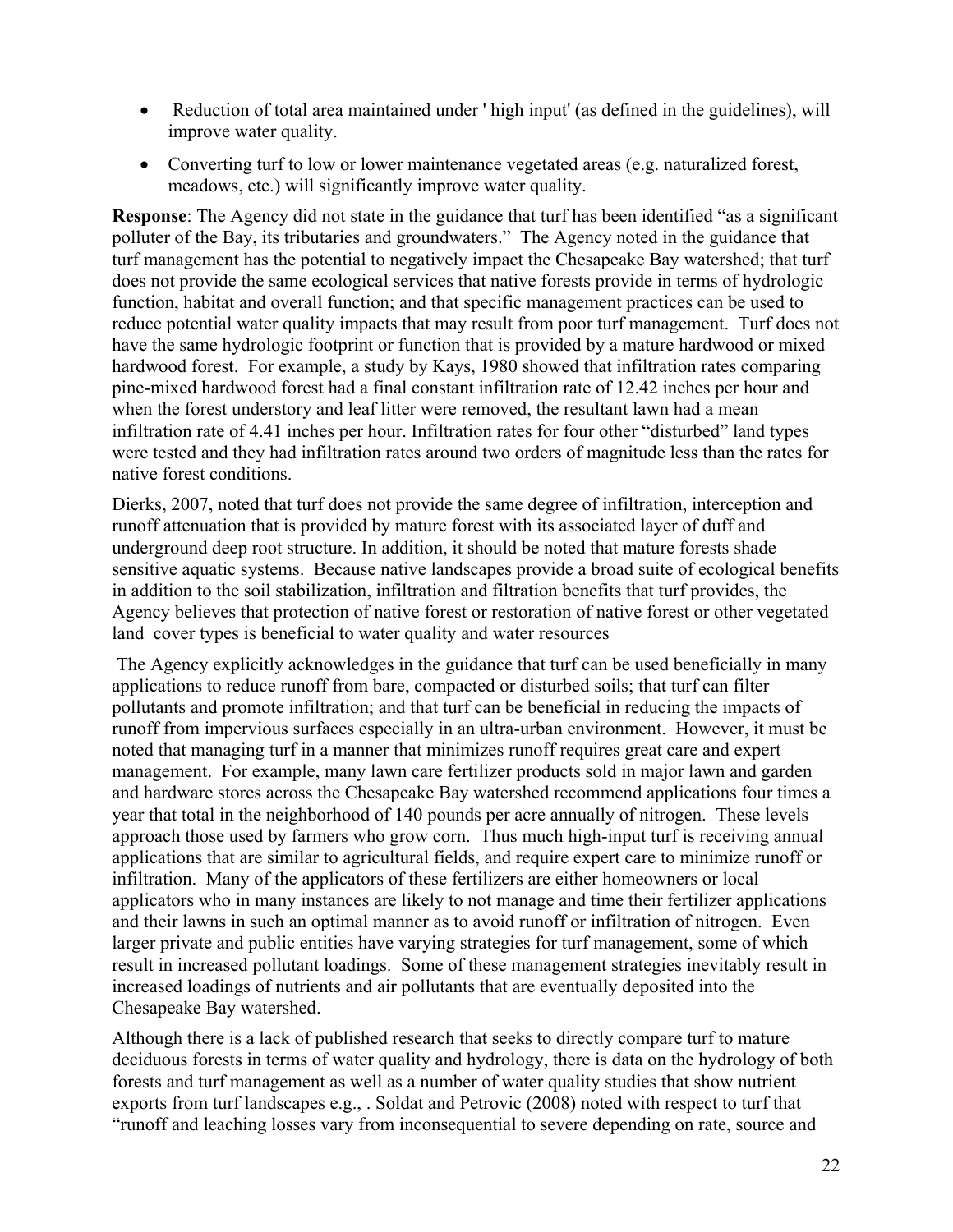- Reduction of total area maintained under 'high input' (as defined in the guidelines), will improve water quality.
- Converting turf to low or lower maintenance vegetated areas (e.g. naturalized forest, meadows, etc.) will significantly improve water quality.

**Response**: The Agency did not state in the guidance that turf has been identified "as a significant polluter of the Bay, its tributaries and groundwaters." The Agency noted in the guidance that turf management has the potential to negatively impact the Chesapeake Bay watershed; that turf does not provide the same ecological services that native forests provide in terms of hydrologic function, habitat and overall function; and that specific management practices can be used to reduce potential water quality impacts that may result from poor turf management. Turf does not have the same hydrologic footprint or function that is provided by a mature hardwood or mixed hardwood forest. For example, a study by Kays, 1980 showed that infiltration rates comparing pine-mixed hardwood forest had a final constant infiltration rate of 12.42 inches per hour and when the forest understory and leaf litter were removed, the resultant lawn had a mean infiltration rate of 4.41 inches per hour. Infiltration rates for four other "disturbed" land types were tested and they had infiltration rates around two orders of magnitude less than the rates for native forest conditions.

Dierks, 2007, noted that turf does not provide the same degree of infiltration, interception and runoff attenuation that is provided by mature forest with its associated layer of duff and underground deep root structure. In addition, it should be noted that mature forests shade sensitive aquatic systems. Because native landscapes provide a broad suite of ecological benefits in addition to the soil stabilization, infiltration and filtration benefits that turf provides, the Agency believes that protection of native forest or restoration of native forest or other vegetated land cover types is beneficial to water quality and water resources

 The Agency explicitly acknowledges in the guidance that turf can be used beneficially in many applications to reduce runoff from bare, compacted or disturbed soils; that turf can filter pollutants and promote infiltration; and that turf can be beneficial in reducing the impacts of runoff from impervious surfaces especially in an ultra-urban environment. However, it must be noted that managing turf in a manner that minimizes runoff requires great care and expert management. For example, many lawn care fertilizer products sold in major lawn and garden and hardware stores across the Chesapeake Bay watershed recommend applications four times a year that total in the neighborhood of 140 pounds per acre annually of nitrogen. These levels approach those used by farmers who grow corn. Thus much high-input turf is receiving annual applications that are similar to agricultural fields, and require expert care to minimize runoff or infiltration. Many of the applicators of these fertilizers are either homeowners or local applicators who in many instances are likely to not manage and time their fertilizer applications and their lawns in such an optimal manner as to avoid runoff or infiltration of nitrogen. Even larger private and public entities have varying strategies for turf management, some of which result in increased pollutant loadings. Some of these management strategies inevitably result in increased loadings of nutrients and air pollutants that are eventually deposited into the Chesapeake Bay watershed.

Although there is a lack of published research that seeks to directly compare turf to mature deciduous forests in terms of water quality and hydrology, there is data on the hydrology of both forests and turf management as well as a number of water quality studies that show nutrient exports from turf landscapes e.g., . Soldat and Petrovic (2008) noted with respect to turf that "runoff and leaching losses vary from inconsequential to severe depending on rate, source and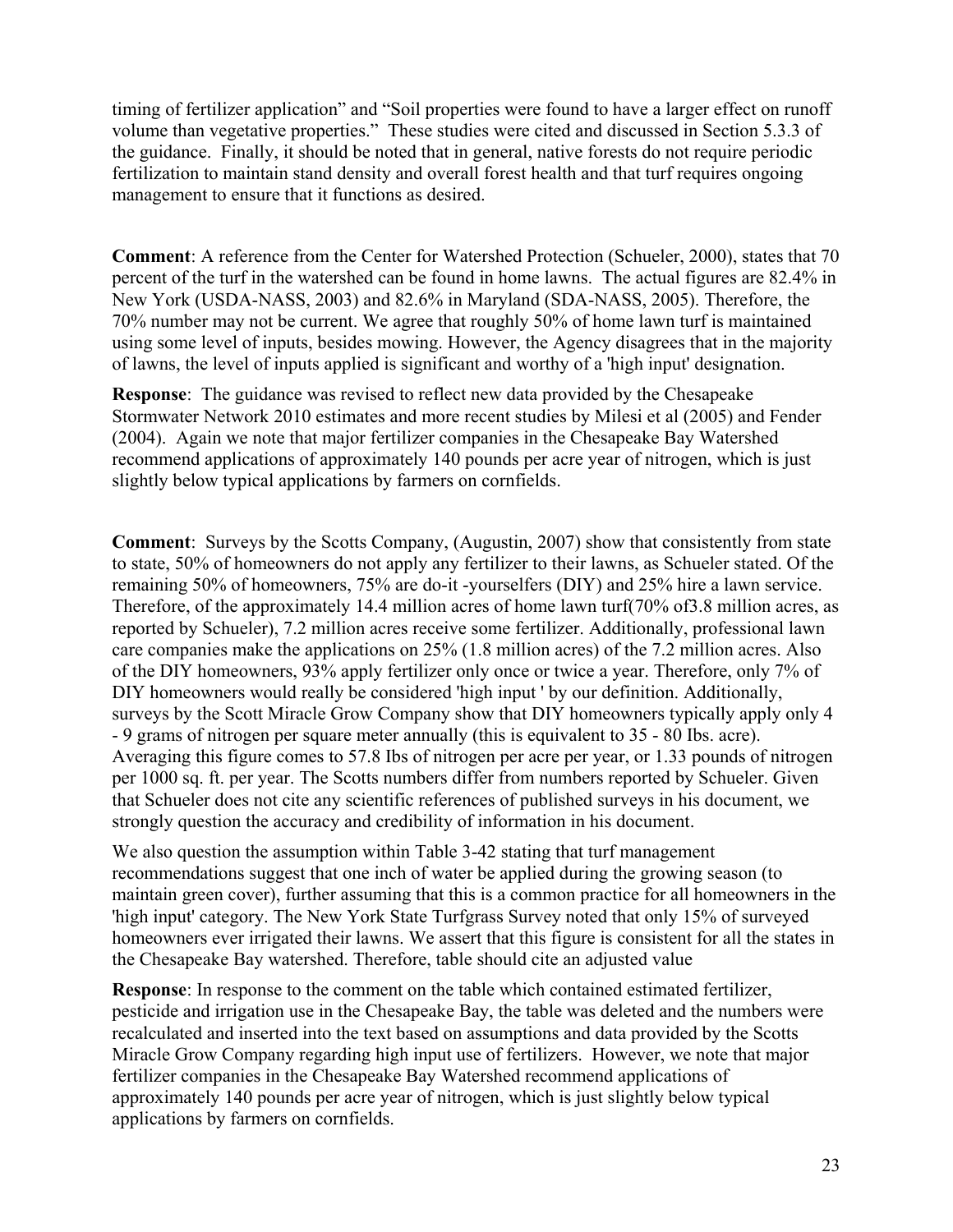timing of fertilizer application" and "Soil properties were found to have a larger effect on runoff volume than vegetative properties." These studies were cited and discussed in Section 5.3.3 of the guidance. Finally, it should be noted that in general, native forests do not require periodic fertilization to maintain stand density and overall forest health and that turf requires ongoing management to ensure that it functions as desired.

**Comment**: A reference from the Center for Watershed Protection (Schueler, 2000), states that 70 percent of the turf in the watershed can be found in home lawns. The actual figures are 82.4% in New York (USDA-NASS, 2003) and 82.6% in Maryland (SDA-NASS, 2005). Therefore, the 70% number may not be current. We agree that roughly 50% of home lawn turf is maintained using some level of inputs, besides mowing. However, the Agency disagrees that in the majority of lawns, the level of inputs applied is significant and worthy of a 'high input' designation.

**Response**: The guidance was revised to reflect new data provided by the Chesapeake Stormwater Network 2010 estimates and more recent studies by Milesi et al (2005) and Fender (2004). Again we note that major fertilizer companies in the Chesapeake Bay Watershed recommend applications of approximately 140 pounds per acre year of nitrogen, which is just slightly below typical applications by farmers on cornfields.

**Comment**: Surveys by the Scotts Company, (Augustin, 2007) show that consistently from state to state, 50% of homeowners do not apply any fertilizer to their lawns, as Schueler stated. Of the remaining 50% of homeowners, 75% are do-it -yourselfers (DIY) and 25% hire a lawn service. Therefore, of the approximately 14.4 million acres of home lawn turf(70% of3.8 million acres, as reported by Schueler), 7.2 million acres receive some fertilizer. Additionally, professional lawn care companies make the applications on 25% (1.8 million acres) of the 7.2 million acres. Also of the DIY homeowners, 93% apply fertilizer only once or twice a year. Therefore, only 7% of DIY homeowners would really be considered 'high input ' by our definition. Additionally, surveys by the Scott Miracle Grow Company show that DIY homeowners typically apply only 4 - 9 grams of nitrogen per square meter annually (this is equivalent to 35 - 80 Ibs. acre). Averaging this figure comes to 57.8 Ibs of nitrogen per acre per year, or 1.33 pounds of nitrogen per 1000 sq. ft. per year. The Scotts numbers differ from numbers reported by Schueler. Given that Schueler does not cite any scientific references of published surveys in his document, we strongly question the accuracy and credibility of information in his document.

We also question the assumption within Table 3-42 stating that turf management recommendations suggest that one inch of water be applied during the growing season (to maintain green cover), further assuming that this is a common practice for all homeowners in the 'high input' category. The New York State Turfgrass Survey noted that only 15% of surveyed homeowners ever irrigated their lawns. We assert that this figure is consistent for all the states in the Chesapeake Bay watershed. Therefore, table should cite an adjusted value

**Response**: In response to the comment on the table which contained estimated fertilizer, pesticide and irrigation use in the Chesapeake Bay, the table was deleted and the numbers were recalculated and inserted into the text based on assumptions and data provided by the Scotts Miracle Grow Company regarding high input use of fertilizers. However, we note that major fertilizer companies in the Chesapeake Bay Watershed recommend applications of approximately 140 pounds per acre year of nitrogen, which is just slightly below typical applications by farmers on cornfields.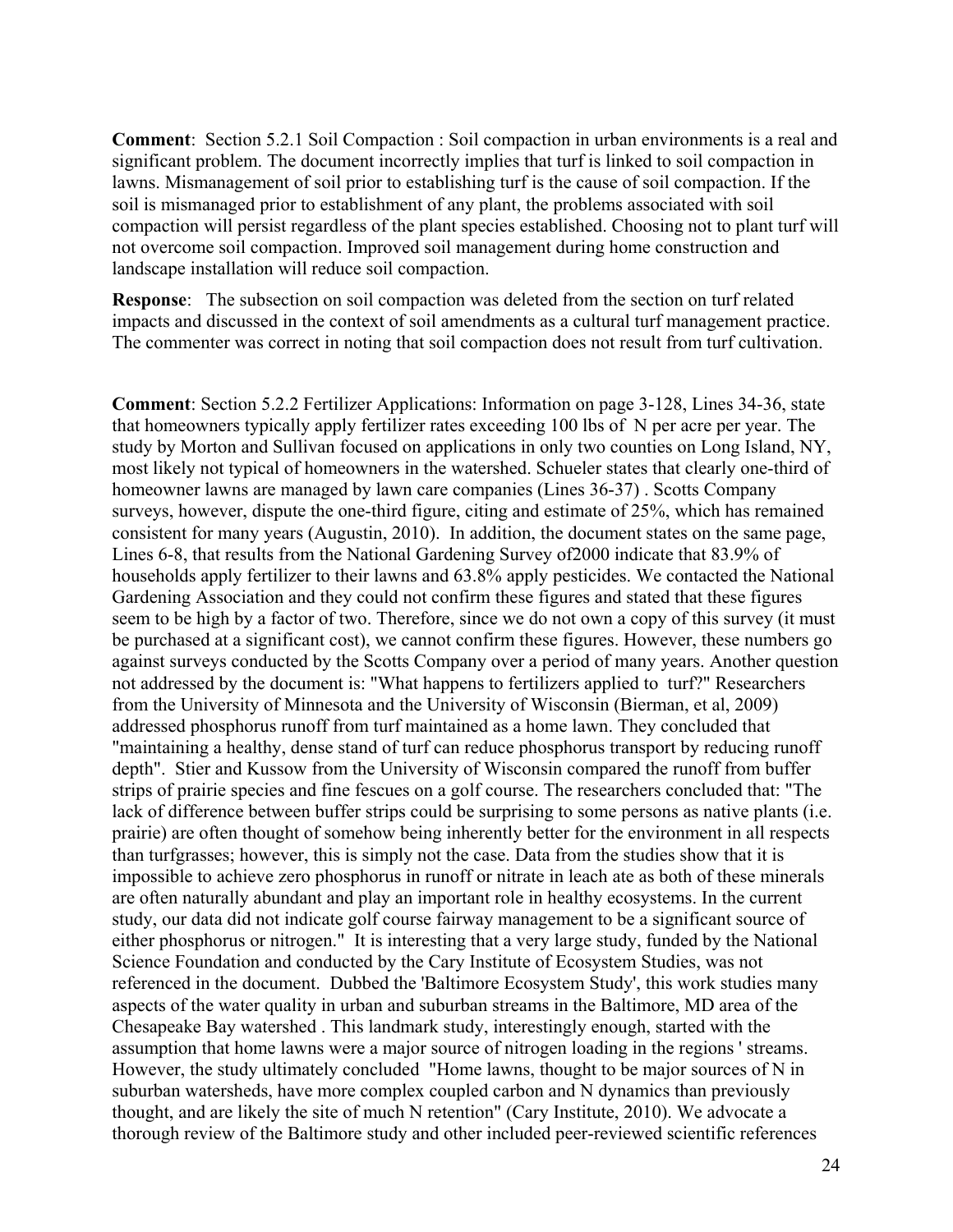**Comment**: Section 5.2.1 Soil Compaction : Soil compaction in urban environments is a real and significant problem. The document incorrectly implies that turf is linked to soil compaction in lawns. Mismanagement of soil prior to establishing turf is the cause of soil compaction. If the soil is mismanaged prior to establishment of any plant, the problems associated with soil compaction will persist regardless of the plant species established. Choosing not to plant turf will not overcome soil compaction. Improved soil management during home construction and landscape installation will reduce soil compaction.

**Response**: The subsection on soil compaction was deleted from the section on turf related impacts and discussed in the context of soil amendments as a cultural turf management practice. The commenter was correct in noting that soil compaction does not result from turf cultivation.

**Comment**: Section 5.2.2 Fertilizer Applications: Information on page 3-128, Lines 34-36, state that homeowners typically apply fertilizer rates exceeding 100 lbs of N per acre per year. The study by Morton and Sullivan focused on applications in only two counties on Long Island, NY, most likely not typical of homeowners in the watershed. Schueler states that clearly one-third of homeowner lawns are managed by lawn care companies (Lines 36-37) . Scotts Company surveys, however, dispute the one-third figure, citing and estimate of 25%, which has remained consistent for many years (Augustin, 2010). In addition, the document states on the same page, Lines 6-8, that results from the National Gardening Survey of2000 indicate that 83.9% of households apply fertilizer to their lawns and 63.8% apply pesticides. We contacted the National Gardening Association and they could not confirm these figures and stated that these figures seem to be high by a factor of two. Therefore, since we do not own a copy of this survey (it must be purchased at a significant cost), we cannot confirm these figures. However, these numbers go against surveys conducted by the Scotts Company over a period of many years. Another question not addressed by the document is: "What happens to fertilizers applied to turf?" Researchers from the University of Minnesota and the University of Wisconsin (Bierman, et al, 2009) addressed phosphorus runoff from turf maintained as a home lawn. They concluded that "maintaining a healthy, dense stand of turf can reduce phosphorus transport by reducing runoff depth". Stier and Kussow from the University of Wisconsin compared the runoff from buffer strips of prairie species and fine fescues on a golf course. The researchers concluded that: "The lack of difference between buffer strips could be surprising to some persons as native plants (i.e. prairie) are often thought of somehow being inherently better for the environment in all respects than turfgrasses; however, this is simply not the case. Data from the studies show that it is impossible to achieve zero phosphorus in runoff or nitrate in leach ate as both of these minerals are often naturally abundant and play an important role in healthy ecosystems. In the current study, our data did not indicate golf course fairway management to be a significant source of either phosphorus or nitrogen." It is interesting that a very large study, funded by the National Science Foundation and conducted by the Cary Institute of Ecosystem Studies, was not referenced in the document. Dubbed the 'Baltimore Ecosystem Study', this work studies many aspects of the water quality in urban and suburban streams in the Baltimore, MD area of the Chesapeake Bay watershed . This landmark study, interestingly enough, started with the assumption that home lawns were a major source of nitrogen loading in the regions ' streams. However, the study ultimately concluded "Home lawns, thought to be major sources of N in suburban watersheds, have more complex coupled carbon and N dynamics than previously thought, and are likely the site of much N retention" (Cary Institute, 2010). We advocate a thorough review of the Baltimore study and other included peer-reviewed scientific references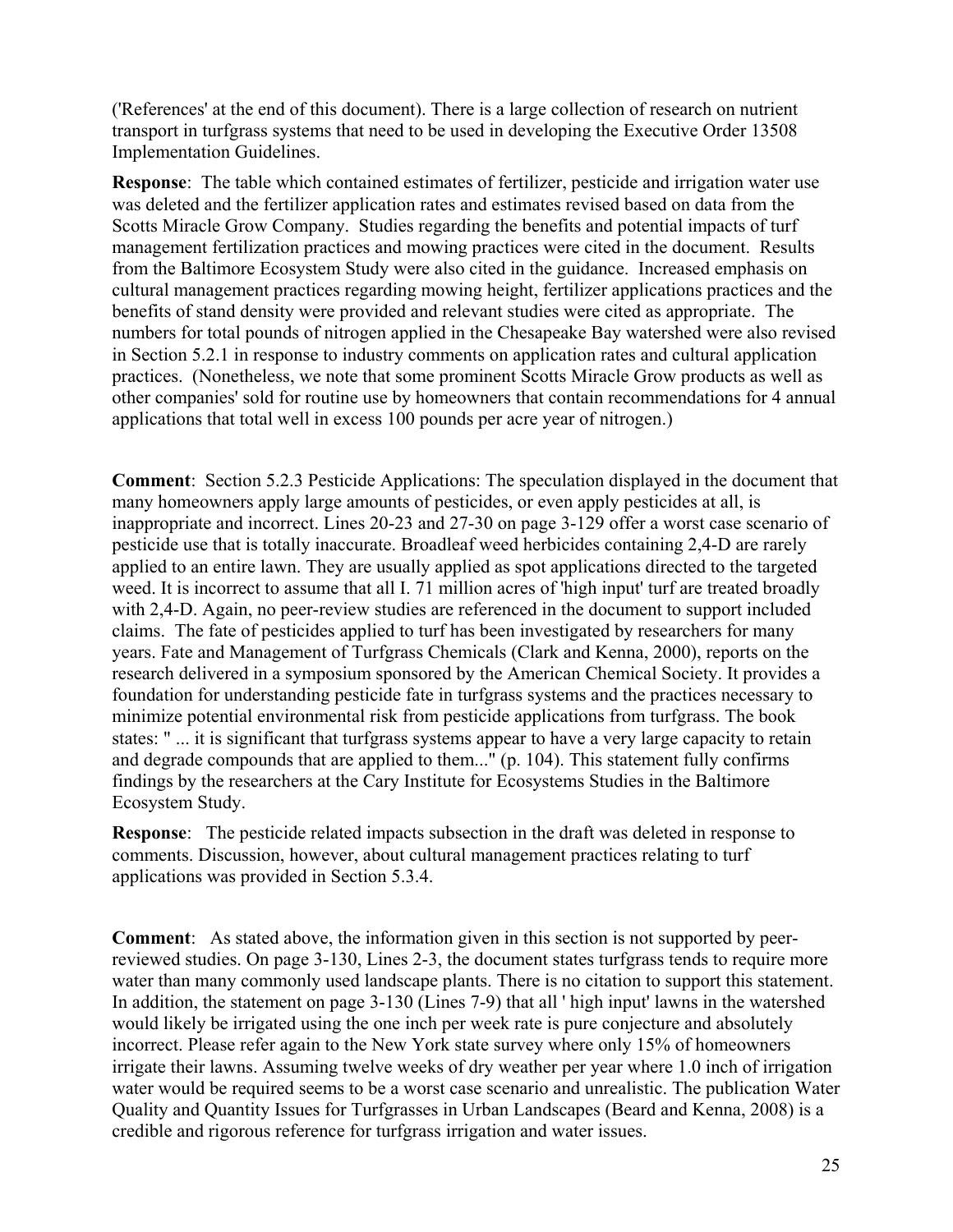('References' at the end of this document). There is a large collection of research on nutrient transport in turfgrass systems that need to be used in developing the Executive Order 13508 Implementation Guidelines.

**Response**: The table which contained estimates of fertilizer, pesticide and irrigation water use was deleted and the fertilizer application rates and estimates revised based on data from the Scotts Miracle Grow Company. Studies regarding the benefits and potential impacts of turf management fertilization practices and mowing practices were cited in the document. Results from the Baltimore Ecosystem Study were also cited in the guidance. Increased emphasis on cultural management practices regarding mowing height, fertilizer applications practices and the benefits of stand density were provided and relevant studies were cited as appropriate. The numbers for total pounds of nitrogen applied in the Chesapeake Bay watershed were also revised in Section 5.2.1 in response to industry comments on application rates and cultural application practices. (Nonetheless, we note that some prominent Scotts Miracle Grow products as well as other companies' sold for routine use by homeowners that contain recommendations for 4 annual applications that total well in excess 100 pounds per acre year of nitrogen.)

**Comment**: Section 5.2.3 Pesticide Applications: The speculation displayed in the document that many homeowners apply large amounts of pesticides, or even apply pesticides at all, is inappropriate and incorrect. Lines 20-23 and 27-30 on page 3-129 offer a worst case scenario of pesticide use that is totally inaccurate. Broadleaf weed herbicides containing 2,4-D are rarely applied to an entire lawn. They are usually applied as spot applications directed to the targeted weed. It is incorrect to assume that all I. 71 million acres of 'high input' turf are treated broadly with 2,4-D. Again, no peer-review studies are referenced in the document to support included claims. The fate of pesticides applied to turf has been investigated by researchers for many years. Fate and Management of Turfgrass Chemicals (Clark and Kenna, 2000), reports on the research delivered in a symposium sponsored by the American Chemical Society. It provides a foundation for understanding pesticide fate in turfgrass systems and the practices necessary to minimize potential environmental risk from pesticide applications from turfgrass. The book states: " ... it is significant that turfgrass systems appear to have a very large capacity to retain and degrade compounds that are applied to them..." (p. 104). This statement fully confirms findings by the researchers at the Cary Institute for Ecosystems Studies in the Baltimore Ecosystem Study.

**Response**: The pesticide related impacts subsection in the draft was deleted in response to comments. Discussion, however, about cultural management practices relating to turf applications was provided in Section 5.3.4.

**Comment**: As stated above, the information given in this section is not supported by peerreviewed studies. On page 3-130, Lines 2-3, the document states turfgrass tends to require more water than many commonly used landscape plants. There is no citation to support this statement. In addition, the statement on page 3-130 (Lines 7-9) that all ' high input' lawns in the watershed would likely be irrigated using the one inch per week rate is pure conjecture and absolutely incorrect. Please refer again to the New York state survey where only 15% of homeowners irrigate their lawns. Assuming twelve weeks of dry weather per year where 1.0 inch of irrigation water would be required seems to be a worst case scenario and unrealistic. The publication Water Quality and Quantity Issues for Turfgrasses in Urban Landscapes (Beard and Kenna, 2008) is a credible and rigorous reference for turfgrass irrigation and water issues.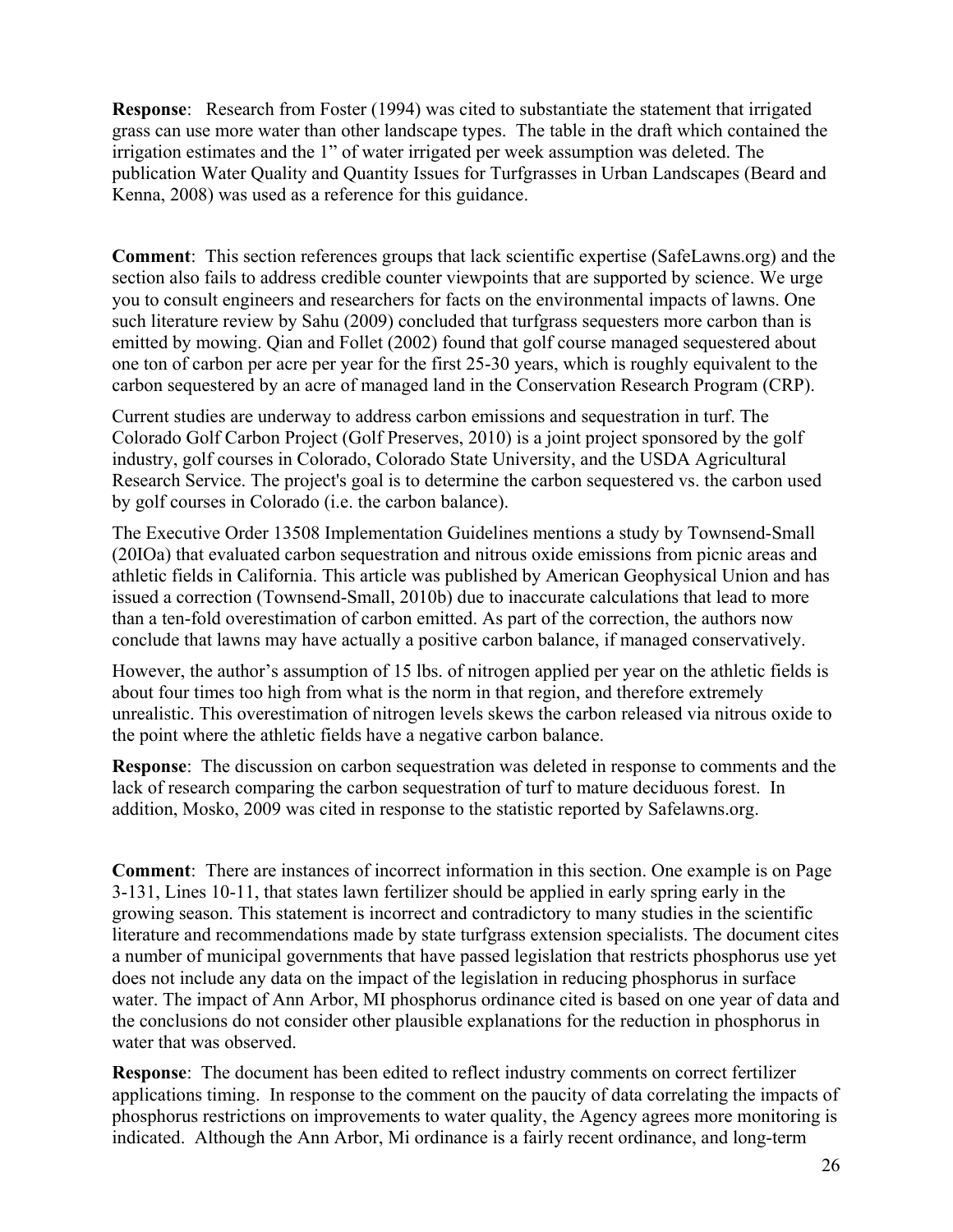**Response:** Research from Foster (1994) was cited to substantiate the statement that irrigated grass can use more water than other landscape types. The table in the draft which contained the irrigation estimates and the 1" of water irrigated per week assumption was deleted. The publication Water Quality and Quantity Issues for Turfgrasses in Urban Landscapes (Beard and Kenna, 2008) was used as a reference for this guidance.

**Comment**: This section references groups that lack scientific expertise (SafeLawns.org) and the section also fails to address credible counter viewpoints that are supported by science. We urge you to consult engineers and researchers for facts on the environmental impacts of lawns. One such literature review by Sahu (2009) concluded that turfgrass sequesters more carbon than is emitted by mowing. Qian and Follet (2002) found that golf course managed sequestered about one ton of carbon per acre per year for the first 25-30 years, which is roughly equivalent to the carbon sequestered by an acre of managed land in the Conservation Research Program (CRP).

Current studies are underway to address carbon emissions and sequestration in turf. The Colorado Golf Carbon Project (Golf Preserves, 2010) is a joint project sponsored by the golf industry, golf courses in Colorado, Colorado State University, and the USDA Agricultural Research Service. The project's goal is to determine the carbon sequestered vs. the carbon used by golf courses in Colorado (i.e. the carbon balance).

The Executive Order 13508 Implementation Guidelines mentions a study by Townsend-Small (20IOa) that evaluated carbon sequestration and nitrous oxide emissions from picnic areas and athletic fields in California. This article was published by American Geophysical Union and has issued a correction (Townsend-Small, 2010b) due to inaccurate calculations that lead to more than a ten-fold overestimation of carbon emitted. As part of the correction, the authors now conclude that lawns may have actually a positive carbon balance, if managed conservatively.

However, the author's assumption of 15 lbs. of nitrogen applied per year on the athletic fields is about four times too high from what is the norm in that region, and therefore extremely unrealistic. This overestimation of nitrogen levels skews the carbon released via nitrous oxide to the point where the athletic fields have a negative carbon balance.

**Response**: The discussion on carbon sequestration was deleted in response to comments and the lack of research comparing the carbon sequestration of turf to mature deciduous forest. In addition, Mosko, 2009 was cited in response to the statistic reported by Safelawns.org.

**Comment**: There are instances of incorrect information in this section. One example is on Page 3-131, Lines 10-11, that states lawn fertilizer should be applied in early spring early in the growing season. This statement is incorrect and contradictory to many studies in the scientific literature and recommendations made by state turfgrass extension specialists. The document cites a number of municipal governments that have passed legislation that restricts phosphorus use yet does not include any data on the impact of the legislation in reducing phosphorus in surface water. The impact of Ann Arbor, MI phosphorus ordinance cited is based on one year of data and the conclusions do not consider other plausible explanations for the reduction in phosphorus in water that was observed.

**Response**: The document has been edited to reflect industry comments on correct fertilizer applications timing. In response to the comment on the paucity of data correlating the impacts of phosphorus restrictions on improvements to water quality, the Agency agrees more monitoring is indicated. Although the Ann Arbor, Mi ordinance is a fairly recent ordinance, and long-term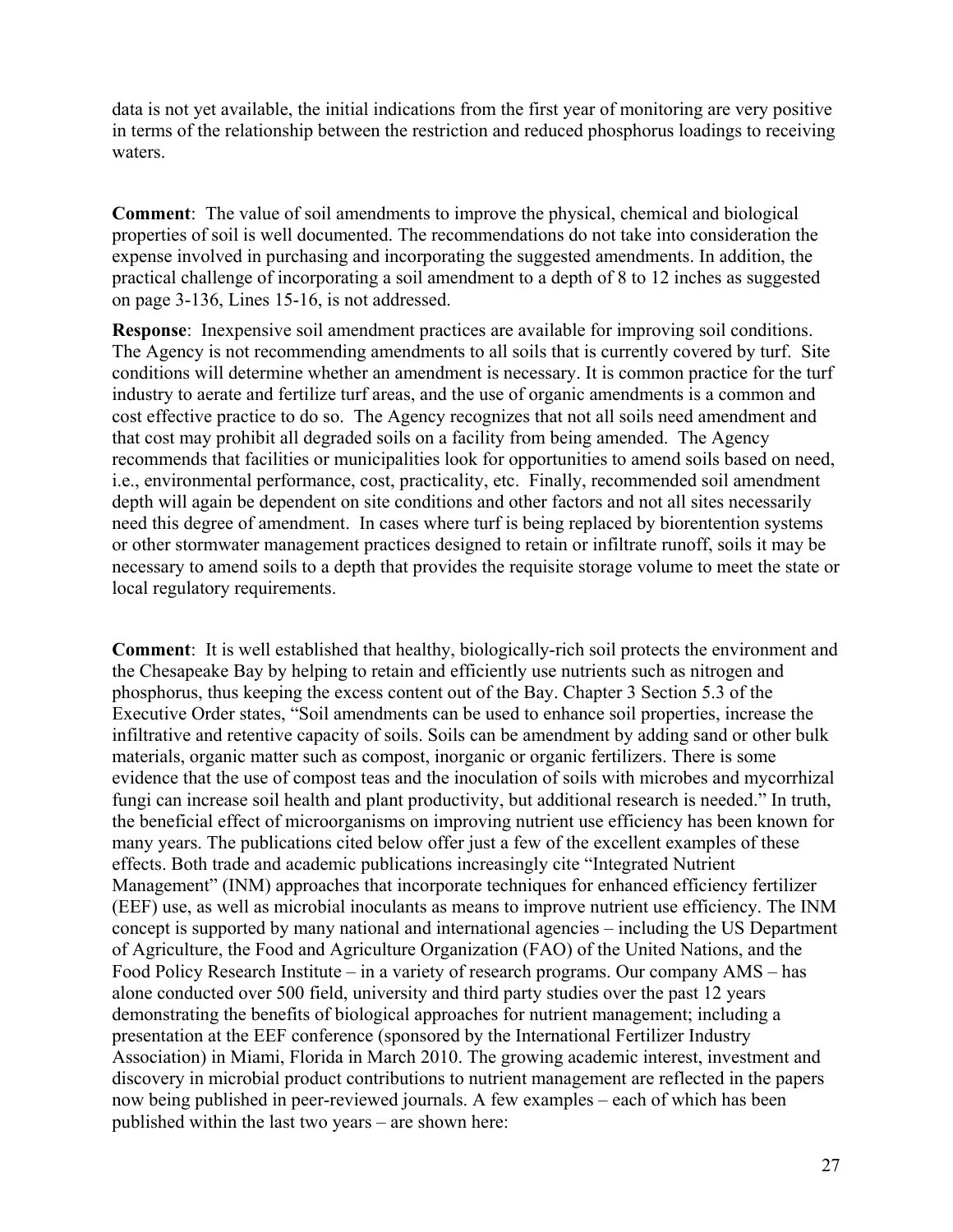data is not yet available, the initial indications from the first year of monitoring are very positive in terms of the relationship between the restriction and reduced phosphorus loadings to receiving waters.

**Comment**: The value of soil amendments to improve the physical, chemical and biological properties of soil is well documented. The recommendations do not take into consideration the expense involved in purchasing and incorporating the suggested amendments. In addition, the practical challenge of incorporating a soil amendment to a depth of 8 to 12 inches as suggested on page 3-136, Lines 15-16, is not addressed.

**Response**: Inexpensive soil amendment practices are available for improving soil conditions. The Agency is not recommending amendments to all soils that is currently covered by turf. Site conditions will determine whether an amendment is necessary. It is common practice for the turf industry to aerate and fertilize turf areas, and the use of organic amendments is a common and cost effective practice to do so. The Agency recognizes that not all soils need amendment and that cost may prohibit all degraded soils on a facility from being amended. The Agency recommends that facilities or municipalities look for opportunities to amend soils based on need, i.e., environmental performance, cost, practicality, etc. Finally, recommended soil amendment depth will again be dependent on site conditions and other factors and not all sites necessarily need this degree of amendment. In cases where turf is being replaced by biorentention systems or other stormwater management practices designed to retain or infiltrate runoff, soils it may be necessary to amend soils to a depth that provides the requisite storage volume to meet the state or local regulatory requirements.

**Comment**: It is well established that healthy, biologically-rich soil protects the environment and the Chesapeake Bay by helping to retain and efficiently use nutrients such as nitrogen and phosphorus, thus keeping the excess content out of the Bay. Chapter 3 Section 5.3 of the Executive Order states, "Soil amendments can be used to enhance soil properties, increase the infiltrative and retentive capacity of soils. Soils can be amendment by adding sand or other bulk materials, organic matter such as compost, inorganic or organic fertilizers. There is some evidence that the use of compost teas and the inoculation of soils with microbes and mycorrhizal fungi can increase soil health and plant productivity, but additional research is needed." In truth, the beneficial effect of microorganisms on improving nutrient use efficiency has been known for many years. The publications cited below offer just a few of the excellent examples of these effects. Both trade and academic publications increasingly cite "Integrated Nutrient Management" (INM) approaches that incorporate techniques for enhanced efficiency fertilizer (EEF) use, as well as microbial inoculants as means to improve nutrient use efficiency. The INM concept is supported by many national and international agencies – including the US Department of Agriculture, the Food and Agriculture Organization (FAO) of the United Nations, and the Food Policy Research Institute – in a variety of research programs. Our company AMS – has alone conducted over 500 field, university and third party studies over the past 12 years demonstrating the benefits of biological approaches for nutrient management; including a presentation at the EEF conference (sponsored by the International Fertilizer Industry Association) in Miami, Florida in March 2010. The growing academic interest, investment and discovery in microbial product contributions to nutrient management are reflected in the papers now being published in peer-reviewed journals. A few examples – each of which has been published within the last two years – are shown here: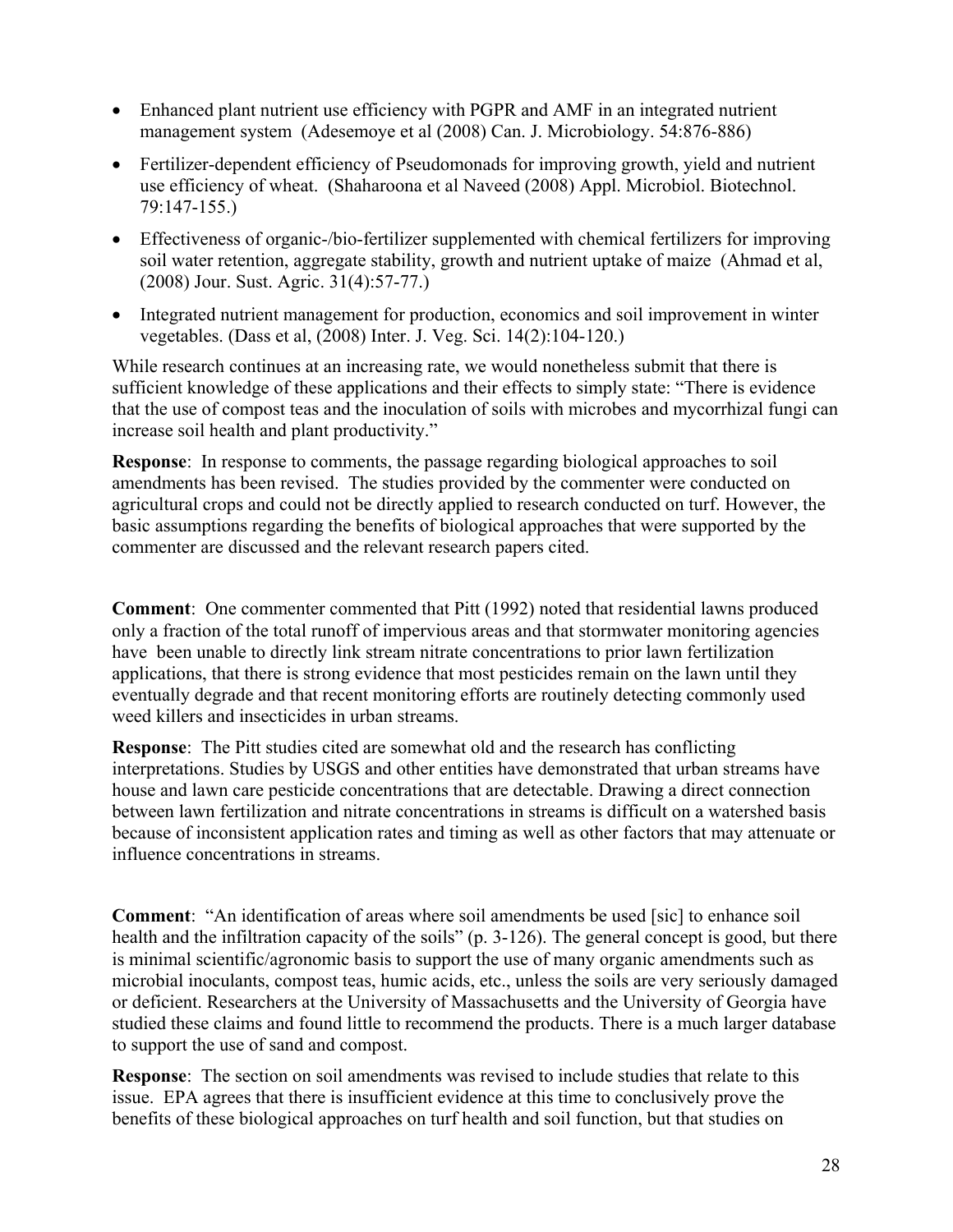- Enhanced plant nutrient use efficiency with PGPR and AMF in an integrated nutrient management system (Adesemoye et al (2008) Can. J. Microbiology. 54:876-886)
- Fertilizer-dependent efficiency of Pseudomonads for improving growth, yield and nutrient use efficiency of wheat. (Shaharoona et al Naveed (2008) Appl. Microbiol. Biotechnol. 79:147-155.)
- Effectiveness of organic-/bio-fertilizer supplemented with chemical fertilizers for improving soil water retention, aggregate stability, growth and nutrient uptake of maize (Ahmad et al, (2008) Jour. Sust. Agric. 31(4):57-77.)
- Integrated nutrient management for production, economics and soil improvement in winter vegetables. (Dass et al, (2008) Inter. J. Veg. Sci. 14(2):104-120.)

While research continues at an increasing rate, we would nonetheless submit that there is sufficient knowledge of these applications and their effects to simply state: "There is evidence that the use of compost teas and the inoculation of soils with microbes and mycorrhizal fungi can increase soil health and plant productivity."

**Response**: In response to comments, the passage regarding biological approaches to soil amendments has been revised. The studies provided by the commenter were conducted on agricultural crops and could not be directly applied to research conducted on turf. However, the basic assumptions regarding the benefits of biological approaches that were supported by the commenter are discussed and the relevant research papers cited.

**Comment**: One commenter commented that Pitt (1992) noted that residential lawns produced only a fraction of the total runoff of impervious areas and that stormwater monitoring agencies have been unable to directly link stream nitrate concentrations to prior lawn fertilization applications, that there is strong evidence that most pesticides remain on the lawn until they eventually degrade and that recent monitoring efforts are routinely detecting commonly used weed killers and insecticides in urban streams.

**Response**: The Pitt studies cited are somewhat old and the research has conflicting interpretations. Studies by USGS and other entities have demonstrated that urban streams have house and lawn care pesticide concentrations that are detectable. Drawing a direct connection between lawn fertilization and nitrate concentrations in streams is difficult on a watershed basis because of inconsistent application rates and timing as well as other factors that may attenuate or influence concentrations in streams.

**Comment**: "An identification of areas where soil amendments be used [sic] to enhance soil health and the infiltration capacity of the soils" (p. 3-126). The general concept is good, but there is minimal scientific/agronomic basis to support the use of many organic amendments such as microbial inoculants, compost teas, humic acids, etc., unless the soils are very seriously damaged or deficient. Researchers at the University of Massachusetts and the University of Georgia have studied these claims and found little to recommend the products. There is a much larger database to support the use of sand and compost.

**Response**: The section on soil amendments was revised to include studies that relate to this issue. EPA agrees that there is insufficient evidence at this time to conclusively prove the benefits of these biological approaches on turf health and soil function, but that studies on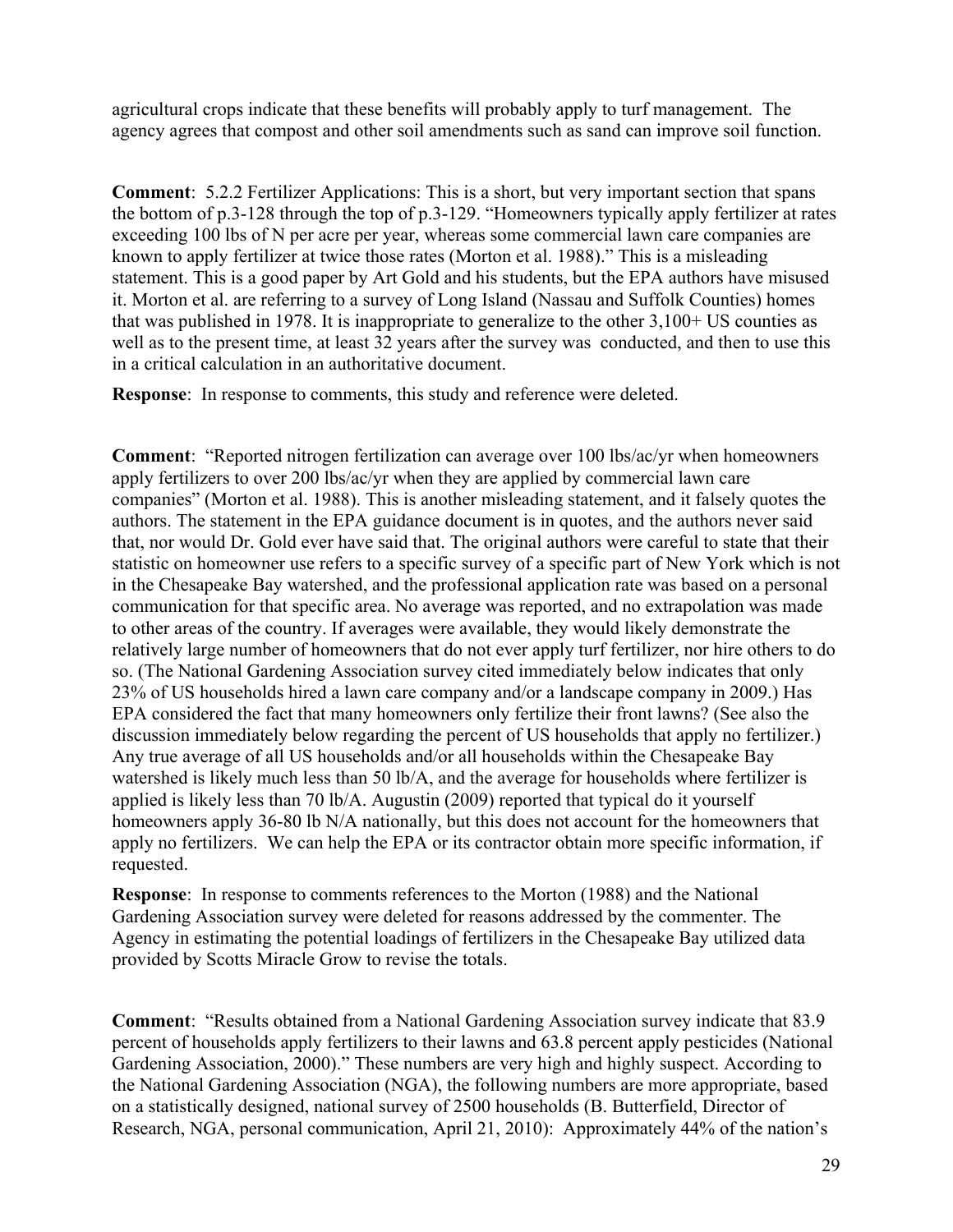agricultural crops indicate that these benefits will probably apply to turf management. The agency agrees that compost and other soil amendments such as sand can improve soil function.

**Comment**: 5.2.2 Fertilizer Applications: This is a short, but very important section that spans the bottom of p.3-128 through the top of p.3-129. "Homeowners typically apply fertilizer at rates exceeding 100 lbs of N per acre per year, whereas some commercial lawn care companies are known to apply fertilizer at twice those rates (Morton et al. 1988)." This is a misleading statement. This is a good paper by Art Gold and his students, but the EPA authors have misused it. Morton et al. are referring to a survey of Long Island (Nassau and Suffolk Counties) homes that was published in 1978. It is inappropriate to generalize to the other 3,100+ US counties as well as to the present time, at least 32 years after the survey was conducted, and then to use this in a critical calculation in an authoritative document.

**Response**: In response to comments, this study and reference were deleted.

**Comment**: "Reported nitrogen fertilization can average over 100 lbs/ac/yr when homeowners apply fertilizers to over 200 lbs/ac/yr when they are applied by commercial lawn care companies" (Morton et al. 1988). This is another misleading statement, and it falsely quotes the authors. The statement in the EPA guidance document is in quotes, and the authors never said that, nor would Dr. Gold ever have said that. The original authors were careful to state that their statistic on homeowner use refers to a specific survey of a specific part of New York which is not in the Chesapeake Bay watershed, and the professional application rate was based on a personal communication for that specific area. No average was reported, and no extrapolation was made to other areas of the country. If averages were available, they would likely demonstrate the relatively large number of homeowners that do not ever apply turf fertilizer, nor hire others to do so. (The National Gardening Association survey cited immediately below indicates that only 23% of US households hired a lawn care company and/or a landscape company in 2009.) Has EPA considered the fact that many homeowners only fertilize their front lawns? (See also the discussion immediately below regarding the percent of US households that apply no fertilizer.) Any true average of all US households and/or all households within the Chesapeake Bay watershed is likely much less than 50 lb/A, and the average for households where fertilizer is applied is likely less than 70 lb/A. Augustin (2009) reported that typical do it yourself homeowners apply 36-80 lb N/A nationally, but this does not account for the homeowners that apply no fertilizers. We can help the EPA or its contractor obtain more specific information, if requested.

**Response**: In response to comments references to the Morton (1988) and the National Gardening Association survey were deleted for reasons addressed by the commenter. The Agency in estimating the potential loadings of fertilizers in the Chesapeake Bay utilized data provided by Scotts Miracle Grow to revise the totals.

**Comment**: "Results obtained from a National Gardening Association survey indicate that 83.9 percent of households apply fertilizers to their lawns and 63.8 percent apply pesticides (National Gardening Association, 2000)." These numbers are very high and highly suspect. According to the National Gardening Association (NGA), the following numbers are more appropriate, based on a statistically designed, national survey of 2500 households (B. Butterfield, Director of Research, NGA, personal communication, April 21, 2010): Approximately 44% of the nation's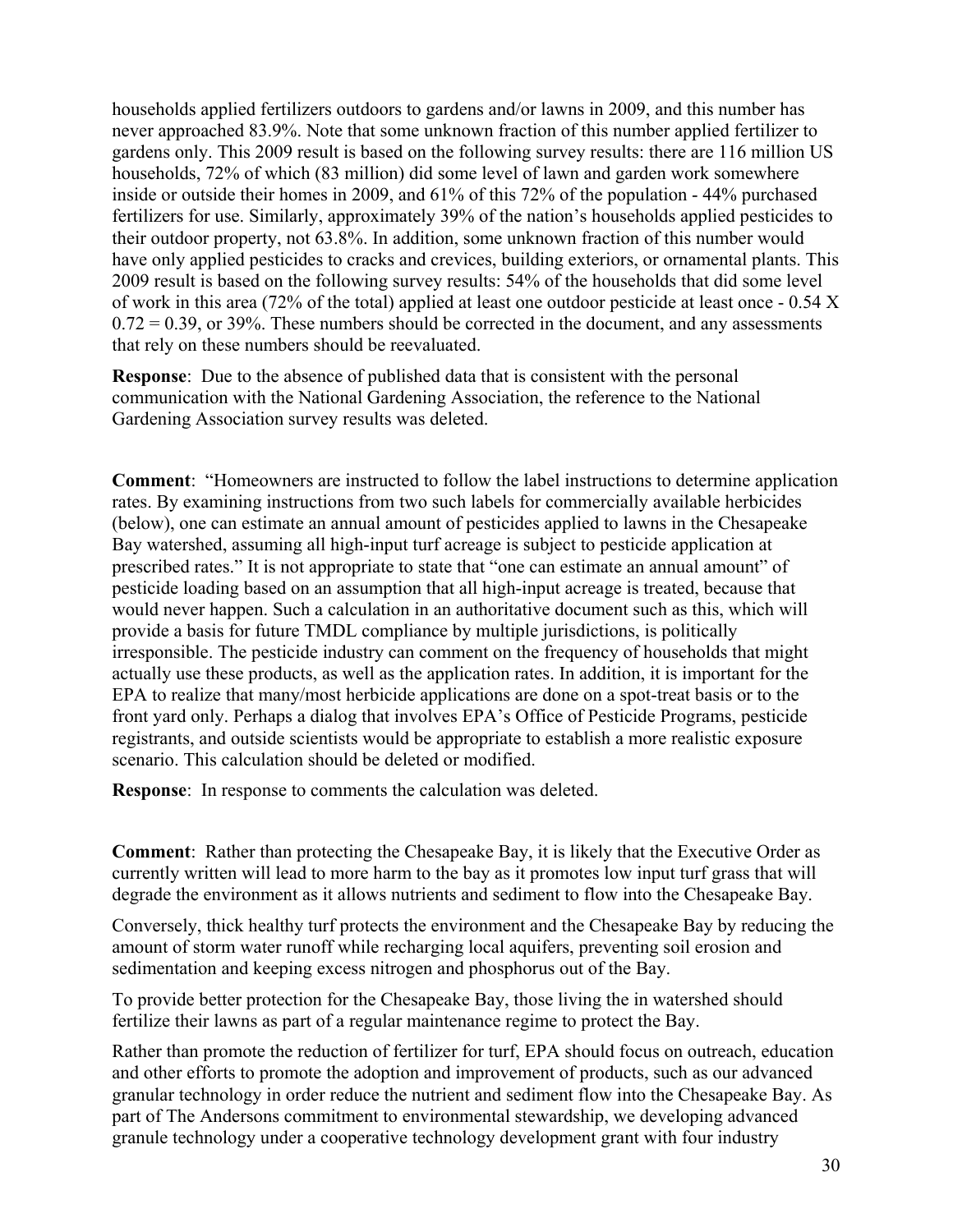households applied fertilizers outdoors to gardens and/or lawns in 2009, and this number has never approached 83.9%. Note that some unknown fraction of this number applied fertilizer to gardens only. This 2009 result is based on the following survey results: there are 116 million US households, 72% of which (83 million) did some level of lawn and garden work somewhere inside or outside their homes in 2009, and 61% of this 72% of the population - 44% purchased fertilizers for use. Similarly, approximately 39% of the nation's households applied pesticides to their outdoor property, not 63.8%. In addition, some unknown fraction of this number would have only applied pesticides to cracks and crevices, building exteriors, or ornamental plants. This 2009 result is based on the following survey results: 54% of the households that did some level of work in this area (72% of the total) applied at least one outdoor pesticide at least once - 0.54 X  $0.72 = 0.39$ , or 39%. These numbers should be corrected in the document, and any assessments that rely on these numbers should be reevaluated.

**Response**: Due to the absence of published data that is consistent with the personal communication with the National Gardening Association, the reference to the National Gardening Association survey results was deleted.

**Comment**: "Homeowners are instructed to follow the label instructions to determine application rates. By examining instructions from two such labels for commercially available herbicides (below), one can estimate an annual amount of pesticides applied to lawns in the Chesapeake Bay watershed, assuming all high-input turf acreage is subject to pesticide application at prescribed rates." It is not appropriate to state that "one can estimate an annual amount" of pesticide loading based on an assumption that all high-input acreage is treated, because that would never happen. Such a calculation in an authoritative document such as this, which will provide a basis for future TMDL compliance by multiple jurisdictions, is politically irresponsible. The pesticide industry can comment on the frequency of households that might actually use these products, as well as the application rates. In addition, it is important for the EPA to realize that many/most herbicide applications are done on a spot-treat basis or to the front yard only. Perhaps a dialog that involves EPA's Office of Pesticide Programs, pesticide registrants, and outside scientists would be appropriate to establish a more realistic exposure scenario. This calculation should be deleted or modified.

**Response**: In response to comments the calculation was deleted.

**Comment**: Rather than protecting the Chesapeake Bay, it is likely that the Executive Order as currently written will lead to more harm to the bay as it promotes low input turf grass that will degrade the environment as it allows nutrients and sediment to flow into the Chesapeake Bay.

Conversely, thick healthy turf protects the environment and the Chesapeake Bay by reducing the amount of storm water runoff while recharging local aquifers, preventing soil erosion and sedimentation and keeping excess nitrogen and phosphorus out of the Bay.

To provide better protection for the Chesapeake Bay, those living the in watershed should fertilize their lawns as part of a regular maintenance regime to protect the Bay.

Rather than promote the reduction of fertilizer for turf, EPA should focus on outreach, education and other efforts to promote the adoption and improvement of products, such as our advanced granular technology in order reduce the nutrient and sediment flow into the Chesapeake Bay. As part of The Andersons commitment to environmental stewardship, we developing advanced granule technology under a cooperative technology development grant with four industry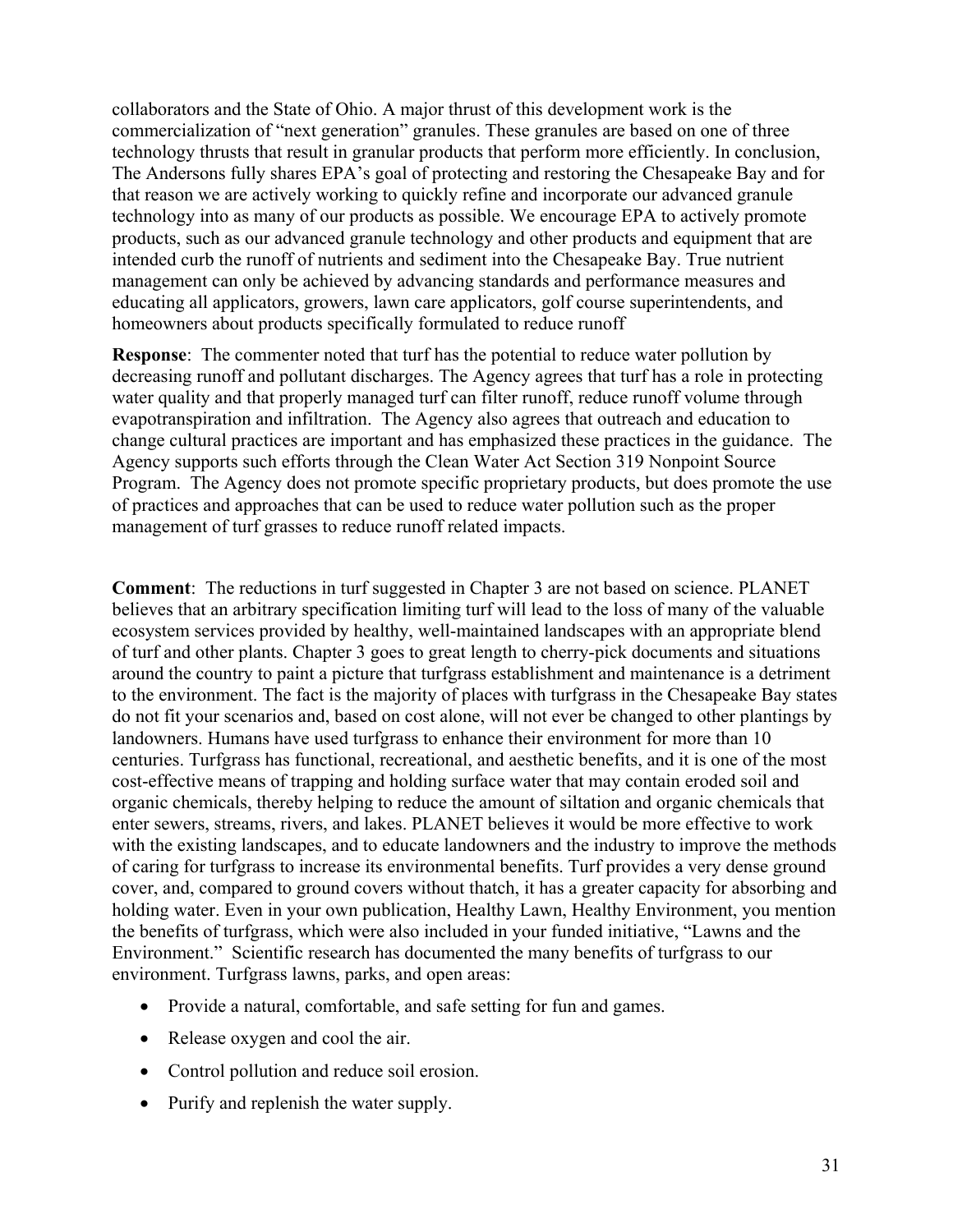collaborators and the State of Ohio. A major thrust of this development work is the commercialization of "next generation" granules. These granules are based on one of three technology thrusts that result in granular products that perform more efficiently. In conclusion, The Andersons fully shares EPA's goal of protecting and restoring the Chesapeake Bay and for that reason we are actively working to quickly refine and incorporate our advanced granule technology into as many of our products as possible. We encourage EPA to actively promote products, such as our advanced granule technology and other products and equipment that are intended curb the runoff of nutrients and sediment into the Chesapeake Bay. True nutrient management can only be achieved by advancing standards and performance measures and educating all applicators, growers, lawn care applicators, golf course superintendents, and homeowners about products specifically formulated to reduce runoff

**Response**: The commenter noted that turf has the potential to reduce water pollution by decreasing runoff and pollutant discharges. The Agency agrees that turf has a role in protecting water quality and that properly managed turf can filter runoff, reduce runoff volume through evapotranspiration and infiltration. The Agency also agrees that outreach and education to change cultural practices are important and has emphasized these practices in the guidance. The Agency supports such efforts through the Clean Water Act Section 319 Nonpoint Source Program. The Agency does not promote specific proprietary products, but does promote the use of practices and approaches that can be used to reduce water pollution such as the proper management of turf grasses to reduce runoff related impacts.

**Comment**: The reductions in turf suggested in Chapter 3 are not based on science. PLANET believes that an arbitrary specification limiting turf will lead to the loss of many of the valuable ecosystem services provided by healthy, well-maintained landscapes with an appropriate blend of turf and other plants. Chapter 3 goes to great length to cherry-pick documents and situations around the country to paint a picture that turfgrass establishment and maintenance is a detriment to the environment. The fact is the majority of places with turfgrass in the Chesapeake Bay states do not fit your scenarios and, based on cost alone, will not ever be changed to other plantings by landowners. Humans have used turfgrass to enhance their environment for more than 10 centuries. Turfgrass has functional, recreational, and aesthetic benefits, and it is one of the most cost-effective means of trapping and holding surface water that may contain eroded soil and organic chemicals, thereby helping to reduce the amount of siltation and organic chemicals that enter sewers, streams, rivers, and lakes. PLANET believes it would be more effective to work with the existing landscapes, and to educate landowners and the industry to improve the methods of caring for turfgrass to increase its environmental benefits. Turf provides a very dense ground cover, and, compared to ground covers without thatch, it has a greater capacity for absorbing and holding water. Even in your own publication, Healthy Lawn, Healthy Environment, you mention the benefits of turfgrass, which were also included in your funded initiative, "Lawns and the Environment." Scientific research has documented the many benefits of turfgrass to our environment. Turfgrass lawns, parks, and open areas:

- Provide a natural, comfortable, and safe setting for fun and games.
- Release oxygen and cool the air.
- Control pollution and reduce soil erosion.
- Purify and replenish the water supply.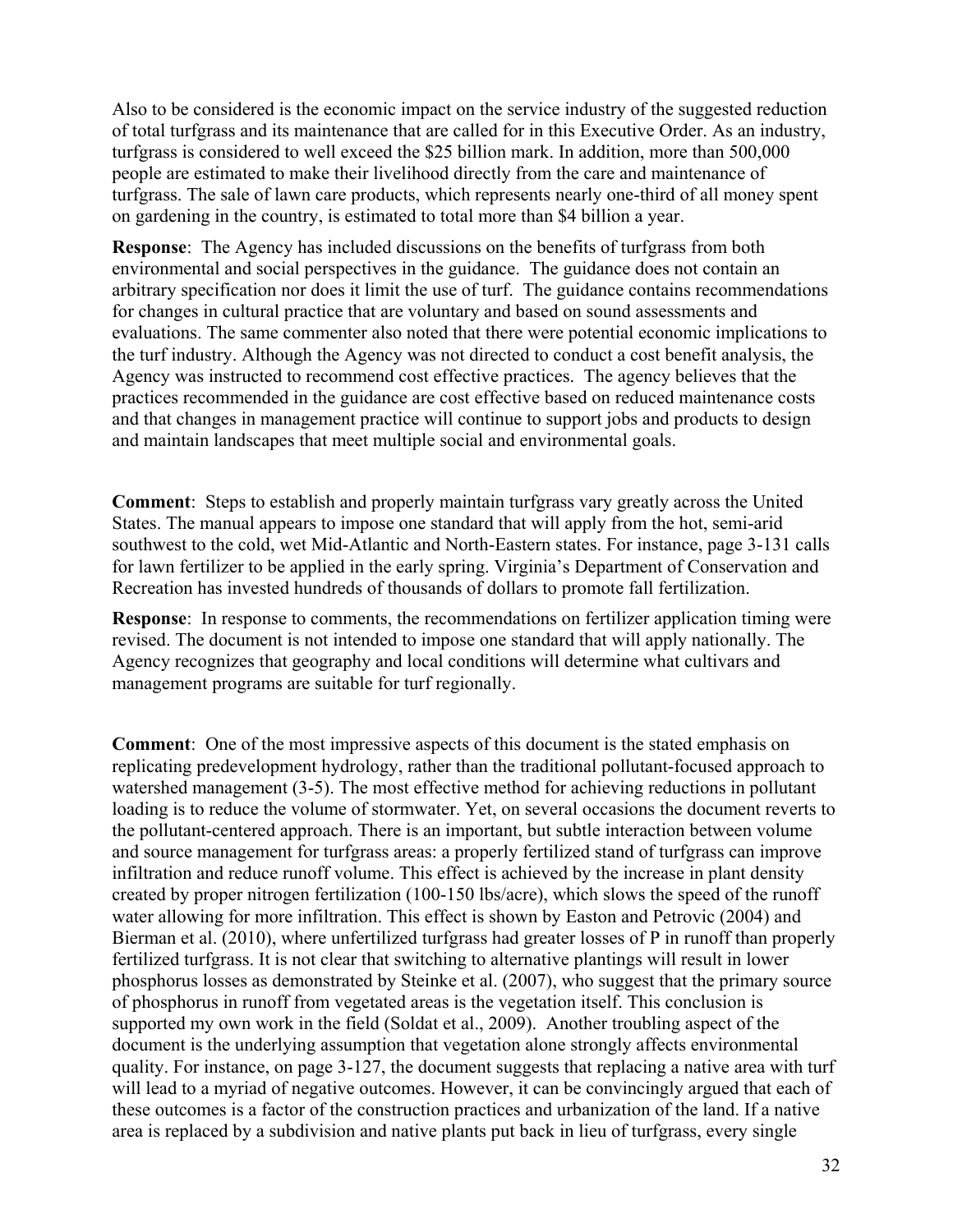Also to be considered is the economic impact on the service industry of the suggested reduction of total turfgrass and its maintenance that are called for in this Executive Order. As an industry, turfgrass is considered to well exceed the \$25 billion mark. In addition, more than 500,000 people are estimated to make their livelihood directly from the care and maintenance of turfgrass. The sale of lawn care products, which represents nearly one-third of all money spent on gardening in the country, is estimated to total more than \$4 billion a year.

**Response**: The Agency has included discussions on the benefits of turfgrass from both environmental and social perspectives in the guidance. The guidance does not contain an arbitrary specification nor does it limit the use of turf. The guidance contains recommendations for changes in cultural practice that are voluntary and based on sound assessments and evaluations. The same commenter also noted that there were potential economic implications to the turf industry. Although the Agency was not directed to conduct a cost benefit analysis, the Agency was instructed to recommend cost effective practices. The agency believes that the practices recommended in the guidance are cost effective based on reduced maintenance costs and that changes in management practice will continue to support jobs and products to design and maintain landscapes that meet multiple social and environmental goals.

**Comment**: Steps to establish and properly maintain turfgrass vary greatly across the United States. The manual appears to impose one standard that will apply from the hot, semi-arid southwest to the cold, wet Mid-Atlantic and North-Eastern states. For instance, page 3-131 calls for lawn fertilizer to be applied in the early spring. Virginia's Department of Conservation and Recreation has invested hundreds of thousands of dollars to promote fall fertilization.

**Response**: In response to comments, the recommendations on fertilizer application timing were revised. The document is not intended to impose one standard that will apply nationally. The Agency recognizes that geography and local conditions will determine what cultivars and management programs are suitable for turf regionally.

**Comment**: One of the most impressive aspects of this document is the stated emphasis on replicating predevelopment hydrology, rather than the traditional pollutant-focused approach to watershed management (3-5). The most effective method for achieving reductions in pollutant loading is to reduce the volume of stormwater. Yet, on several occasions the document reverts to the pollutant-centered approach. There is an important, but subtle interaction between volume and source management for turfgrass areas: a properly fertilized stand of turfgrass can improve infiltration and reduce runoff volume. This effect is achieved by the increase in plant density created by proper nitrogen fertilization (100-150 lbs/acre), which slows the speed of the runoff water allowing for more infiltration. This effect is shown by Easton and Petrovic (2004) and Bierman et al. (2010), where unfertilized turfgrass had greater losses of P in runoff than properly fertilized turfgrass. It is not clear that switching to alternative plantings will result in lower phosphorus losses as demonstrated by Steinke et al. (2007), who suggest that the primary source of phosphorus in runoff from vegetated areas is the vegetation itself. This conclusion is supported my own work in the field (Soldat et al., 2009). Another troubling aspect of the document is the underlying assumption that vegetation alone strongly affects environmental quality. For instance, on page 3-127, the document suggests that replacing a native area with turf will lead to a myriad of negative outcomes. However, it can be convincingly argued that each of these outcomes is a factor of the construction practices and urbanization of the land. If a native area is replaced by a subdivision and native plants put back in lieu of turfgrass, every single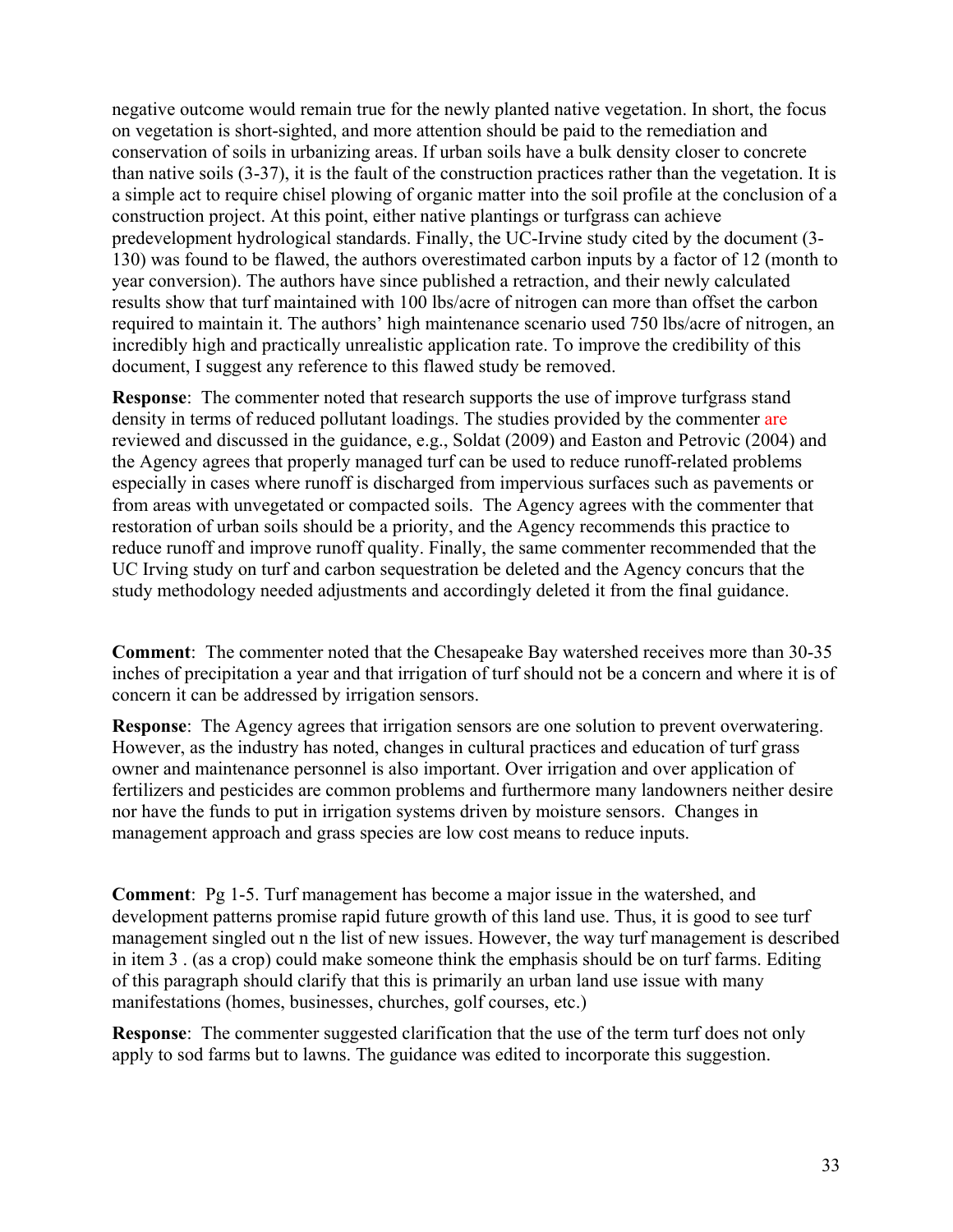negative outcome would remain true for the newly planted native vegetation. In short, the focus on vegetation is short-sighted, and more attention should be paid to the remediation and conservation of soils in urbanizing areas. If urban soils have a bulk density closer to concrete than native soils (3-37), it is the fault of the construction practices rather than the vegetation. It is a simple act to require chisel plowing of organic matter into the soil profile at the conclusion of a construction project. At this point, either native plantings or turfgrass can achieve predevelopment hydrological standards. Finally, the UC-Irvine study cited by the document (3- 130) was found to be flawed, the authors overestimated carbon inputs by a factor of 12 (month to year conversion). The authors have since published a retraction, and their newly calculated results show that turf maintained with 100 lbs/acre of nitrogen can more than offset the carbon required to maintain it. The authors' high maintenance scenario used 750 lbs/acre of nitrogen, an incredibly high and practically unrealistic application rate. To improve the credibility of this document, I suggest any reference to this flawed study be removed.

**Response**: The commenter noted that research supports the use of improve turfgrass stand density in terms of reduced pollutant loadings. The studies provided by the commenter are reviewed and discussed in the guidance, e.g., Soldat (2009) and Easton and Petrovic (2004) and the Agency agrees that properly managed turf can be used to reduce runoff-related problems especially in cases where runoff is discharged from impervious surfaces such as pavements or from areas with unvegetated or compacted soils. The Agency agrees with the commenter that restoration of urban soils should be a priority, and the Agency recommends this practice to reduce runoff and improve runoff quality. Finally, the same commenter recommended that the UC Irving study on turf and carbon sequestration be deleted and the Agency concurs that the study methodology needed adjustments and accordingly deleted it from the final guidance.

**Comment**: The commenter noted that the Chesapeake Bay watershed receives more than 30-35 inches of precipitation a year and that irrigation of turf should not be a concern and where it is of concern it can be addressed by irrigation sensors.

**Response**: The Agency agrees that irrigation sensors are one solution to prevent overwatering. However, as the industry has noted, changes in cultural practices and education of turf grass owner and maintenance personnel is also important. Over irrigation and over application of fertilizers and pesticides are common problems and furthermore many landowners neither desire nor have the funds to put in irrigation systems driven by moisture sensors. Changes in management approach and grass species are low cost means to reduce inputs.

**Comment**: Pg 1-5. Turf management has become a major issue in the watershed, and development patterns promise rapid future growth of this land use. Thus, it is good to see turf management singled out n the list of new issues. However, the way turf management is described in item 3 . (as a crop) could make someone think the emphasis should be on turf farms. Editing of this paragraph should clarify that this is primarily an urban land use issue with many manifestations (homes, businesses, churches, golf courses, etc.)

**Response**: The commenter suggested clarification that the use of the term turf does not only apply to sod farms but to lawns. The guidance was edited to incorporate this suggestion.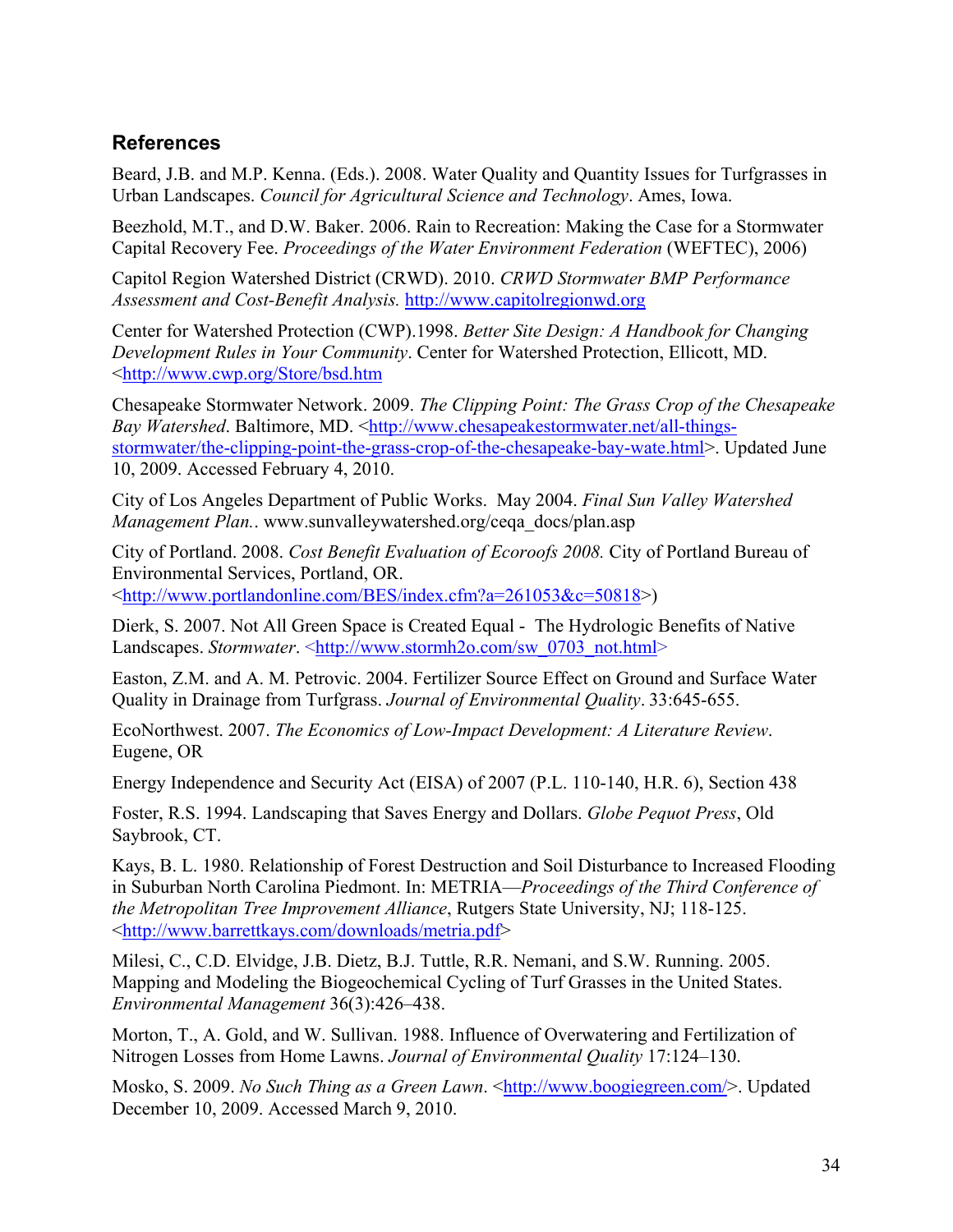### <span id="page-33-0"></span>**References**

Beard, J.B. and M.P. Kenna. (Eds.). 2008. Water Quality and Quantity Issues for Turfgrasses in Urban Landscapes. *Council for Agricultural Science and Technology*. Ames, Iowa.

Beezhold, M.T., and D.W. Baker. 2006. Rain to Recreation: Making the Case for a Stormwater Capital Recovery Fee. *Proceedings of the Water Environment Federation* (WEFTEC), 2006)

Capitol Region Watershed District (CRWD). 2010. *CRWD Stormwater BMP Performance Assessment and Cost-Benefit Analysis.* [http://www.capitolregionwd.org](http://www.capitolregionwd.org/)

Center for Watershed Protection (CWP).1998. *Better Site Design: A Handbook for Changing Development Rules in Your Community*. Center for Watershed Protection, Ellicott, MD. <<http://www.cwp.org/Store/bsd.htm>

Chesapeake Stormwater Network. 2009. *The Clipping Point: The Grass Crop of the Chesapeake Bay Watershed.* Baltimore, MD. [<http://www.chesapeakestormwater.net/all-things](http://www.chesapeakestormwater.net/all-things-stormwater/the-clipping-point-the-grass-crop-of-the-chesapeake-bay-wate.html%3e)[stormwater/the-clipping-point-the-grass-crop-of-the-chesapeake-bay-wate.html>](http://www.chesapeakestormwater.net/all-things-stormwater/the-clipping-point-the-grass-crop-of-the-chesapeake-bay-wate.html%3e). Updated June 10, 2009. Accessed February 4, 2010.

City of Los Angeles Department of Public Works. May 2004. *Final Sun Valley Watershed Management Plan.*. www.sunvalleywatershed.org/ceqa\_docs/plan.asp

City of Portland. 2008. *Cost Benefit Evaluation of Ecoroofs 2008.* City of Portland Bureau of Environmental Services, Portland, OR. <[http://www.portlandonline.com/BES/index.cfm?a=261053&c=50818>](http://www.portlandonline.com/BES/index.cfm?a=261053&c=50818))

Dierk, S. 2007. Not All Green Space is Created Equal - The Hydrologic Benefits of Native Landscapes. Stormwater. <[http://www.stormh2o.com/sw\\_0703\\_not.html](http://www.stormh2o.com/sw_0703_not.html)>

Easton, Z.M. and A. M. Petrovic. 2004. Fertilizer Source Effect on Ground and Surface Water Quality in Drainage from Turfgrass. *Journal of Environmental Quality*. 33:645-655.

EcoNorthwest. 2007. *The Economics of Low-Impact Development: A Literature Review*. Eugene, OR

Energy Independence and Security Act (EISA) of 2007 (P.L. 110-140, H.R. 6), Section 438

Foster, R.S. 1994. Landscaping that Saves Energy and Dollars. *Globe Pequot Press*, Old Saybrook, CT.

Kays, B. L. 1980. Relationship of Forest Destruction and Soil Disturbance to Increased Flooding in Suburban North Carolina Piedmont. In: METRIA—*Proceedings of the Third Conference of the Metropolitan Tree Improvement Alliance*, Rutgers State University, NJ; 118-125. <[http://www.barrettkays.com/downloads/metria.pdf>](http://www.barrettkays.com/downloads/metria.pdf)

Milesi, C., C.D. Elvidge, J.B. Dietz, B.J. Tuttle, R.R. Nemani, and S.W. Running. 2005. Mapping and Modeling the Biogeochemical Cycling of Turf Grasses in the United States. *Environmental Management* 36(3):426–438.

Morton, T., A. Gold, and W. Sullivan. 1988. Influence of Overwatering and Fertilization of Nitrogen Losses from Home Lawns. *Journal of Environmental Quality* 17:124–130.

Mosko, S. 2009. *No Such Thing as a Green Lawn*. [<http://www.boogiegreen.com/](http://www.boogiegreen.com/)>. Updated December 10, 2009. Accessed March 9, 2010.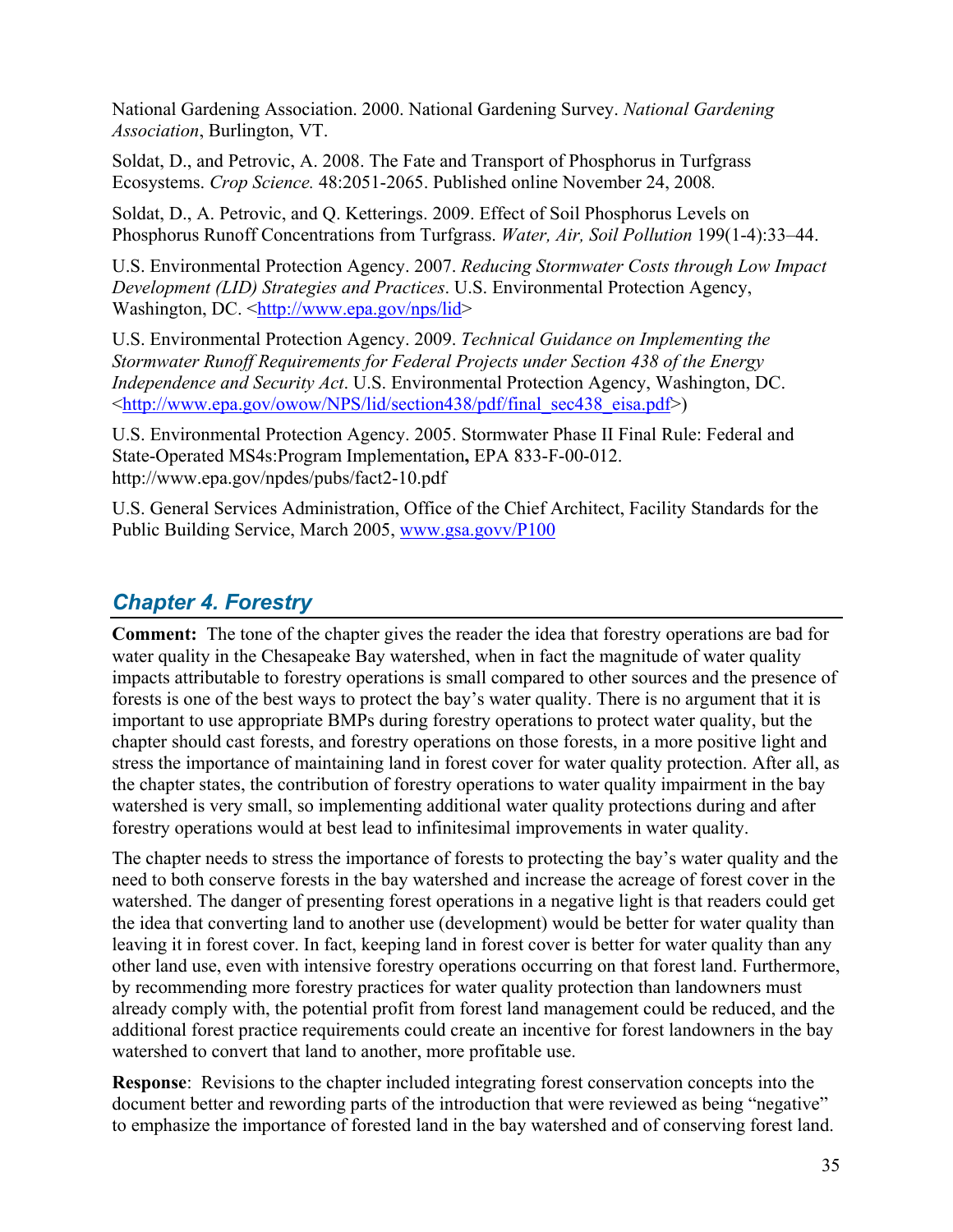National Gardening Association. 2000. National Gardening Survey. *National Gardening Association*, Burlington, VT.

Soldat, D., and Petrovic, A. 2008. The Fate and Transport of Phosphorus in Turfgrass Ecosystems. *Crop Science.* 48:2051-2065. Published online November 24, 2008*.* 

Soldat, D., A. Petrovic, and Q. Ketterings. 2009. Effect of Soil Phosphorus Levels on Phosphorus Runoff Concentrations from Turfgrass. *Water, Air, Soil Pollution* 199(1-4):33–44.

U.S. Environmental Protection Agency. 2007. *Reducing Stormwater Costs through Low Impact Development (LID) Strategies and Practices*. U.S. Environmental Protection Agency, Washington, DC. [<http://www.epa.gov/nps/lid>](http://www.epa.gov/nps/lid)

U.S. Environmental Protection Agency. 2009. *Technical Guidance on Implementing the Stormwater Runoff Requirements for Federal Projects under Section 438 of the Energy Independence and Security Act*. U.S. Environmental Protection Agency, Washington, DC. <[http://www.epa.gov/owow/NPS/lid/section438/pdf/final\\_sec438\\_eisa.pdf](http://www.epa.gov/owow/NPS/lid/section438/pdf/final_sec438_eisa.pdf)>)

U.S. Environmental Protection Agency. 2005. Stormwater Phase II Final Rule: Federal and State-Operated MS4s:Program Implementation**,** EPA 833-F-00-012. http://www.epa.gov/npdes/pubs/fact2-10.pdf

U.S. General Services Administration, Office of the Chief Architect, Facility Standards for the Public Building Service, March 2005, [www.gsa.govv/P100](http://www.gsa.govv/P100)

# <span id="page-34-0"></span>*Chapter 4. Forestry*

**Comment:** The tone of the chapter gives the reader the idea that forestry operations are bad for water quality in the Chesapeake Bay watershed, when in fact the magnitude of water quality impacts attributable to forestry operations is small compared to other sources and the presence of forests is one of the best ways to protect the bay's water quality. There is no argument that it is important to use appropriate BMPs during forestry operations to protect water quality, but the chapter should cast forests, and forestry operations on those forests, in a more positive light and stress the importance of maintaining land in forest cover for water quality protection. After all, as the chapter states, the contribution of forestry operations to water quality impairment in the bay watershed is very small, so implementing additional water quality protections during and after forestry operations would at best lead to infinitesimal improvements in water quality.

The chapter needs to stress the importance of forests to protecting the bay's water quality and the need to both conserve forests in the bay watershed and increase the acreage of forest cover in the watershed. The danger of presenting forest operations in a negative light is that readers could get the idea that converting land to another use (development) would be better for water quality than leaving it in forest cover. In fact, keeping land in forest cover is better for water quality than any other land use, even with intensive forestry operations occurring on that forest land. Furthermore, by recommending more forestry practices for water quality protection than landowners must already comply with, the potential profit from forest land management could be reduced, and the additional forest practice requirements could create an incentive for forest landowners in the bay watershed to convert that land to another, more profitable use.

**Response**: Revisions to the chapter included integrating forest conservation concepts into the document better and rewording parts of the introduction that were reviewed as being "negative" to emphasize the importance of forested land in the bay watershed and of conserving forest land.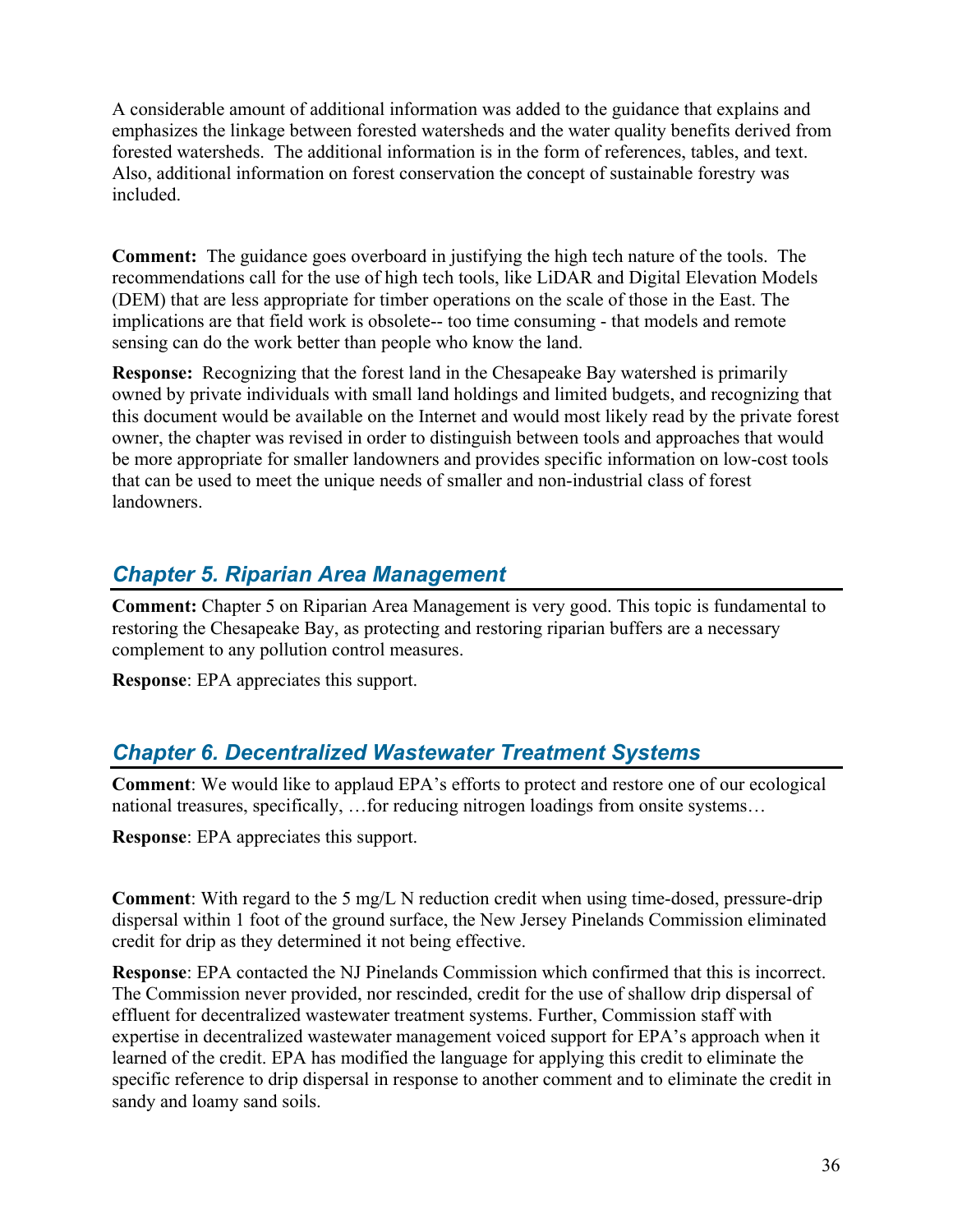A considerable amount of additional information was added to the guidance that explains and emphasizes the linkage between forested watersheds and the water quality benefits derived from forested watersheds. The additional information is in the form of references, tables, and text. Also, additional information on forest conservation the concept of sustainable forestry was included.

**Comment:** The guidance goes overboard in justifying the high tech nature of the tools. The recommendations call for the use of high tech tools, like LiDAR and Digital Elevation Models (DEM) that are less appropriate for timber operations on the scale of those in the East. The implications are that field work is obsolete-- too time consuming - that models and remote sensing can do the work better than people who know the land.

**Response:** Recognizing that the forest land in the Chesapeake Bay watershed is primarily owned by private individuals with small land holdings and limited budgets, and recognizing that this document would be available on the Internet and would most likely read by the private forest owner, the chapter was revised in order to distinguish between tools and approaches that would be more appropriate for smaller landowners and provides specific information on low-cost tools that can be used to meet the unique needs of smaller and non-industrial class of forest landowners.

# <span id="page-35-0"></span>*Chapter 5. Riparian Area Management*

**Comment:** Chapter 5 on Riparian Area Management is very good. This topic is fundamental to restoring the Chesapeake Bay, as protecting and restoring riparian buffers are a necessary complement to any pollution control measures.

**Response**: EPA appreciates this support.

### <span id="page-35-1"></span>*Chapter 6. Decentralized Wastewater Treatment Systems*

**Comment**: We would like to applaud EPA's efforts to protect and restore one of our ecological national treasures, specifically, …for reducing nitrogen loadings from onsite systems…

**Response**: EPA appreciates this support.

**Comment**: With regard to the 5 mg/L N reduction credit when using time-dosed, pressure-drip dispersal within 1 foot of the ground surface, the New Jersey Pinelands Commission eliminated credit for drip as they determined it not being effective.

**Response**: EPA contacted the NJ Pinelands Commission which confirmed that this is incorrect. The Commission never provided, nor rescinded, credit for the use of shallow drip dispersal of effluent for decentralized wastewater treatment systems. Further, Commission staff with expertise in decentralized wastewater management voiced support for EPA's approach when it learned of the credit. EPA has modified the language for applying this credit to eliminate the specific reference to drip dispersal in response to another comment and to eliminate the credit in sandy and loamy sand soils.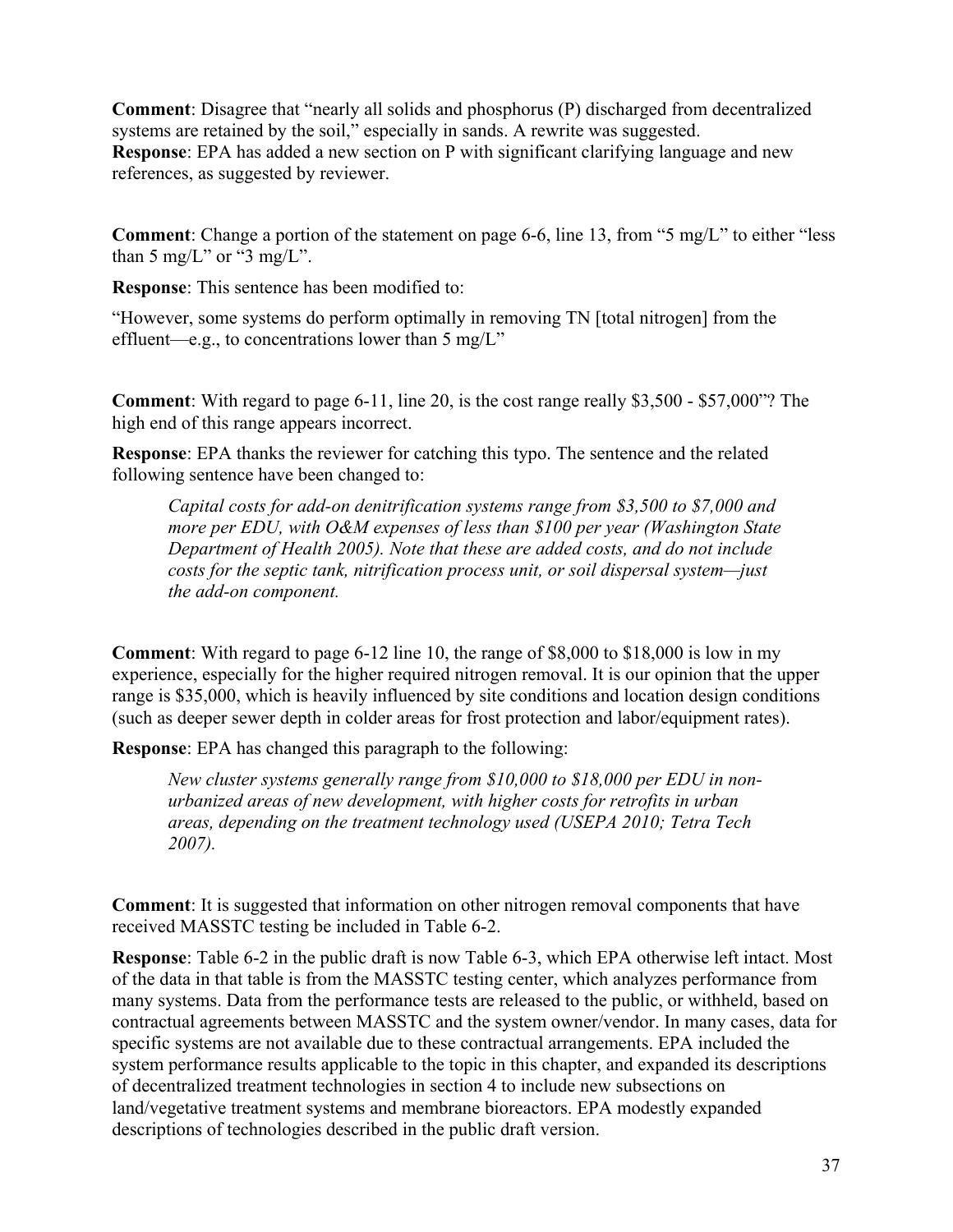**Comment**: Disagree that "nearly all solids and phosphorus (P) discharged from decentralized systems are retained by the soil," especially in sands. A rewrite was suggested. **Response**: EPA has added a new section on P with significant clarifying language and new references, as suggested by reviewer.

**Comment**: Change a portion of the statement on page 6-6, line 13, from "5 mg/L" to either "less than 5 mg/L" or "3 mg/L".

**Response**: This sentence has been modified to:

"However, some systems do perform optimally in removing TN [total nitrogen] from the effluent—e.g., to concentrations lower than 5 mg/L"

**Comment**: With regard to page 6-11, line 20, is the cost range really \$3,500 - \$57,000"? The high end of this range appears incorrect.

**Response**: EPA thanks the reviewer for catching this typo. The sentence and the related following sentence have been changed to:

*Capital costs for add-on denitrification systems range from \$3,500 to \$7,000 and more per EDU, with O&M expenses of less than \$100 per year (Washington State Department of Health 2005). Note that these are added costs, and do not include costs for the septic tank, nitrification process unit, or soil dispersal system—just the add-on component.* 

**Comment**: With regard to page 6-12 line 10, the range of \$8,000 to \$18,000 is low in my experience, especially for the higher required nitrogen removal. It is our opinion that the upper range is \$35,000, which is heavily influenced by site conditions and location design conditions (such as deeper sewer depth in colder areas for frost protection and labor/equipment rates).

**Response**: EPA has changed this paragraph to the following:

*New cluster systems generally range from \$10,000 to \$18,000 per EDU in nonurbanized areas of new development, with higher costs for retrofits in urban areas, depending on the treatment technology used (USEPA 2010; Tetra Tech 2007).* 

**Comment**: It is suggested that information on other nitrogen removal components that have received MASSTC testing be included in Table 6-2.

**Response**: Table 6-2 in the public draft is now Table 6-3, which EPA otherwise left intact. Most of the data in that table is from the MASSTC testing center, which analyzes performance from many systems. Data from the performance tests are released to the public, or withheld, based on contractual agreements between MASSTC and the system owner/vendor. In many cases, data for specific systems are not available due to these contractual arrangements. EPA included the system performance results applicable to the topic in this chapter, and expanded its descriptions of decentralized treatment technologies in section 4 to include new subsections on land/vegetative treatment systems and membrane bioreactors. EPA modestly expanded descriptions of technologies described in the public draft version.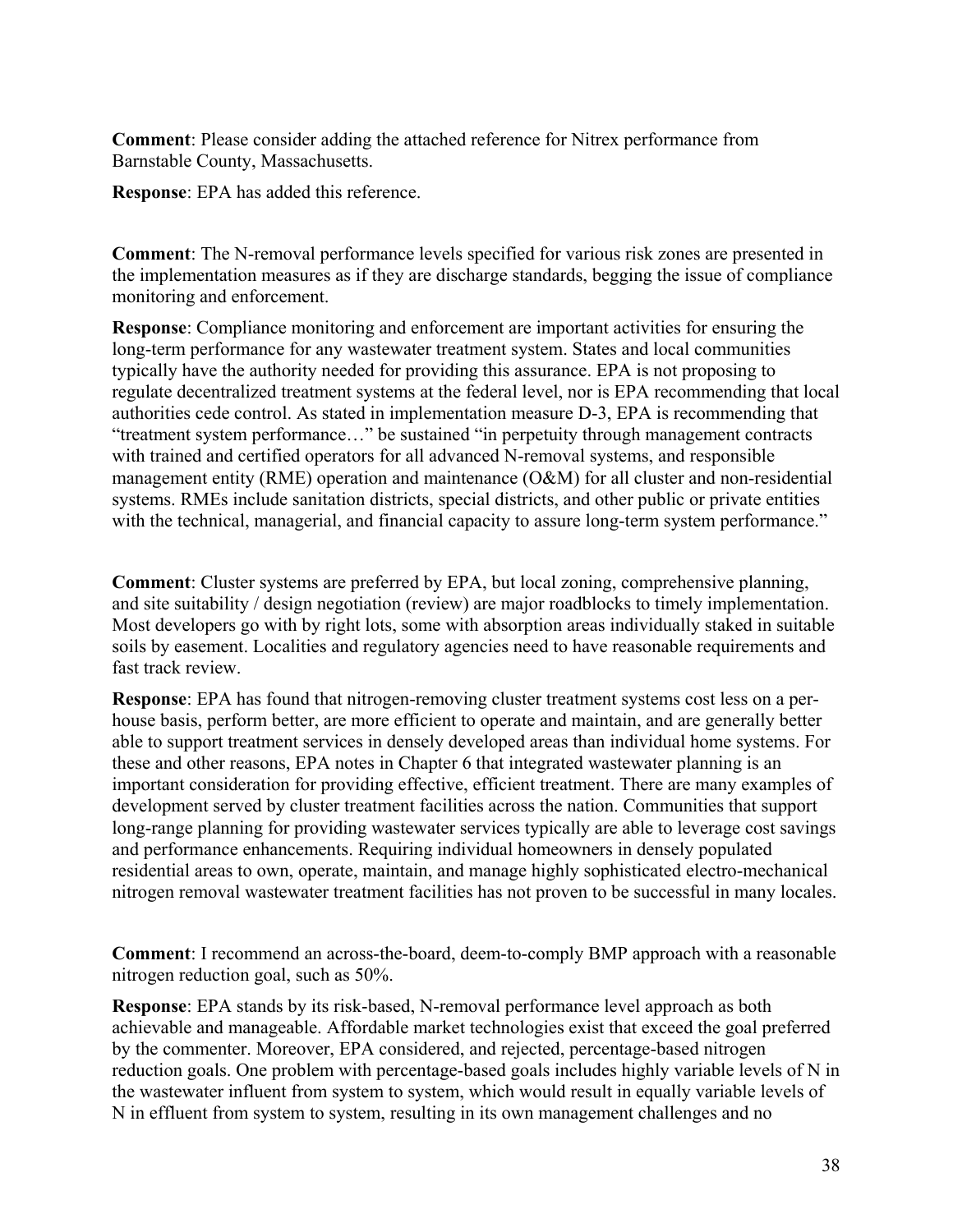**Comment**: Please consider adding the attached reference for Nitrex performance from Barnstable County, Massachusetts.

**Response**: EPA has added this reference.

**Comment**: The N-removal performance levels specified for various risk zones are presented in the implementation measures as if they are discharge standards, begging the issue of compliance monitoring and enforcement.

**Response**: Compliance monitoring and enforcement are important activities for ensuring the long-term performance for any wastewater treatment system. States and local communities typically have the authority needed for providing this assurance. EPA is not proposing to regulate decentralized treatment systems at the federal level, nor is EPA recommending that local authorities cede control. As stated in implementation measure D-3, EPA is recommending that "treatment system performance…" be sustained "in perpetuity through management contracts with trained and certified operators for all advanced N-removal systems, and responsible management entity (RME) operation and maintenance (O&M) for all cluster and non-residential systems. RMEs include sanitation districts, special districts, and other public or private entities with the technical, managerial, and financial capacity to assure long-term system performance."

**Comment**: Cluster systems are preferred by EPA, but local zoning, comprehensive planning, and site suitability / design negotiation (review) are major roadblocks to timely implementation. Most developers go with by right lots, some with absorption areas individually staked in suitable soils by easement. Localities and regulatory agencies need to have reasonable requirements and fast track review.

**Response**: EPA has found that nitrogen-removing cluster treatment systems cost less on a perhouse basis, perform better, are more efficient to operate and maintain, and are generally better able to support treatment services in densely developed areas than individual home systems. For these and other reasons, EPA notes in Chapter 6 that integrated wastewater planning is an important consideration for providing effective, efficient treatment. There are many examples of development served by cluster treatment facilities across the nation. Communities that support long-range planning for providing wastewater services typically are able to leverage cost savings and performance enhancements. Requiring individual homeowners in densely populated residential areas to own, operate, maintain, and manage highly sophisticated electro-mechanical nitrogen removal wastewater treatment facilities has not proven to be successful in many locales.

**Comment**: I recommend an across-the-board, deem-to-comply BMP approach with a reasonable nitrogen reduction goal, such as 50%.

**Response**: EPA stands by its risk-based, N-removal performance level approach as both achievable and manageable. Affordable market technologies exist that exceed the goal preferred by the commenter. Moreover, EPA considered, and rejected, percentage-based nitrogen reduction goals. One problem with percentage-based goals includes highly variable levels of N in the wastewater influent from system to system, which would result in equally variable levels of N in effluent from system to system, resulting in its own management challenges and no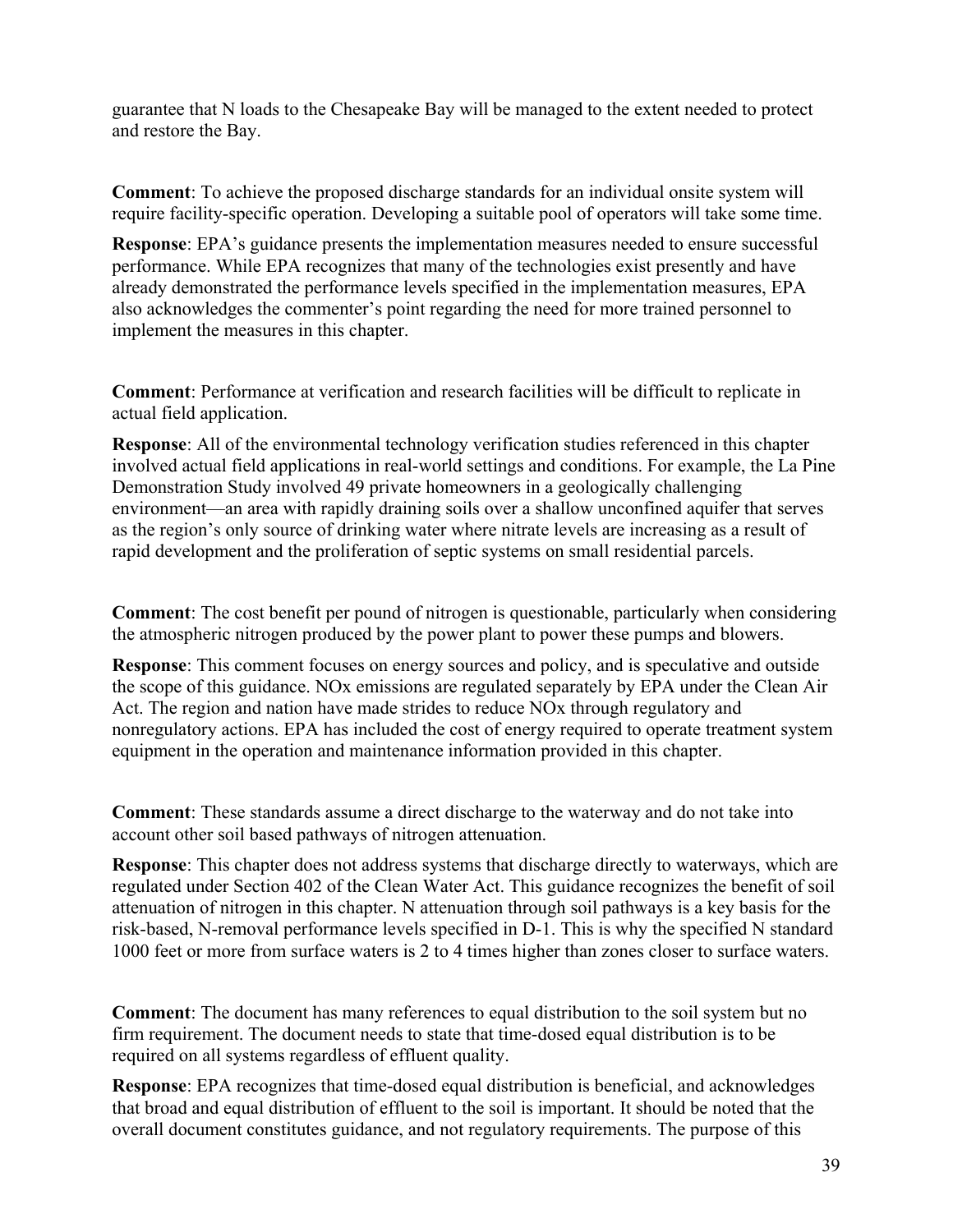guarantee that N loads to the Chesapeake Bay will be managed to the extent needed to protect and restore the Bay.

**Comment**: To achieve the proposed discharge standards for an individual onsite system will require facility-specific operation. Developing a suitable pool of operators will take some time.

**Response**: EPA's guidance presents the implementation measures needed to ensure successful performance. While EPA recognizes that many of the technologies exist presently and have already demonstrated the performance levels specified in the implementation measures, EPA also acknowledges the commenter's point regarding the need for more trained personnel to implement the measures in this chapter.

**Comment**: Performance at verification and research facilities will be difficult to replicate in actual field application.

**Response**: All of the environmental technology verification studies referenced in this chapter involved actual field applications in real-world settings and conditions. For example, the La Pine Demonstration Study involved 49 private homeowners in a geologically challenging environment—an area with rapidly draining soils over a shallow unconfined aquifer that serves as the region's only source of drinking water where nitrate levels are increasing as a result of rapid development and the proliferation of septic systems on small residential parcels.

**Comment**: The cost benefit per pound of nitrogen is questionable, particularly when considering the atmospheric nitrogen produced by the power plant to power these pumps and blowers.

**Response**: This comment focuses on energy sources and policy, and is speculative and outside the scope of this guidance. NOx emissions are regulated separately by EPA under the Clean Air Act. The region and nation have made strides to reduce NOx through regulatory and nonregulatory actions. EPA has included the cost of energy required to operate treatment system equipment in the operation and maintenance information provided in this chapter.

**Comment**: These standards assume a direct discharge to the waterway and do not take into account other soil based pathways of nitrogen attenuation.

**Response**: This chapter does not address systems that discharge directly to waterways, which are regulated under Section 402 of the Clean Water Act. This guidance recognizes the benefit of soil attenuation of nitrogen in this chapter. N attenuation through soil pathways is a key basis for the risk-based, N-removal performance levels specified in D-1. This is why the specified N standard 1000 feet or more from surface waters is 2 to 4 times higher than zones closer to surface waters.

**Comment**: The document has many references to equal distribution to the soil system but no firm requirement. The document needs to state that time-dosed equal distribution is to be required on all systems regardless of effluent quality.

**Response**: EPA recognizes that time-dosed equal distribution is beneficial, and acknowledges that broad and equal distribution of effluent to the soil is important. It should be noted that the overall document constitutes guidance, and not regulatory requirements. The purpose of this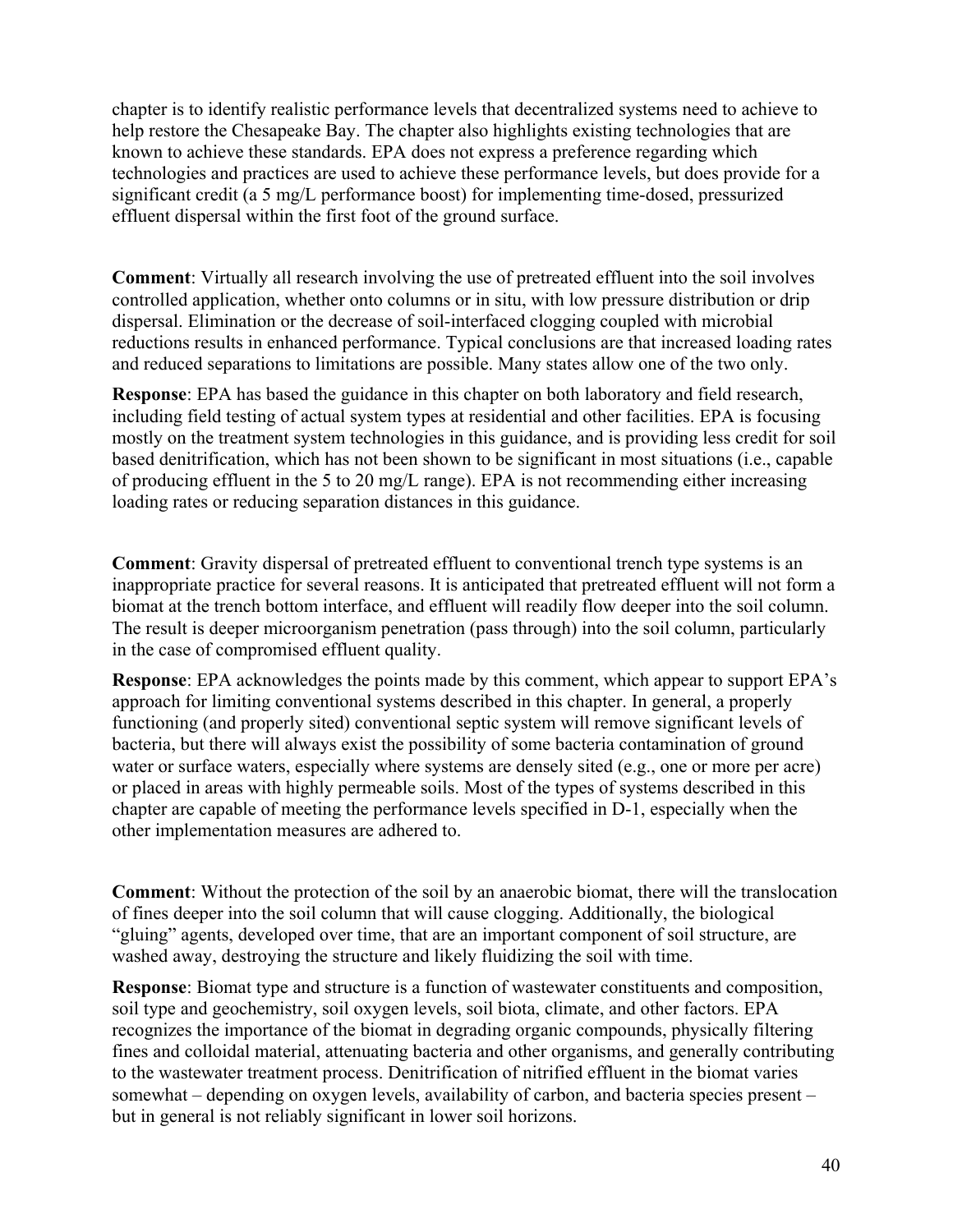chapter is to identify realistic performance levels that decentralized systems need to achieve to help restore the Chesapeake Bay. The chapter also highlights existing technologies that are known to achieve these standards. EPA does not express a preference regarding which technologies and practices are used to achieve these performance levels, but does provide for a significant credit (a 5 mg/L performance boost) for implementing time-dosed, pressurized effluent dispersal within the first foot of the ground surface.

**Comment**: Virtually all research involving the use of pretreated effluent into the soil involves controlled application, whether onto columns or in situ, with low pressure distribution or drip dispersal. Elimination or the decrease of soil-interfaced clogging coupled with microbial reductions results in enhanced performance. Typical conclusions are that increased loading rates and reduced separations to limitations are possible. Many states allow one of the two only.

**Response**: EPA has based the guidance in this chapter on both laboratory and field research, including field testing of actual system types at residential and other facilities. EPA is focusing mostly on the treatment system technologies in this guidance, and is providing less credit for soil based denitrification, which has not been shown to be significant in most situations (i.e., capable of producing effluent in the 5 to 20 mg/L range). EPA is not recommending either increasing loading rates or reducing separation distances in this guidance.

**Comment**: Gravity dispersal of pretreated effluent to conventional trench type systems is an inappropriate practice for several reasons. It is anticipated that pretreated effluent will not form a biomat at the trench bottom interface, and effluent will readily flow deeper into the soil column. The result is deeper microorganism penetration (pass through) into the soil column, particularly in the case of compromised effluent quality.

**Response**: EPA acknowledges the points made by this comment, which appear to support EPA's approach for limiting conventional systems described in this chapter. In general, a properly functioning (and properly sited) conventional septic system will remove significant levels of bacteria, but there will always exist the possibility of some bacteria contamination of ground water or surface waters, especially where systems are densely sited (e.g., one or more per acre) or placed in areas with highly permeable soils. Most of the types of systems described in this chapter are capable of meeting the performance levels specified in D-1, especially when the other implementation measures are adhered to.

**Comment**: Without the protection of the soil by an anaerobic biomat, there will the translocation of fines deeper into the soil column that will cause clogging. Additionally, the biological "gluing" agents, developed over time, that are an important component of soil structure, are washed away, destroying the structure and likely fluidizing the soil with time.

**Response**: Biomat type and structure is a function of wastewater constituents and composition, soil type and geochemistry, soil oxygen levels, soil biota, climate, and other factors. EPA recognizes the importance of the biomat in degrading organic compounds, physically filtering fines and colloidal material, attenuating bacteria and other organisms, and generally contributing to the wastewater treatment process. Denitrification of nitrified effluent in the biomat varies somewhat – depending on oxygen levels, availability of carbon, and bacteria species present – but in general is not reliably significant in lower soil horizons.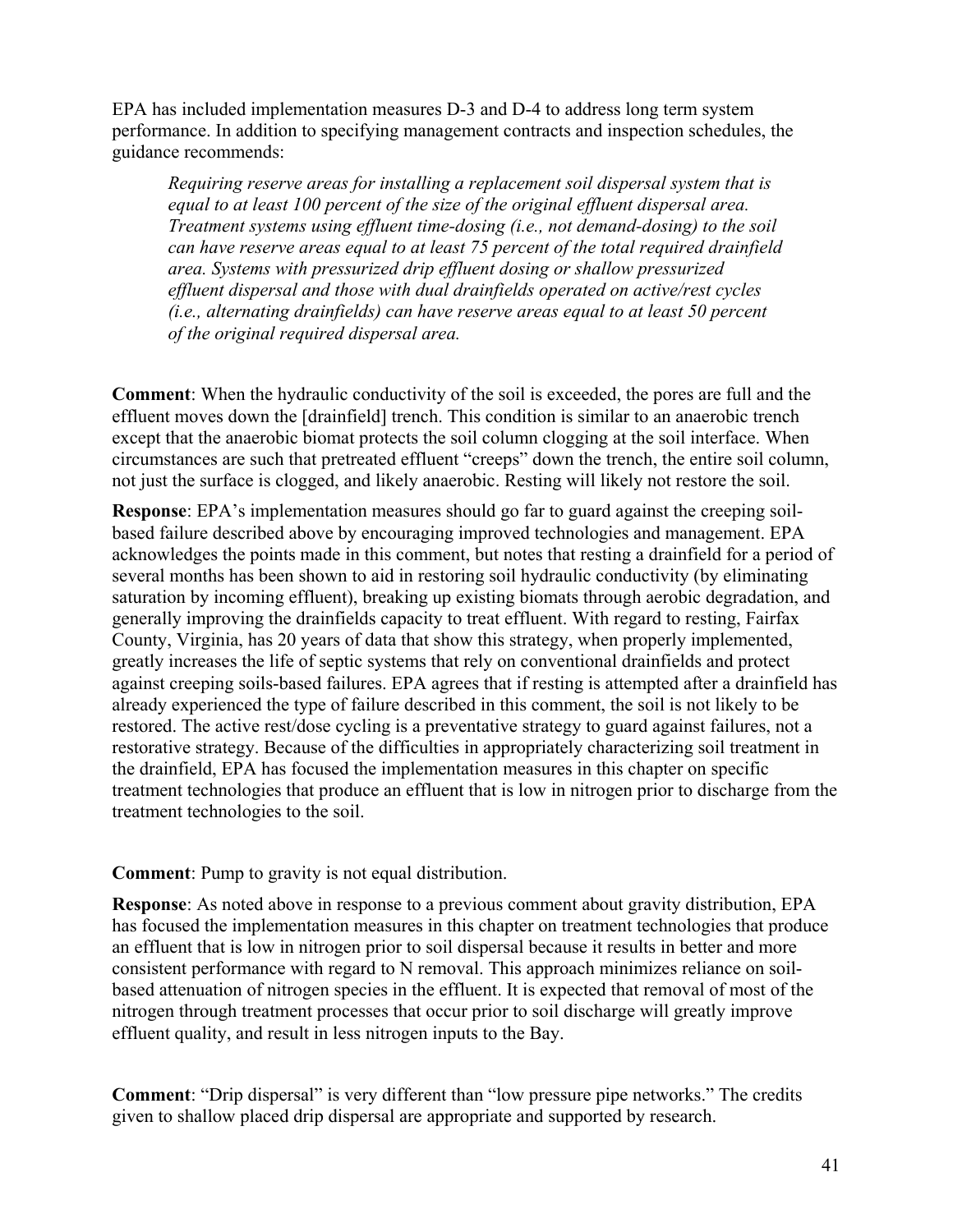EPA has included implementation measures D-3 and D-4 to address long term system performance. In addition to specifying management contracts and inspection schedules, the guidance recommends:

*Requiring reserve areas for installing a replacement soil dispersal system that is equal to at least 100 percent of the size of the original effluent dispersal area. Treatment systems using effluent time-dosing (i.e., not demand-dosing) to the soil can have reserve areas equal to at least 75 percent of the total required drainfield area. Systems with pressurized drip effluent dosing or shallow pressurized effluent dispersal and those with dual drainfields operated on active/rest cycles (i.e., alternating drainfields) can have reserve areas equal to at least 50 percent of the original required dispersal area.* 

**Comment**: When the hydraulic conductivity of the soil is exceeded, the pores are full and the effluent moves down the [drainfield] trench. This condition is similar to an anaerobic trench except that the anaerobic biomat protects the soil column clogging at the soil interface. When circumstances are such that pretreated effluent "creeps" down the trench, the entire soil column, not just the surface is clogged, and likely anaerobic. Resting will likely not restore the soil.

**Response**: EPA's implementation measures should go far to guard against the creeping soilbased failure described above by encouraging improved technologies and management. EPA acknowledges the points made in this comment, but notes that resting a drainfield for a period of several months has been shown to aid in restoring soil hydraulic conductivity (by eliminating saturation by incoming effluent), breaking up existing biomats through aerobic degradation, and generally improving the drainfields capacity to treat effluent. With regard to resting, Fairfax County, Virginia, has 20 years of data that show this strategy, when properly implemented, greatly increases the life of septic systems that rely on conventional drainfields and protect against creeping soils-based failures. EPA agrees that if resting is attempted after a drainfield has already experienced the type of failure described in this comment, the soil is not likely to be restored. The active rest/dose cycling is a preventative strategy to guard against failures, not a restorative strategy. Because of the difficulties in appropriately characterizing soil treatment in the drainfield, EPA has focused the implementation measures in this chapter on specific treatment technologies that produce an effluent that is low in nitrogen prior to discharge from the treatment technologies to the soil.

**Comment**: Pump to gravity is not equal distribution.

**Response**: As noted above in response to a previous comment about gravity distribution, EPA has focused the implementation measures in this chapter on treatment technologies that produce an effluent that is low in nitrogen prior to soil dispersal because it results in better and more consistent performance with regard to N removal. This approach minimizes reliance on soilbased attenuation of nitrogen species in the effluent. It is expected that removal of most of the nitrogen through treatment processes that occur prior to soil discharge will greatly improve effluent quality, and result in less nitrogen inputs to the Bay.

**Comment**: "Drip dispersal" is very different than "low pressure pipe networks." The credits given to shallow placed drip dispersal are appropriate and supported by research.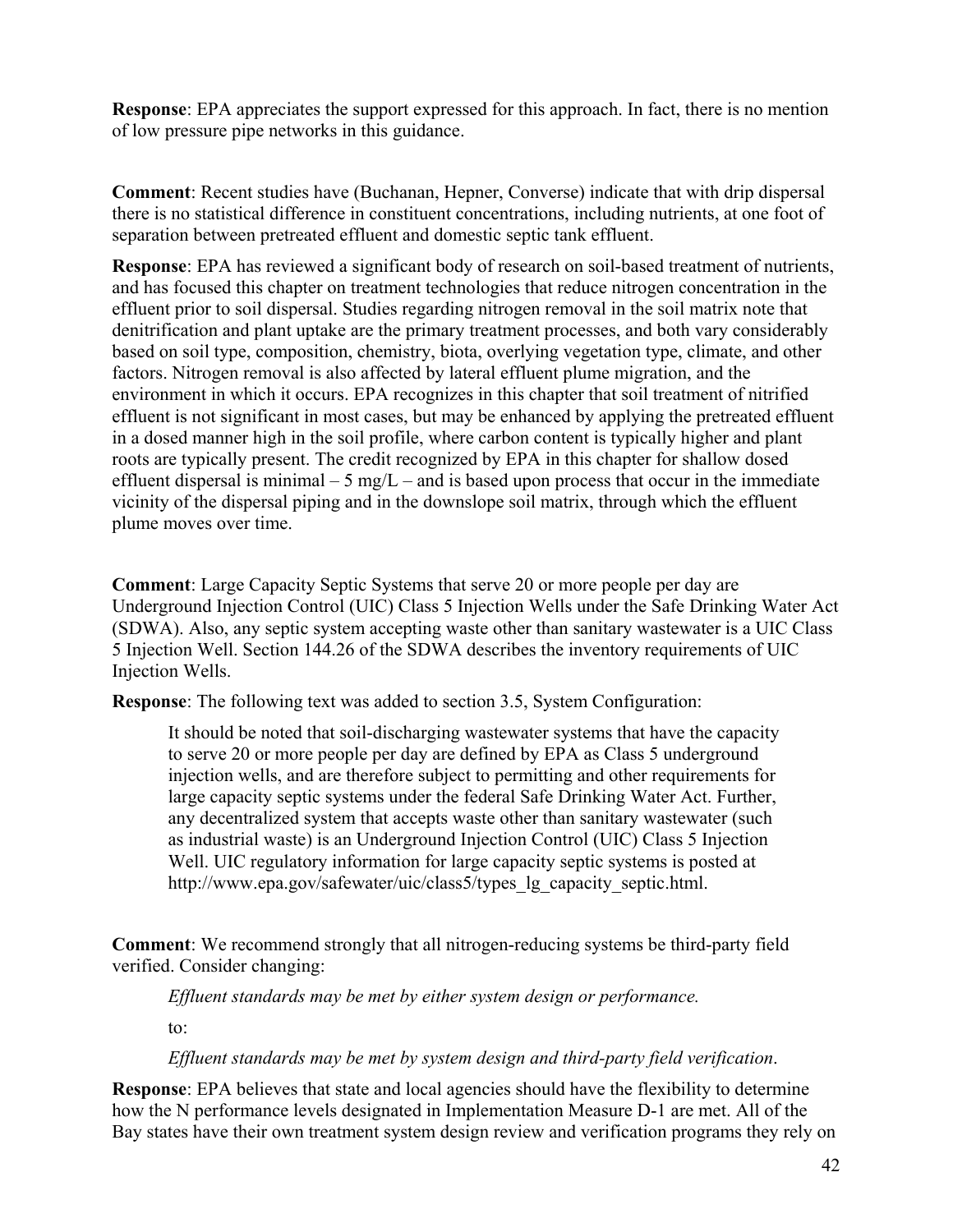**Response**: EPA appreciates the support expressed for this approach. In fact, there is no mention of low pressure pipe networks in this guidance.

**Comment**: Recent studies have (Buchanan, Hepner, Converse) indicate that with drip dispersal there is no statistical difference in constituent concentrations, including nutrients, at one foot of separation between pretreated effluent and domestic septic tank effluent.

**Response**: EPA has reviewed a significant body of research on soil-based treatment of nutrients, and has focused this chapter on treatment technologies that reduce nitrogen concentration in the effluent prior to soil dispersal. Studies regarding nitrogen removal in the soil matrix note that denitrification and plant uptake are the primary treatment processes, and both vary considerably based on soil type, composition, chemistry, biota, overlying vegetation type, climate, and other factors. Nitrogen removal is also affected by lateral effluent plume migration, and the environment in which it occurs. EPA recognizes in this chapter that soil treatment of nitrified effluent is not significant in most cases, but may be enhanced by applying the pretreated effluent in a dosed manner high in the soil profile, where carbon content is typically higher and plant roots are typically present. The credit recognized by EPA in this chapter for shallow dosed effluent dispersal is minimal  $-5$  mg/L – and is based upon process that occur in the immediate vicinity of the dispersal piping and in the downslope soil matrix, through which the effluent plume moves over time.

**Comment**: Large Capacity Septic Systems that serve 20 or more people per day are Underground Injection Control (UIC) Class 5 Injection Wells under the Safe Drinking Water Act (SDWA). Also, any septic system accepting waste other than sanitary wastewater is a UIC Class 5 Injection Well. Section 144.26 of the SDWA describes the inventory requirements of UIC Injection Wells.

**Response**: The following text was added to section 3.5, System Configuration:

It should be noted that soil-discharging wastewater systems that have the capacity to serve 20 or more people per day are defined by EPA as Class 5 underground injection wells, and are therefore subject to permitting and other requirements for large capacity septic systems under the federal Safe Drinking Water Act. Further, any decentralized system that accepts waste other than sanitary wastewater (such as industrial waste) is an Underground Injection Control (UIC) Class 5 Injection Well. UIC regulatory information for large capacity septic systems is posted at [http://www.epa.gov/safewater/uic/class5/types\\_lg\\_capacity\\_septic.html](http://www.epa.gov/safewater/uic/class5/types_lg_capacity_septic.html).

**Comment**: We recommend strongly that all nitrogen-reducing systems be third-party field verified. Consider changing:

*Effluent standards may be met by either system design or performance.* 

to:

*Effluent standards may be met by system design and third-party field verification*.

**Response**: EPA believes that state and local agencies should have the flexibility to determine how the N performance levels designated in Implementation Measure D-1 are met. All of the Bay states have their own treatment system design review and verification programs they rely on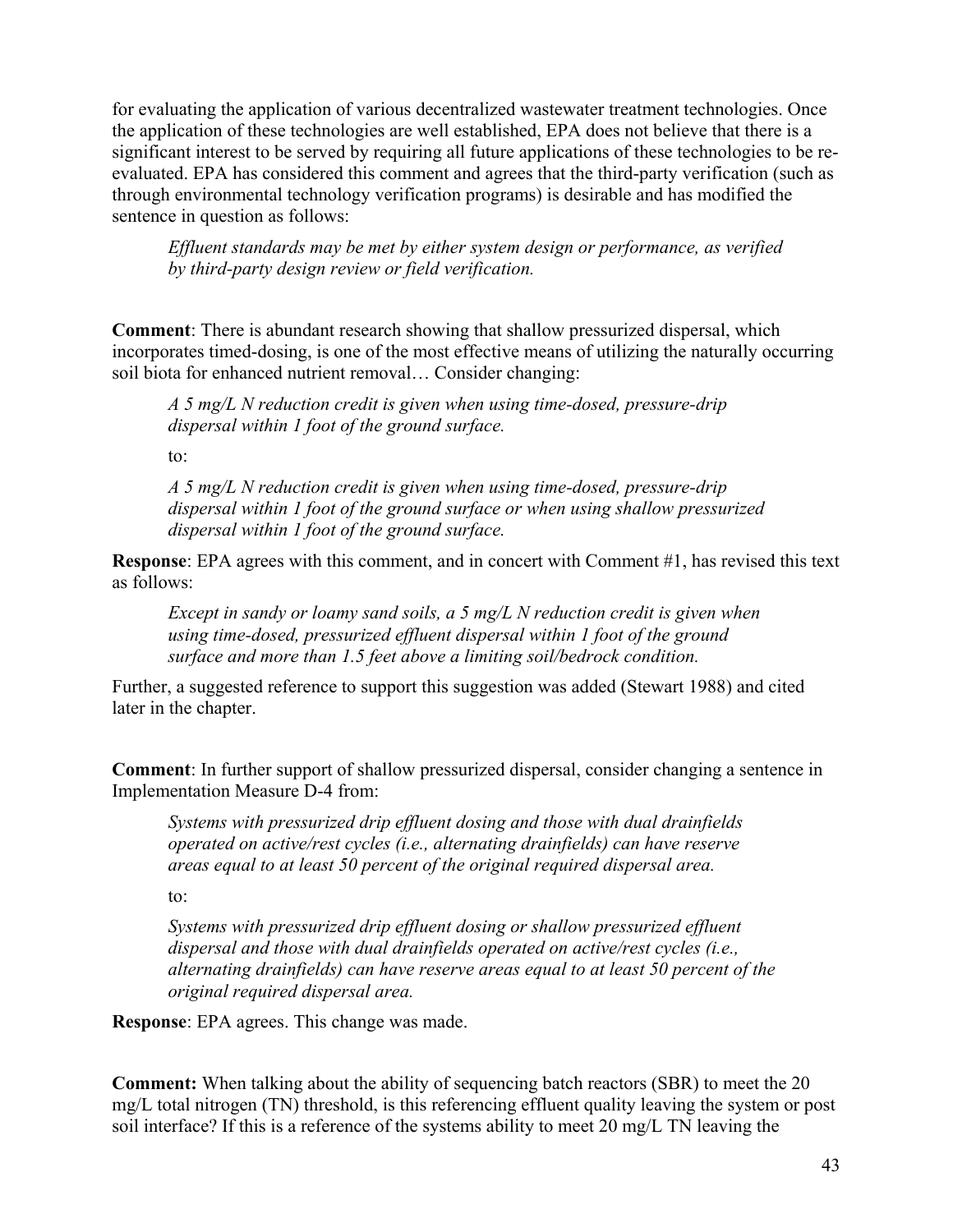for evaluating the application of various decentralized wastewater treatment technologies. Once the application of these technologies are well established, EPA does not believe that there is a significant interest to be served by requiring all future applications of these technologies to be reevaluated. EPA has considered this comment and agrees that the third-party verification (such as through environmental technology verification programs) is desirable and has modified the sentence in question as follows:

*Effluent standards may be met by either system design or performance, as verified by third-party design review or field verification.* 

**Comment**: There is abundant research showing that shallow pressurized dispersal, which incorporates timed-dosing, is one of the most effective means of utilizing the naturally occurring soil biota for enhanced nutrient removal… Consider changing:

*A 5 mg/L N reduction credit is given when using time-dosed, pressure-drip dispersal within 1 foot of the ground surface.* 

to:

*A 5 mg/L N reduction credit is given when using time-dosed, pressure-drip dispersal within 1 foot of the ground surface or when using shallow pressurized dispersal within 1 foot of the ground surface.* 

**Response**: EPA agrees with this comment, and in concert with Comment #1, has revised this text as follows:

*Except in sandy or loamy sand soils, a 5 mg/L N reduction credit is given when using time-dosed, pressurized effluent dispersal within 1 foot of the ground surface and more than 1.5 feet above a limiting soil/bedrock condition.* 

Further, a suggested reference to support this suggestion was added (Stewart 1988) and cited later in the chapter.

**Comment**: In further support of shallow pressurized dispersal, consider changing a sentence in Implementation Measure D-4 from:

*Systems with pressurized drip effluent dosing and those with dual drainfields operated on active/rest cycles (i.e., alternating drainfields) can have reserve areas equal to at least 50 percent of the original required dispersal area.* 

to:

*Systems with pressurized drip effluent dosing or shallow pressurized effluent dispersal and those with dual drainfields operated on active/rest cycles (i.e., alternating drainfields) can have reserve areas equal to at least 50 percent of the original required dispersal area.* 

**Response**: EPA agrees. This change was made.

**Comment:** When talking about the ability of sequencing batch reactors (SBR) to meet the 20 mg/L total nitrogen (TN) threshold, is this referencing effluent quality leaving the system or post soil interface? If this is a reference of the systems ability to meet 20 mg/L TN leaving the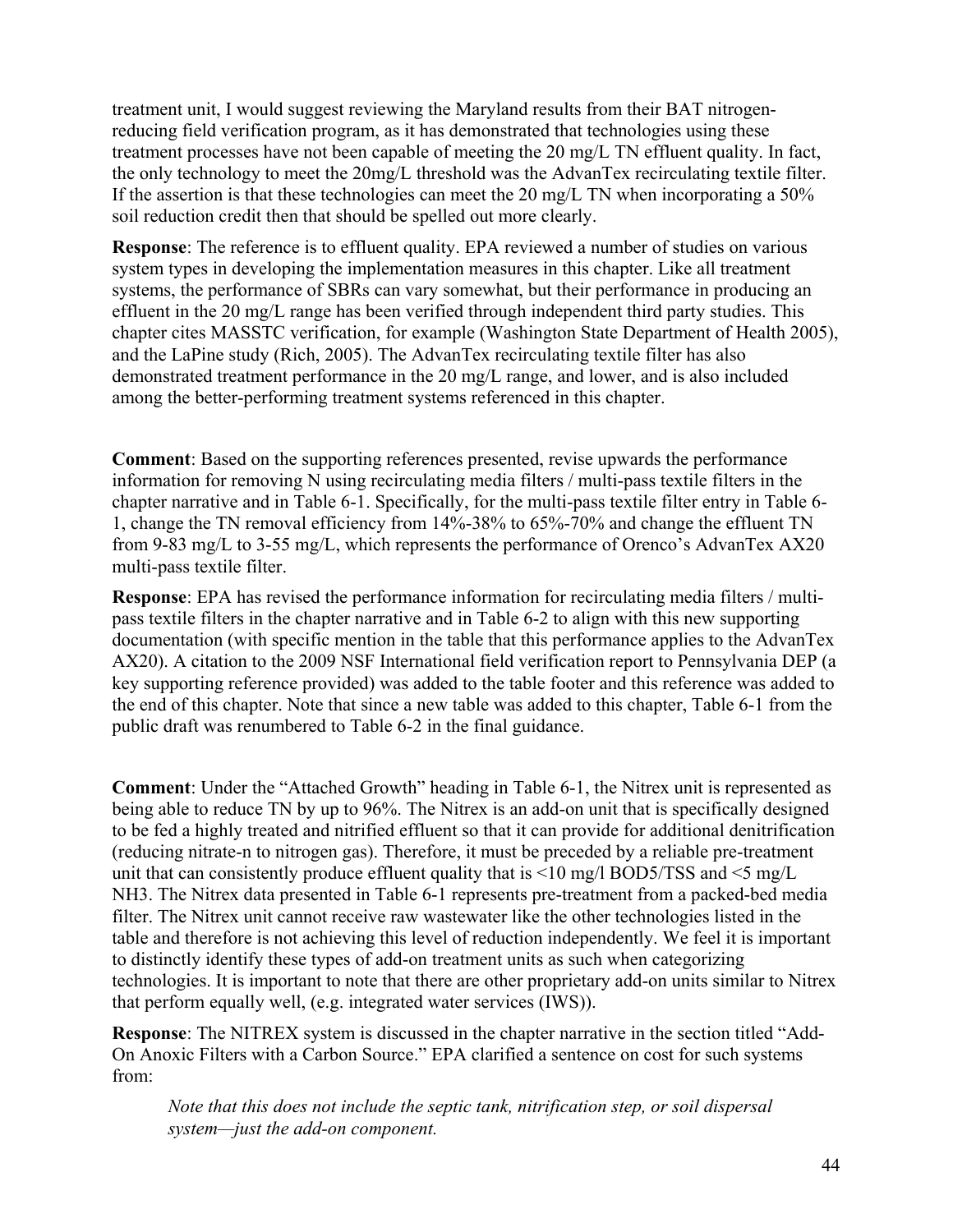treatment unit, I would suggest reviewing the Maryland results from their BAT nitrogenreducing field verification program, as it has demonstrated that technologies using these treatment processes have not been capable of meeting the 20 mg/L TN effluent quality. In fact, the only technology to meet the 20mg/L threshold was the AdvanTex recirculating textile filter. If the assertion is that these technologies can meet the 20 mg/L TN when incorporating a 50% soil reduction credit then that should be spelled out more clearly.

**Response**: The reference is to effluent quality. EPA reviewed a number of studies on various system types in developing the implementation measures in this chapter. Like all treatment systems, the performance of SBRs can vary somewhat, but their performance in producing an effluent in the 20 mg/L range has been verified through independent third party studies. This chapter cites MASSTC verification, for example (Washington State Department of Health 2005), and the LaPine study (Rich, 2005). The AdvanTex recirculating textile filter has also demonstrated treatment performance in the 20 mg/L range, and lower, and is also included among the better-performing treatment systems referenced in this chapter.

**Comment**: Based on the supporting references presented, revise upwards the performance information for removing N using recirculating media filters / multi-pass textile filters in the chapter narrative and in Table 6-1. Specifically, for the multi-pass textile filter entry in Table 6- 1, change the TN removal efficiency from 14%-38% to 65%-70% and change the effluent TN from 9-83 mg/L to 3-55 mg/L, which represents the performance of Orenco's AdvanTex AX20 multi-pass textile filter.

**Response**: EPA has revised the performance information for recirculating media filters / multipass textile filters in the chapter narrative and in Table 6-2 to align with this new supporting documentation (with specific mention in the table that this performance applies to the AdvanTex AX20). A citation to the 2009 NSF International field verification report to Pennsylvania DEP (a key supporting reference provided) was added to the table footer and this reference was added to the end of this chapter. Note that since a new table was added to this chapter, Table 6-1 from the public draft was renumbered to Table 6-2 in the final guidance.

**Comment**: Under the "Attached Growth" heading in Table 6-1, the Nitrex unit is represented as being able to reduce TN by up to 96%. The Nitrex is an add-on unit that is specifically designed to be fed a highly treated and nitrified effluent so that it can provide for additional denitrification (reducing nitrate-n to nitrogen gas). Therefore, it must be preceded by a reliable pre-treatment unit that can consistently produce effluent quality that is  $\leq 10$  mg/l BOD5/TSS and  $\leq 5$  mg/L NH3. The Nitrex data presented in Table 6-1 represents pre-treatment from a packed-bed media filter. The Nitrex unit cannot receive raw wastewater like the other technologies listed in the table and therefore is not achieving this level of reduction independently. We feel it is important to distinctly identify these types of add-on treatment units as such when categorizing technologies. It is important to note that there are other proprietary add-on units similar to Nitrex that perform equally well, (e.g. integrated water services (IWS)).

**Response**: The NITREX system is discussed in the chapter narrative in the section titled "Add-On Anoxic Filters with a Carbon Source." EPA clarified a sentence on cost for such systems from:

*Note that this does not include the septic tank, nitrification step, or soil dispersal system—just the add-on component.*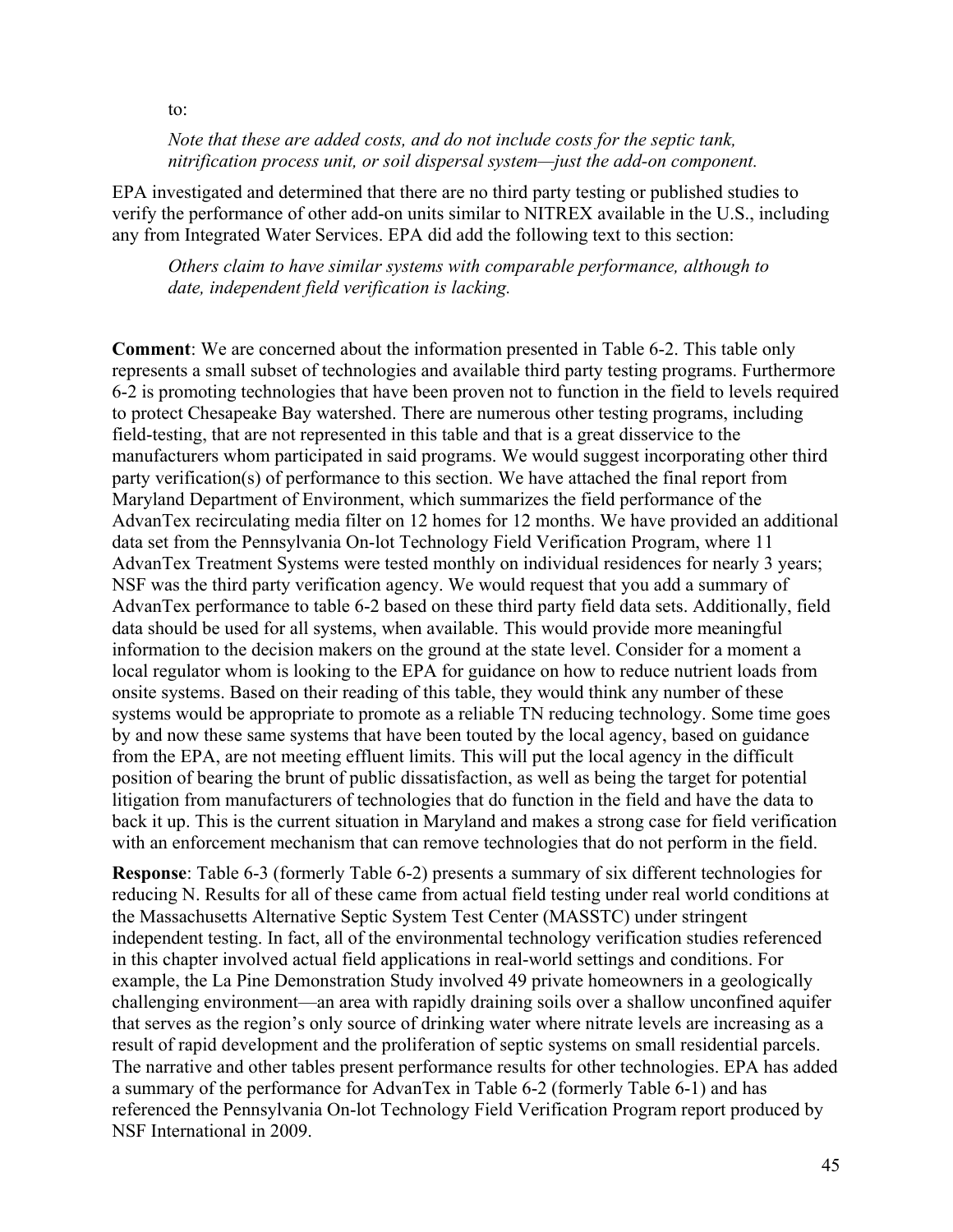to:

*Note that these are added costs, and do not include costs for the septic tank, nitrification process unit, or soil dispersal system—just the add-on component.* 

EPA investigated and determined that there are no third party testing or published studies to verify the performance of other add-on units similar to NITREX available in the U.S., including any from Integrated Water Services. EPA did add the following text to this section:

*Others claim to have similar systems with comparable performance, although to date, independent field verification is lacking.* 

**Comment**: We are concerned about the information presented in Table 6-2. This table only represents a small subset of technologies and available third party testing programs. Furthermore 6-2 is promoting technologies that have been proven not to function in the field to levels required to protect Chesapeake Bay watershed. There are numerous other testing programs, including field-testing, that are not represented in this table and that is a great disservice to the manufacturers whom participated in said programs. We would suggest incorporating other third party verification(s) of performance to this section. We have attached the final report from Maryland Department of Environment, which summarizes the field performance of the AdvanTex recirculating media filter on 12 homes for 12 months. We have provided an additional data set from the Pennsylvania On-lot Technology Field Verification Program, where 11 AdvanTex Treatment Systems were tested monthly on individual residences for nearly 3 years; NSF was the third party verification agency. We would request that you add a summary of AdvanTex performance to table 6-2 based on these third party field data sets. Additionally, field data should be used for all systems, when available. This would provide more meaningful information to the decision makers on the ground at the state level. Consider for a moment a local regulator whom is looking to the EPA for guidance on how to reduce nutrient loads from onsite systems. Based on their reading of this table, they would think any number of these systems would be appropriate to promote as a reliable TN reducing technology. Some time goes by and now these same systems that have been touted by the local agency, based on guidance from the EPA, are not meeting effluent limits. This will put the local agency in the difficult position of bearing the brunt of public dissatisfaction, as well as being the target for potential litigation from manufacturers of technologies that do function in the field and have the data to back it up. This is the current situation in Maryland and makes a strong case for field verification with an enforcement mechanism that can remove technologies that do not perform in the field.

**Response**: Table 6-3 (formerly Table 6-2) presents a summary of six different technologies for reducing N. Results for all of these came from actual field testing under real world conditions at the Massachusetts Alternative Septic System Test Center (MASSTC) under stringent independent testing. In fact, all of the environmental technology verification studies referenced in this chapter involved actual field applications in real-world settings and conditions. For example, the La Pine Demonstration Study involved 49 private homeowners in a geologically challenging environment—an area with rapidly draining soils over a shallow unconfined aquifer that serves as the region's only source of drinking water where nitrate levels are increasing as a result of rapid development and the proliferation of septic systems on small residential parcels. The narrative and other tables present performance results for other technologies. EPA has added a summary of the performance for AdvanTex in Table 6-2 (formerly Table 6-1) and has referenced the Pennsylvania On-lot Technology Field Verification Program report produced by NSF International in 2009.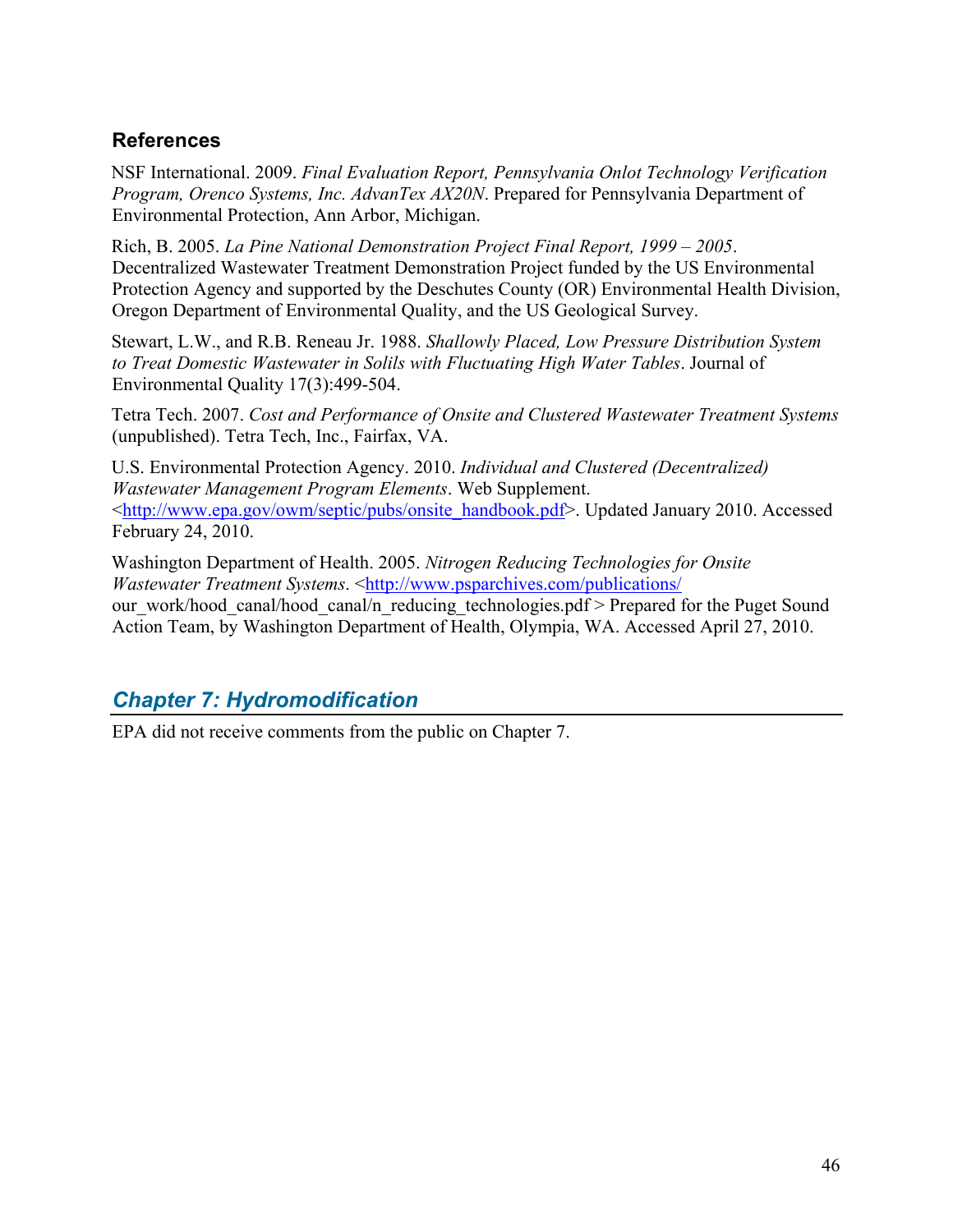### <span id="page-45-0"></span>**References**

NSF International. 2009. *Final Evaluation Report, Pennsylvania Onlot Technology Verification Program, Orenco Systems, Inc. AdvanTex AX20N*. Prepared for Pennsylvania Department of Environmental Protection, Ann Arbor, Michigan.

Rich, B. 2005. *La Pine National Demonstration Project Final Report, 1999 – 2005*. Decentralized Wastewater Treatment Demonstration Project funded by the US Environmental Protection Agency and supported by the Deschutes County (OR) Environmental Health Division, Oregon Department of Environmental Quality, and the US Geological Survey.

Stewart, L.W., and R.B. Reneau Jr. 1988. *Shallowly Placed, Low Pressure Distribution System to Treat Domestic Wastewater in Solils with Fluctuating High Water Tables*. Journal of Environmental Quality 17(3):499-504.

Tetra Tech. 2007. *Cost and Performance of Onsite and Clustered Wastewater Treatment Systems* (unpublished). Tetra Tech, Inc., Fairfax, VA.

U.S. Environmental Protection Agency. 2010. *Individual and Clustered (Decentralized) Wastewater Management Program Elements*. Web Supplement. <[http://www.epa.gov/owm/septic/pubs/onsite\\_handbook.pdf](http://www.epa.gov/owm/septic/pubs/onsite_handbook.pdf)>. Updated January 2010. Accessed February 24, 2010.

Washington Department of Health. 2005. *Nitrogen Reducing Technologies for Onsite Wastewater Treatment Systems.* <<http://www.psparchives.com/publications/> our\_work/hood\_canal/hood\_canal/n\_reducing\_technologies.pdf > Prepared for the Puget Sound Action Team, by Washington Department of Health, Olympia, WA. Accessed April 27, 2010.

# <span id="page-45-1"></span>*Chapter 7: Hydromodification*

EPA did not receive comments from the public on Chapter 7.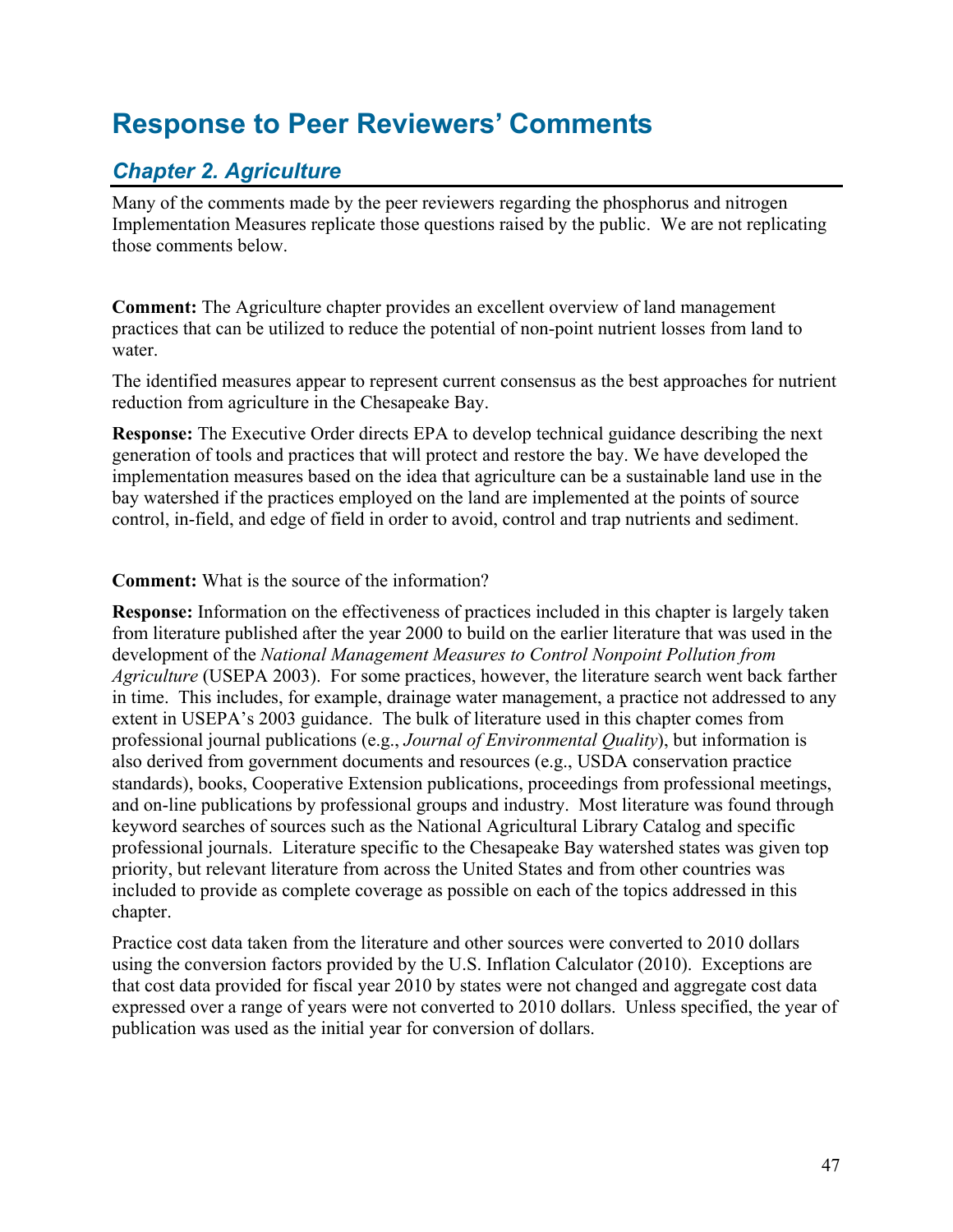# <span id="page-46-0"></span>**Response to Peer Reviewers' Comments**

# <span id="page-46-1"></span>*Chapter 2. Agriculture*

Many of the comments made by the peer reviewers regarding the phosphorus and nitrogen Implementation Measures replicate those questions raised by the public. We are not replicating those comments below.

**Comment:** The Agriculture chapter provides an excellent overview of land management practices that can be utilized to reduce the potential of non-point nutrient losses from land to water.

The identified measures appear to represent current consensus as the best approaches for nutrient reduction from agriculture in the Chesapeake Bay.

**Response:** The Executive Order directs EPA to develop technical guidance describing the next generation of tools and practices that will protect and restore the bay. We have developed the implementation measures based on the idea that agriculture can be a sustainable land use in the bay watershed if the practices employed on the land are implemented at the points of source control, in-field, and edge of field in order to avoid, control and trap nutrients and sediment.

#### **Comment:** What is the source of the information?

**Response:** Information on the effectiveness of practices included in this chapter is largely taken from literature published after the year 2000 to build on the earlier literature that was used in the development of the *National Management Measures to Control Nonpoint Pollution from Agriculture* (USEPA 2003). For some practices, however, the literature search went back farther in time. This includes, for example, drainage water management, a practice not addressed to any extent in USEPA's 2003 guidance. The bulk of literature used in this chapter comes from professional journal publications (e.g., *Journal of Environmental Quality*), but information is also derived from government documents and resources (e.g., USDA conservation practice standards), books, Cooperative Extension publications, proceedings from professional meetings, and on-line publications by professional groups and industry. Most literature was found through keyword searches of sources such as the National Agricultural Library Catalog and specific professional journals. Literature specific to the Chesapeake Bay watershed states was given top priority, but relevant literature from across the United States and from other countries was included to provide as complete coverage as possible on each of the topics addressed in this chapter.

Practice cost data taken from the literature and other sources were converted to 2010 dollars using the conversion factors provided by the U.S. Inflation Calculator (2010). Exceptions are that cost data provided for fiscal year 2010 by states were not changed and aggregate cost data expressed over a range of years were not converted to 2010 dollars. Unless specified, the year of publication was used as the initial year for conversion of dollars.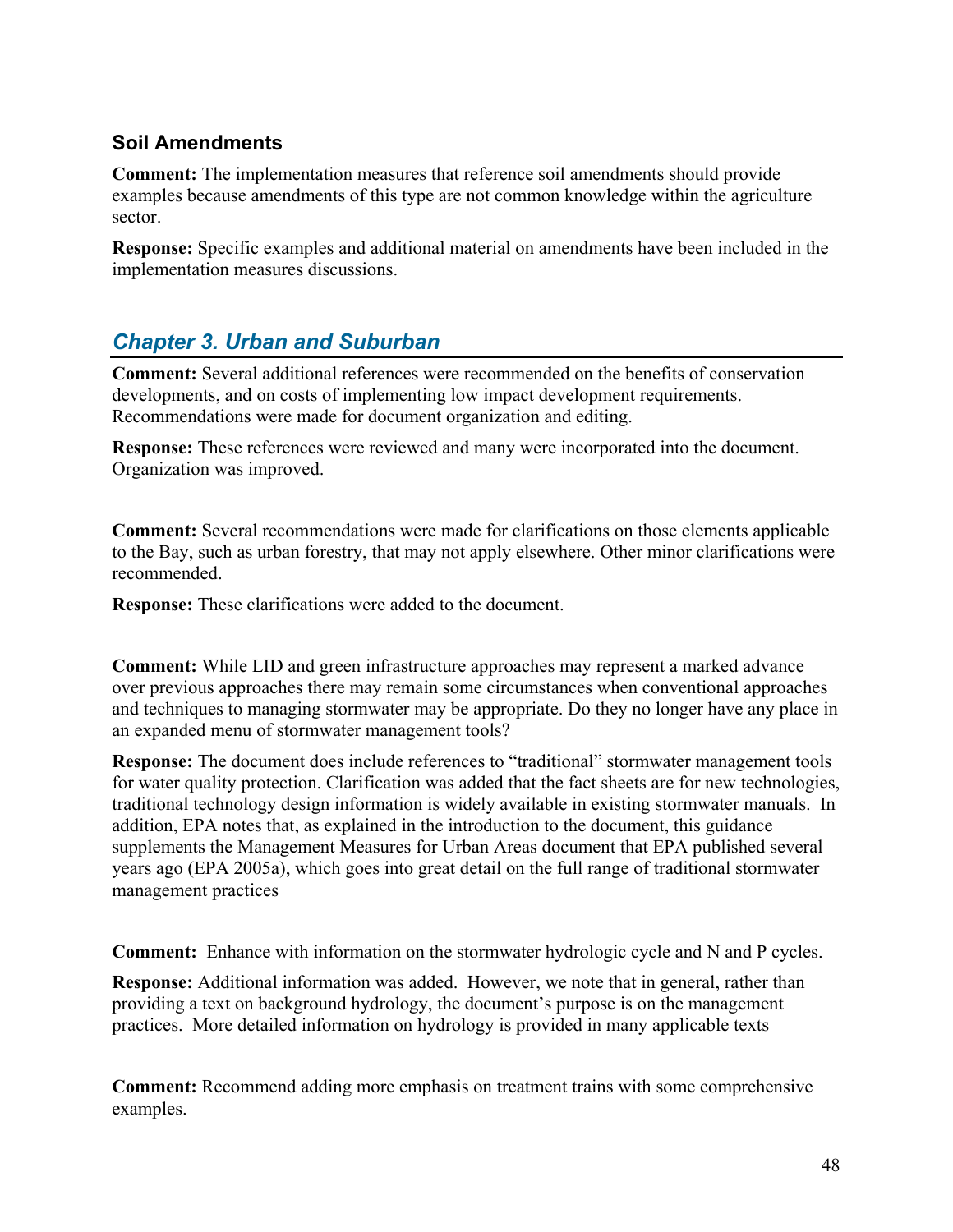### <span id="page-47-0"></span>**Soil Amendments**

**Comment:** The implementation measures that reference soil amendments should provide examples because amendments of this type are not common knowledge within the agriculture sector.

**Response:** Specific examples and additional material on amendments have been included in the implementation measures discussions.

# <span id="page-47-1"></span>*Chapter 3. Urban and Suburban*

**Comment:** Several additional references were recommended on the benefits of conservation developments, and on costs of implementing low impact development requirements. Recommendations were made for document organization and editing.

**Response:** These references were reviewed and many were incorporated into the document. Organization was improved.

**Comment:** Several recommendations were made for clarifications on those elements applicable to the Bay, such as urban forestry, that may not apply elsewhere. Other minor clarifications were recommended.

**Response:** These clarifications were added to the document.

**Comment:** While LID and green infrastructure approaches may represent a marked advance over previous approaches there may remain some circumstances when conventional approaches and techniques to managing stormwater may be appropriate. Do they no longer have any place in an expanded menu of stormwater management tools?

**Response:** The document does include references to "traditional" stormwater management tools for water quality protection. Clarification was added that the fact sheets are for new technologies, traditional technology design information is widely available in existing stormwater manuals. In addition, EPA notes that, as explained in the introduction to the document, this guidance supplements the Management Measures for Urban Areas document that EPA published several years ago (EPA 2005a), which goes into great detail on the full range of traditional stormwater management practices

**Comment:** Enhance with information on the stormwater hydrologic cycle and N and P cycles.

**Response:** Additional information was added. However, we note that in general, rather than providing a text on background hydrology, the document's purpose is on the management practices. More detailed information on hydrology is provided in many applicable texts

**Comment:** Recommend adding more emphasis on treatment trains with some comprehensive examples.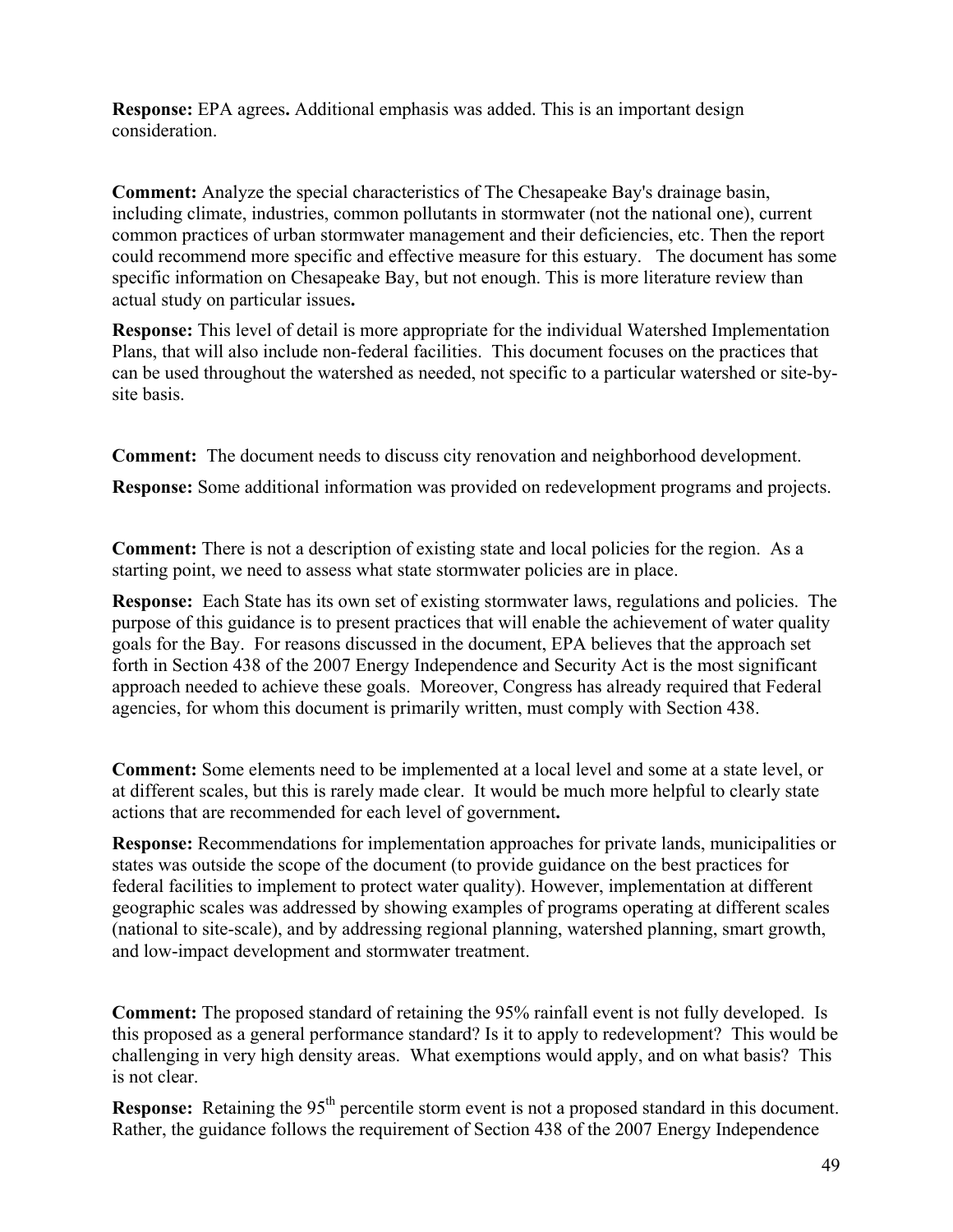**Response:** EPA agrees**.** Additional emphasis was added. This is an important design consideration.

**Comment:** Analyze the special characteristics of The Chesapeake Bay's drainage basin, including climate, industries, common pollutants in stormwater (not the national one), current common practices of urban stormwater management and their deficiencies, etc. Then the report could recommend more specific and effective measure for this estuary. The document has some specific information on Chesapeake Bay, but not enough. This is more literature review than actual study on particular issues**.** 

**Response:** This level of detail is more appropriate for the individual Watershed Implementation Plans, that will also include non-federal facilities. This document focuses on the practices that can be used throughout the watershed as needed, not specific to a particular watershed or site-bysite basis.

**Comment:** The document needs to discuss city renovation and neighborhood development.

**Response:** Some additional information was provided on redevelopment programs and projects.

**Comment:** There is not a description of existing state and local policies for the region. As a starting point, we need to assess what state stormwater policies are in place.

**Response:** Each State has its own set of existing stormwater laws, regulations and policies. The purpose of this guidance is to present practices that will enable the achievement of water quality goals for the Bay. For reasons discussed in the document, EPA believes that the approach set forth in Section 438 of the 2007 Energy Independence and Security Act is the most significant approach needed to achieve these goals. Moreover, Congress has already required that Federal agencies, for whom this document is primarily written, must comply with Section 438.

**Comment:** Some elements need to be implemented at a local level and some at a state level, or at different scales, but this is rarely made clear. It would be much more helpful to clearly state actions that are recommended for each level of government**.**

**Response:** Recommendations for implementation approaches for private lands, municipalities or states was outside the scope of the document (to provide guidance on the best practices for federal facilities to implement to protect water quality). However, implementation at different geographic scales was addressed by showing examples of programs operating at different scales (national to site-scale), and by addressing regional planning, watershed planning, smart growth, and low-impact development and stormwater treatment.

**Comment:** The proposed standard of retaining the 95% rainfall event is not fully developed. Is this proposed as a general performance standard? Is it to apply to redevelopment? This would be challenging in very high density areas. What exemptions would apply, and on what basis? This is not clear.

**Response:** Retaining the 95<sup>th</sup> percentile storm event is not a proposed standard in this document. Rather, the guidance follows the requirement of Section 438 of the 2007 Energy Independence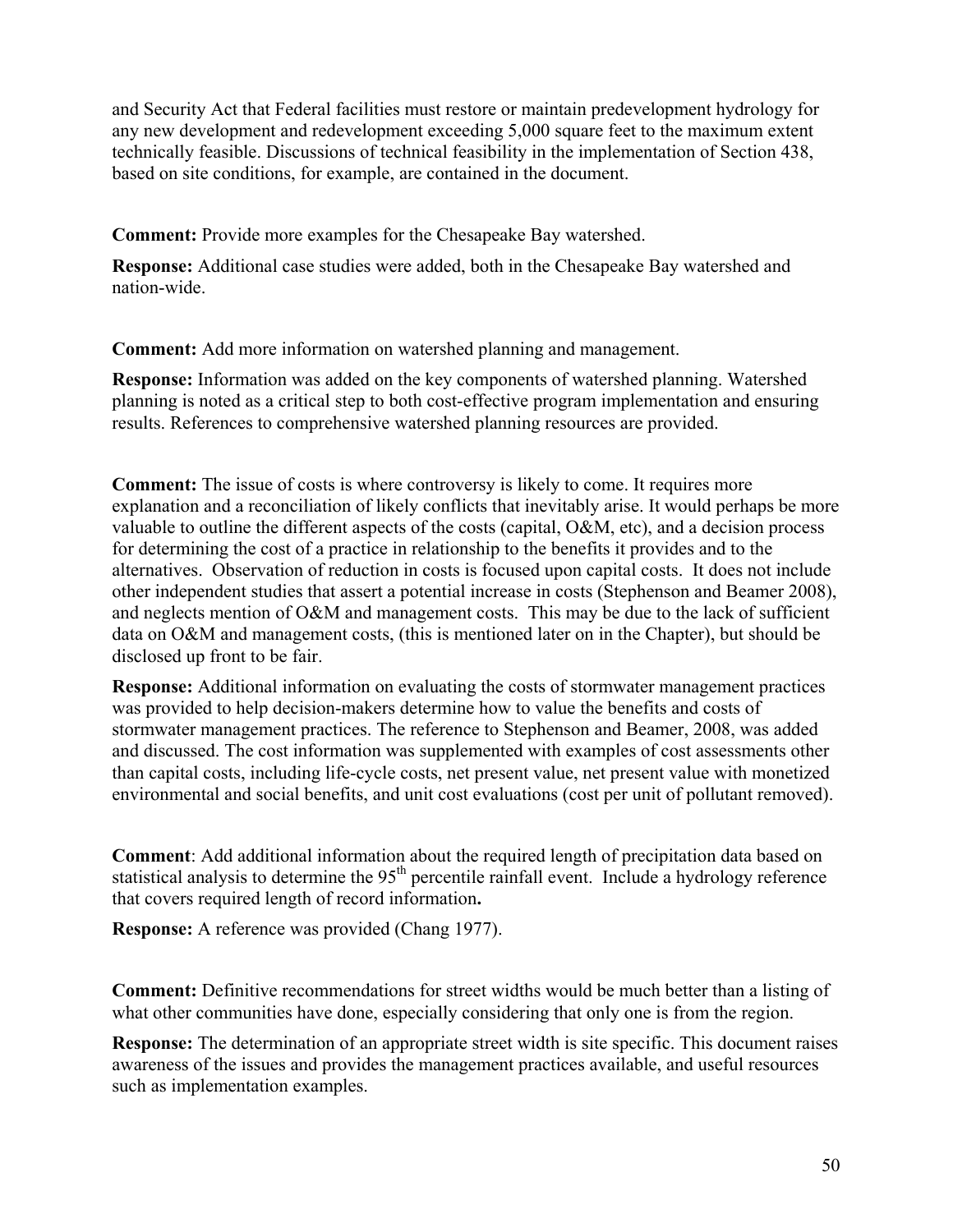and Security Act that Federal facilities must restore or maintain predevelopment hydrology for any new development and redevelopment exceeding 5,000 square feet to the maximum extent technically feasible. Discussions of technical feasibility in the implementation of Section 438, based on site conditions, for example, are contained in the document.

**Comment:** Provide more examples for the Chesapeake Bay watershed.

**Response:** Additional case studies were added, both in the Chesapeake Bay watershed and nation-wide.

**Comment:** Add more information on watershed planning and management.

**Response:** Information was added on the key components of watershed planning. Watershed planning is noted as a critical step to both cost-effective program implementation and ensuring results. References to comprehensive watershed planning resources are provided.

**Comment:** The issue of costs is where controversy is likely to come. It requires more explanation and a reconciliation of likely conflicts that inevitably arise. It would perhaps be more valuable to outline the different aspects of the costs (capital, O&M, etc), and a decision process for determining the cost of a practice in relationship to the benefits it provides and to the alternatives. Observation of reduction in costs is focused upon capital costs. It does not include other independent studies that assert a potential increase in costs (Stephenson and Beamer 2008), and neglects mention of O&M and management costs. This may be due to the lack of sufficient data on O&M and management costs, (this is mentioned later on in the Chapter), but should be disclosed up front to be fair.

**Response:** Additional information on evaluating the costs of stormwater management practices was provided to help decision-makers determine how to value the benefits and costs of stormwater management practices. The reference to Stephenson and Beamer, 2008, was added and discussed. The cost information was supplemented with examples of cost assessments other than capital costs, including life-cycle costs, net present value, net present value with monetized environmental and social benefits, and unit cost evaluations (cost per unit of pollutant removed).

**Comment**: Add additional information about the required length of precipitation data based on statistical analysis to determine the  $95<sup>th</sup>$  percentile rainfall event. Include a hydrology reference that covers required length of record information**.**

**Response:** A reference was provided (Chang 1977).

**Comment:** Definitive recommendations for street widths would be much better than a listing of what other communities have done, especially considering that only one is from the region.

**Response:** The determination of an appropriate street width is site specific. This document raises awareness of the issues and provides the management practices available, and useful resources such as implementation examples.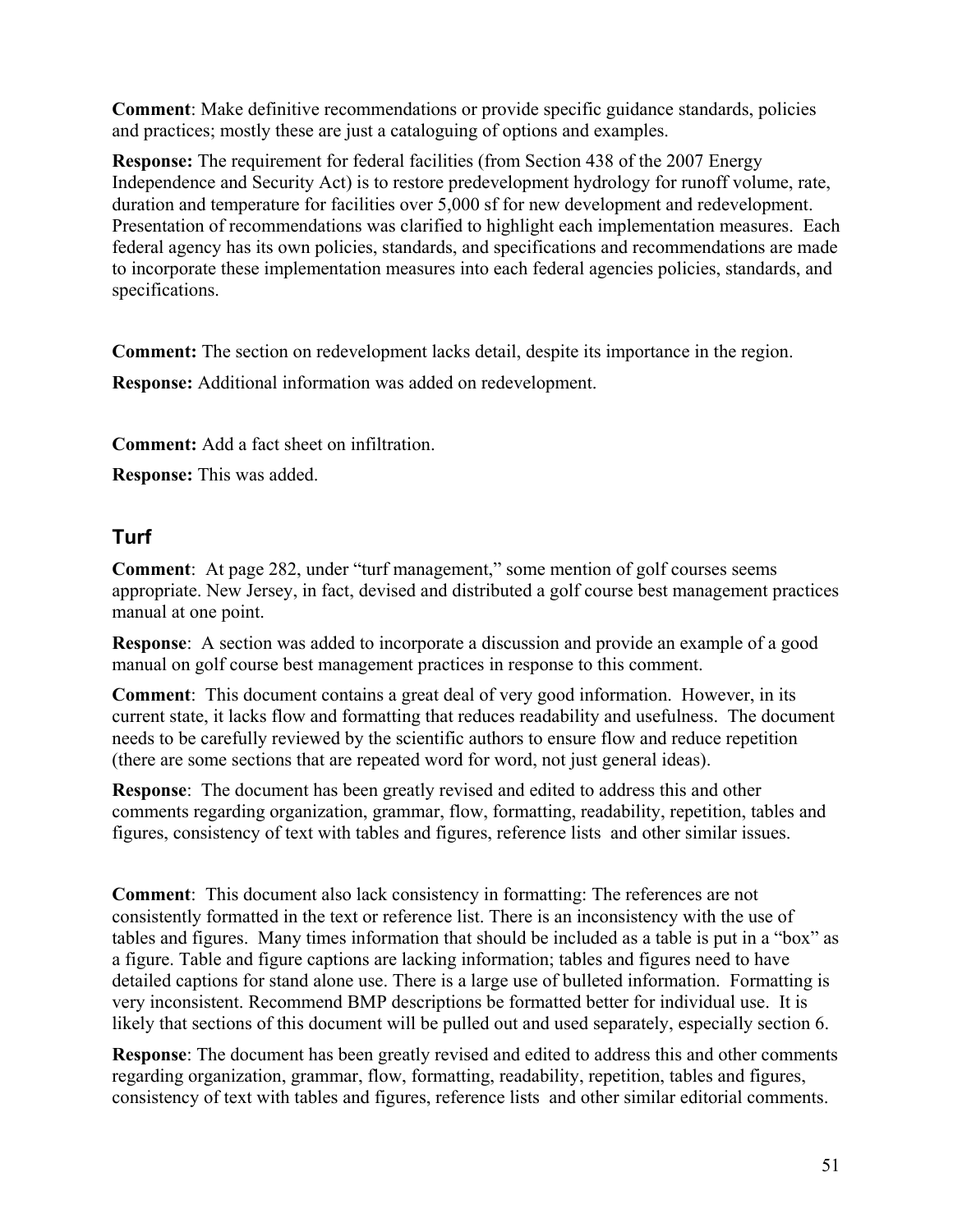**Comment**: Make definitive recommendations or provide specific guidance standards, policies and practices; mostly these are just a cataloguing of options and examples.

**Response:** The requirement for federal facilities (from Section 438 of the 2007 Energy Independence and Security Act) is to restore predevelopment hydrology for runoff volume, rate, duration and temperature for facilities over 5,000 sf for new development and redevelopment. Presentation of recommendations was clarified to highlight each implementation measures. Each federal agency has its own policies, standards, and specifications and recommendations are made to incorporate these implementation measures into each federal agencies policies, standards, and specifications.

**Comment:** The section on redevelopment lacks detail, despite its importance in the region.

**Response:** Additional information was added on redevelopment.

**Comment:** Add a fact sheet on infiltration.

**Response:** This was added.

### <span id="page-50-0"></span>**Turf**

**Comment**: At page 282, under "turf management," some mention of golf courses seems appropriate. New Jersey, in fact, devised and distributed a golf course best management practices manual at one point.

**Response**: A section was added to incorporate a discussion and provide an example of a good manual on golf course best management practices in response to this comment.

**Comment**: This document contains a great deal of very good information. However, in its current state, it lacks flow and formatting that reduces readability and usefulness. The document needs to be carefully reviewed by the scientific authors to ensure flow and reduce repetition (there are some sections that are repeated word for word, not just general ideas).

**Response**: The document has been greatly revised and edited to address this and other comments regarding organization, grammar, flow, formatting, readability, repetition, tables and figures, consistency of text with tables and figures, reference lists and other similar issues.

**Comment**: This document also lack consistency in formatting: The references are not consistently formatted in the text or reference list. There is an inconsistency with the use of tables and figures. Many times information that should be included as a table is put in a "box" as a figure. Table and figure captions are lacking information; tables and figures need to have detailed captions for stand alone use. There is a large use of bulleted information. Formatting is very inconsistent. Recommend BMP descriptions be formatted better for individual use. It is likely that sections of this document will be pulled out and used separately, especially section 6.

**Response**: The document has been greatly revised and edited to address this and other comments regarding organization, grammar, flow, formatting, readability, repetition, tables and figures, consistency of text with tables and figures, reference lists and other similar editorial comments.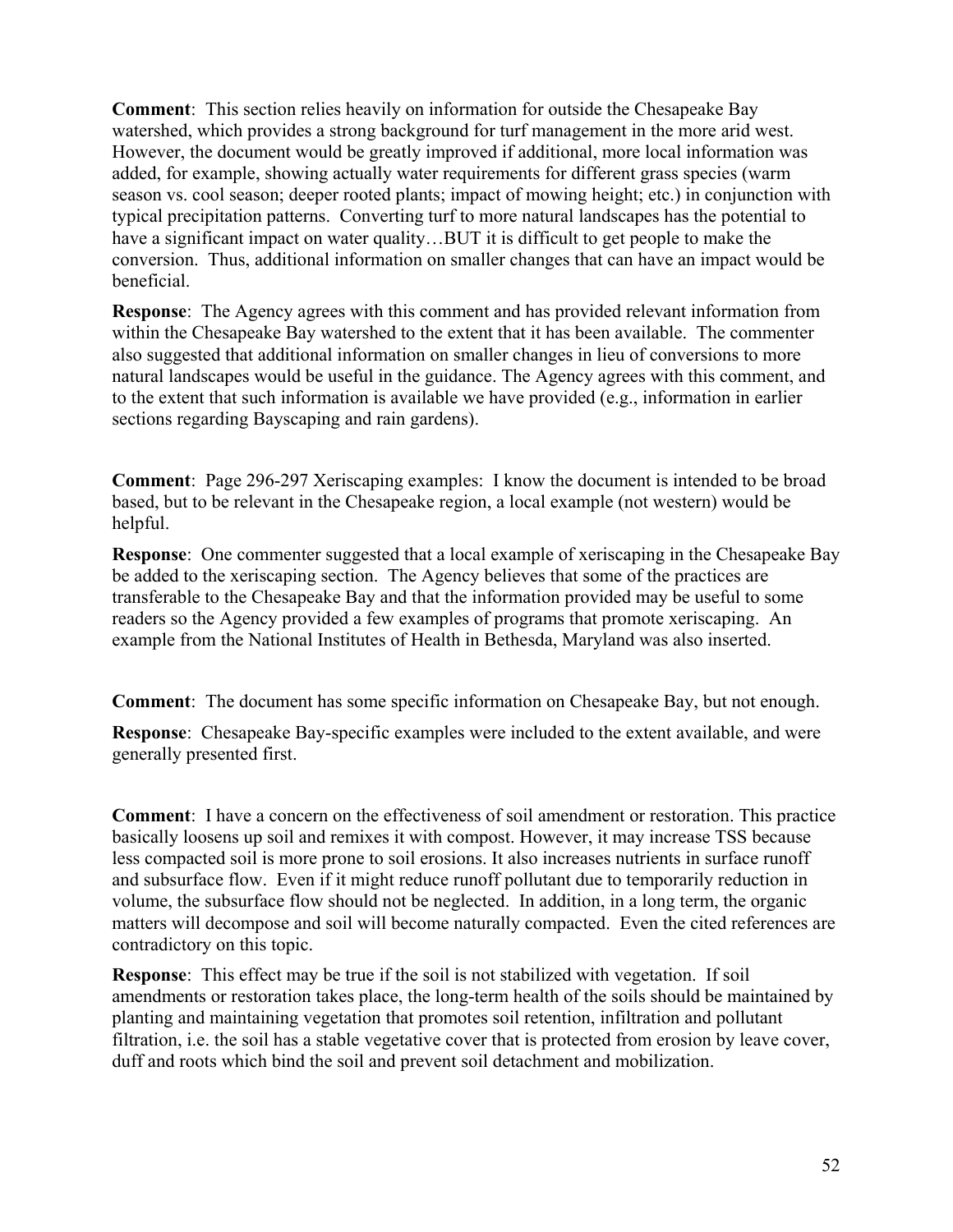**Comment**: This section relies heavily on information for outside the Chesapeake Bay watershed, which provides a strong background for turf management in the more arid west. However, the document would be greatly improved if additional, more local information was added, for example, showing actually water requirements for different grass species (warm season vs. cool season; deeper rooted plants; impact of mowing height; etc.) in conjunction with typical precipitation patterns. Converting turf to more natural landscapes has the potential to have a significant impact on water quality...BUT it is difficult to get people to make the conversion. Thus, additional information on smaller changes that can have an impact would be beneficial.

**Response**: The Agency agrees with this comment and has provided relevant information from within the Chesapeake Bay watershed to the extent that it has been available. The commenter also suggested that additional information on smaller changes in lieu of conversions to more natural landscapes would be useful in the guidance. The Agency agrees with this comment, and to the extent that such information is available we have provided (e.g., information in earlier sections regarding Bayscaping and rain gardens).

**Comment**: Page 296-297 Xeriscaping examples: I know the document is intended to be broad based, but to be relevant in the Chesapeake region, a local example (not western) would be helpful.

**Response**: One commenter suggested that a local example of xeriscaping in the Chesapeake Bay be added to the xeriscaping section. The Agency believes that some of the practices are transferable to the Chesapeake Bay and that the information provided may be useful to some readers so the Agency provided a few examples of programs that promote xeriscaping. An example from the National Institutes of Health in Bethesda, Maryland was also inserted.

**Comment**: The document has some specific information on Chesapeake Bay, but not enough.

**Response**: Chesapeake Bay-specific examples were included to the extent available, and were generally presented first.

**Comment**: I have a concern on the effectiveness of soil amendment or restoration. This practice basically loosens up soil and remixes it with compost. However, it may increase TSS because less compacted soil is more prone to soil erosions. It also increases nutrients in surface runoff and subsurface flow. Even if it might reduce runoff pollutant due to temporarily reduction in volume, the subsurface flow should not be neglected. In addition, in a long term, the organic matters will decompose and soil will become naturally compacted. Even the cited references are contradictory on this topic.

**Response**: This effect may be true if the soil is not stabilized with vegetation. If soil amendments or restoration takes place, the long-term health of the soils should be maintained by planting and maintaining vegetation that promotes soil retention, infiltration and pollutant filtration, i.e. the soil has a stable vegetative cover that is protected from erosion by leave cover, duff and roots which bind the soil and prevent soil detachment and mobilization.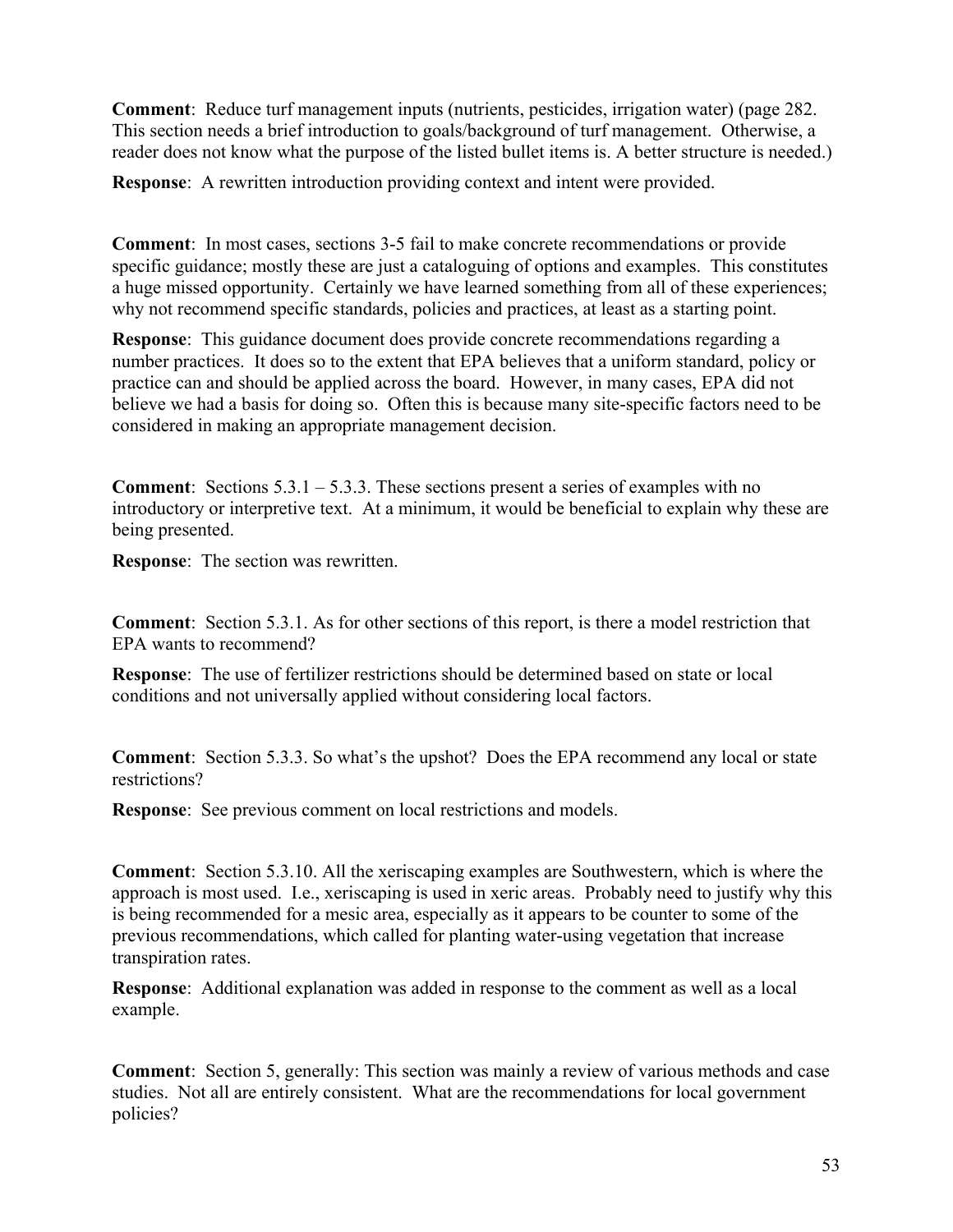**Comment**: Reduce turf management inputs (nutrients, pesticides, irrigation water) (page 282. This section needs a brief introduction to goals/background of turf management. Otherwise, a reader does not know what the purpose of the listed bullet items is. A better structure is needed.)

**Response**: A rewritten introduction providing context and intent were provided.

**Comment**: In most cases, sections 3-5 fail to make concrete recommendations or provide specific guidance; mostly these are just a cataloguing of options and examples. This constitutes a huge missed opportunity. Certainly we have learned something from all of these experiences; why not recommend specific standards, policies and practices, at least as a starting point.

**Response**: This guidance document does provide concrete recommendations regarding a number practices. It does so to the extent that EPA believes that a uniform standard, policy or practice can and should be applied across the board. However, in many cases, EPA did not believe we had a basis for doing so. Often this is because many site-specific factors need to be considered in making an appropriate management decision.

**Comment**: Sections 5.3.1 – 5.3.3. These sections present a series of examples with no introductory or interpretive text. At a minimum, it would be beneficial to explain why these are being presented.

**Response**: The section was rewritten.

**Comment**: Section 5.3.1. As for other sections of this report, is there a model restriction that EPA wants to recommend?

**Response**: The use of fertilizer restrictions should be determined based on state or local conditions and not universally applied without considering local factors.

**Comment**: Section 5.3.3. So what's the upshot? Does the EPA recommend any local or state restrictions?

**Response**: See previous comment on local restrictions and models.

**Comment**: Section 5.3.10. All the xeriscaping examples are Southwestern, which is where the approach is most used. I.e., xeriscaping is used in xeric areas. Probably need to justify why this is being recommended for a mesic area, especially as it appears to be counter to some of the previous recommendations, which called for planting water-using vegetation that increase transpiration rates.

**Response**: Additional explanation was added in response to the comment as well as a local example.

**Comment**: Section 5, generally: This section was mainly a review of various methods and case studies. Not all are entirely consistent. What are the recommendations for local government policies?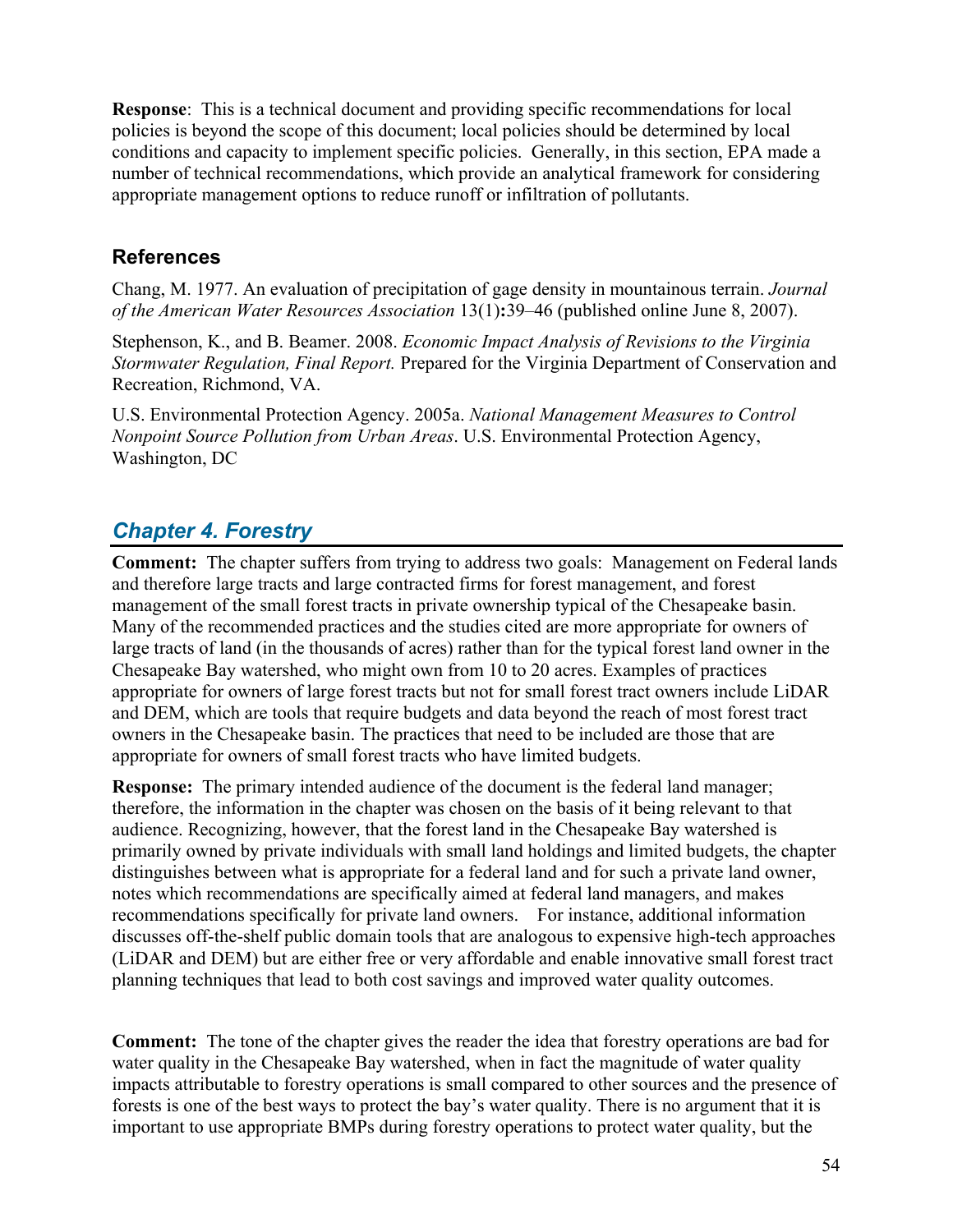**Response**: This is a technical document and providing specific recommendations for local policies is beyond the scope of this document; local policies should be determined by local conditions and capacity to implement specific policies. Generally, in this section, EPA made a number of technical recommendations, which provide an analytical framework for considering appropriate management options to reduce runoff or infiltration of pollutants.

### <span id="page-53-0"></span>**References**

Chang, M. 1977. An evaluation of precipitation of gage density in mountainous terrain. *[Journal](http://www3.interscience.wiley.com/journal/118544603/home)  [of the American Water Resources Association](http://www3.interscience.wiley.com/journal/118544603/home)* [13\(1](http://www3.interscience.wiley.com/journal/119634112/issue))**:**39–46 (published online June 8, 2007).

Stephenson, K., and B. Beamer. 2008. *Economic Impact Analysis of Revisions to the Virginia Stormwater Regulation, Final Report.* Prepared for the Virginia Department of Conservation and Recreation, Richmond, VA.

U.S. Environmental Protection Agency. 2005a. *National Management Measures to Control Nonpoint Source Pollution from Urban Areas*. U.S. Environmental Protection Agency, Washington, DC

# <span id="page-53-1"></span>*Chapter 4. Forestry*

**Comment:** The chapter suffers from trying to address two goals: Management on Federal lands and therefore large tracts and large contracted firms for forest management, and forest management of the small forest tracts in private ownership typical of the Chesapeake basin. Many of the recommended practices and the studies cited are more appropriate for owners of large tracts of land (in the thousands of acres) rather than for the typical forest land owner in the Chesapeake Bay watershed, who might own from 10 to 20 acres. Examples of practices appropriate for owners of large forest tracts but not for small forest tract owners include LiDAR and DEM, which are tools that require budgets and data beyond the reach of most forest tract owners in the Chesapeake basin. The practices that need to be included are those that are appropriate for owners of small forest tracts who have limited budgets.

**Response:** The primary intended audience of the document is the federal land manager; therefore, the information in the chapter was chosen on the basis of it being relevant to that audience. Recognizing, however, that the forest land in the Chesapeake Bay watershed is primarily owned by private individuals with small land holdings and limited budgets, the chapter distinguishes between what is appropriate for a federal land and for such a private land owner, notes which recommendations are specifically aimed at federal land managers, and makes recommendations specifically for private land owners. For instance, additional information discusses off-the-shelf public domain tools that are analogous to expensive high-tech approaches (LiDAR and DEM) but are either free or very affordable and enable innovative small forest tract planning techniques that lead to both cost savings and improved water quality outcomes.

**Comment:** The tone of the chapter gives the reader the idea that forestry operations are bad for water quality in the Chesapeake Bay watershed, when in fact the magnitude of water quality impacts attributable to forestry operations is small compared to other sources and the presence of forests is one of the best ways to protect the bay's water quality. There is no argument that it is important to use appropriate BMPs during forestry operations to protect water quality, but the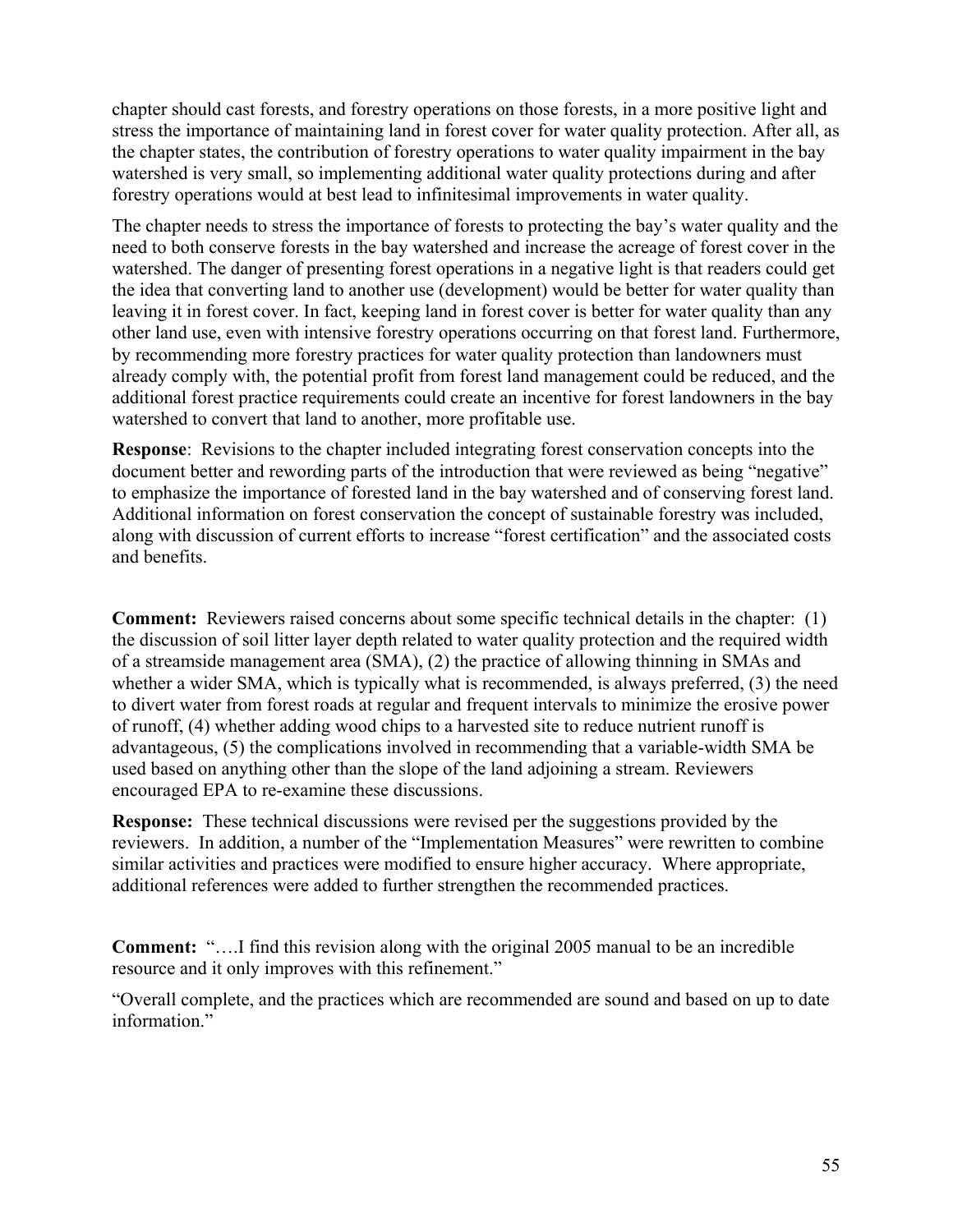chapter should cast forests, and forestry operations on those forests, in a more positive light and stress the importance of maintaining land in forest cover for water quality protection. After all, as the chapter states, the contribution of forestry operations to water quality impairment in the bay watershed is very small, so implementing additional water quality protections during and after forestry operations would at best lead to infinitesimal improvements in water quality.

The chapter needs to stress the importance of forests to protecting the bay's water quality and the need to both conserve forests in the bay watershed and increase the acreage of forest cover in the watershed. The danger of presenting forest operations in a negative light is that readers could get the idea that converting land to another use (development) would be better for water quality than leaving it in forest cover. In fact, keeping land in forest cover is better for water quality than any other land use, even with intensive forestry operations occurring on that forest land. Furthermore, by recommending more forestry practices for water quality protection than landowners must already comply with, the potential profit from forest land management could be reduced, and the additional forest practice requirements could create an incentive for forest landowners in the bay watershed to convert that land to another, more profitable use.

**Response**: Revisions to the chapter included integrating forest conservation concepts into the document better and rewording parts of the introduction that were reviewed as being "negative" to emphasize the importance of forested land in the bay watershed and of conserving forest land. Additional information on forest conservation the concept of sustainable forestry was included, along with discussion of current efforts to increase "forest certification" and the associated costs and benefits.

**Comment:** Reviewers raised concerns about some specific technical details in the chapter: (1) the discussion of soil litter layer depth related to water quality protection and the required width of a streamside management area (SMA), (2) the practice of allowing thinning in SMAs and whether a wider SMA, which is typically what is recommended, is always preferred, (3) the need to divert water from forest roads at regular and frequent intervals to minimize the erosive power of runoff, (4) whether adding wood chips to a harvested site to reduce nutrient runoff is advantageous, (5) the complications involved in recommending that a variable-width SMA be used based on anything other than the slope of the land adjoining a stream. Reviewers encouraged EPA to re-examine these discussions.

**Response:** These technical discussions were revised per the suggestions provided by the reviewers. In addition, a number of the "Implementation Measures" were rewritten to combine similar activities and practices were modified to ensure higher accuracy. Where appropriate, additional references were added to further strengthen the recommended practices.

**Comment:** "….I find this revision along with the original 2005 manual to be an incredible resource and it only improves with this refinement."

"Overall complete, and the practices which are recommended are sound and based on up to date information."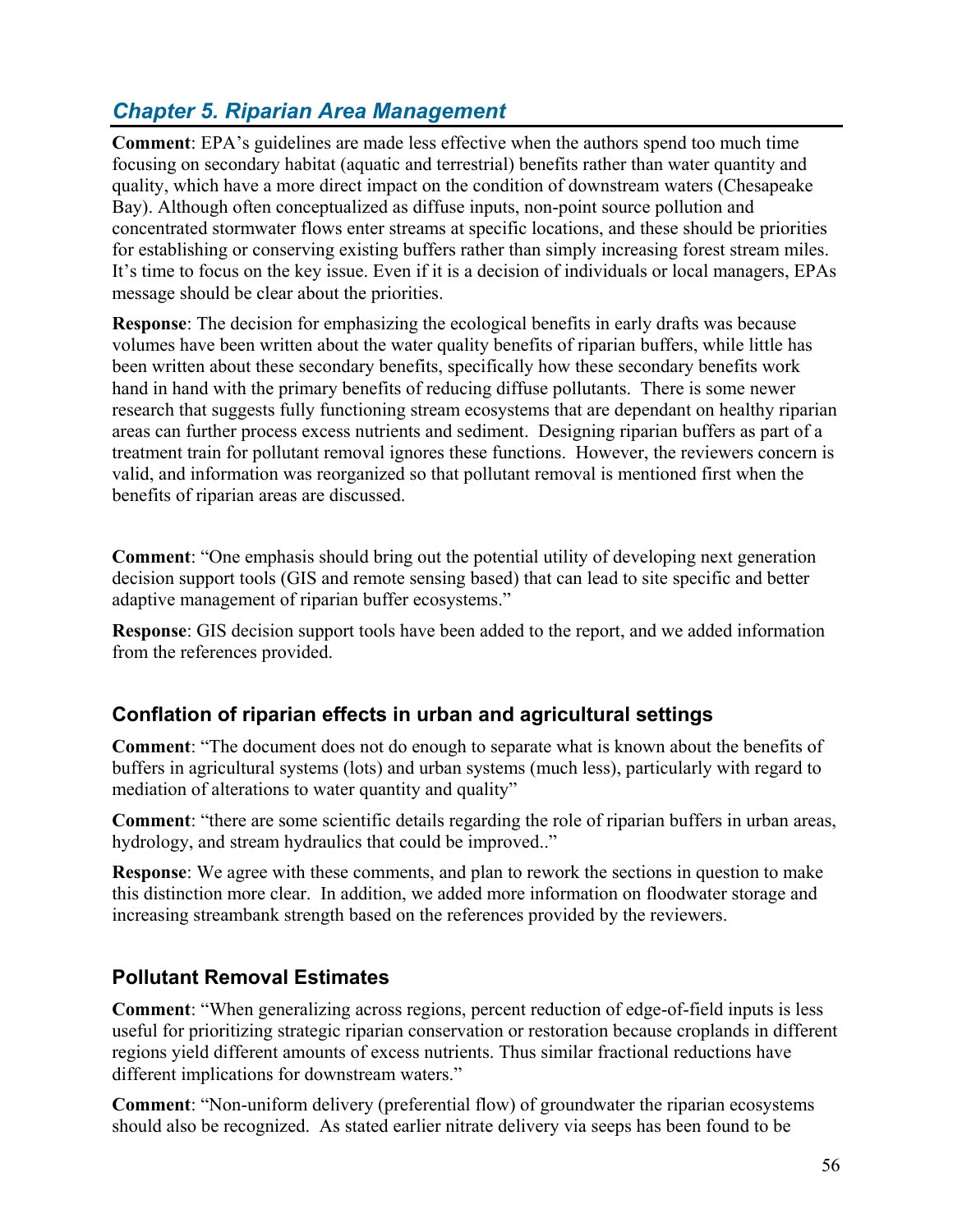# <span id="page-55-0"></span>*Chapter 5. Riparian Area Management*

**Comment**: EPA's guidelines are made less effective when the authors spend too much time focusing on secondary habitat (aquatic and terrestrial) benefits rather than water quantity and quality, which have a more direct impact on the condition of downstream waters (Chesapeake Bay). Although often conceptualized as diffuse inputs, non-point source pollution and concentrated stormwater flows enter streams at specific locations, and these should be priorities for establishing or conserving existing buffers rather than simply increasing forest stream miles. It's time to focus on the key issue. Even if it is a decision of individuals or local managers, EPAs message should be clear about the priorities.

**Response**: The decision for emphasizing the ecological benefits in early drafts was because volumes have been written about the water quality benefits of riparian buffers, while little has been written about these secondary benefits, specifically how these secondary benefits work hand in hand with the primary benefits of reducing diffuse pollutants. There is some newer research that suggests fully functioning stream ecosystems that are dependant on healthy riparian areas can further process excess nutrients and sediment. Designing riparian buffers as part of a treatment train for pollutant removal ignores these functions. However, the reviewers concern is valid, and information was reorganized so that pollutant removal is mentioned first when the benefits of riparian areas are discussed.

**Comment**: "One emphasis should bring out the potential utility of developing next generation decision support tools (GIS and remote sensing based) that can lead to site specific and better adaptive management of riparian buffer ecosystems."

**Response**: GIS decision support tools have been added to the report, and we added information from the references provided.

### <span id="page-55-1"></span>**Conflation of riparian effects in urban and agricultural settings**

**Comment**: "The document does not do enough to separate what is known about the benefits of buffers in agricultural systems (lots) and urban systems (much less), particularly with regard to mediation of alterations to water quantity and quality"

**Comment**: "there are some scientific details regarding the role of riparian buffers in urban areas, hydrology, and stream hydraulics that could be improved.."

**Response**: We agree with these comments, and plan to rework the sections in question to make this distinction more clear. In addition, we added more information on floodwater storage and increasing streambank strength based on the references provided by the reviewers.

### <span id="page-55-2"></span>**Pollutant Removal Estimates**

**Comment**: "When generalizing across regions, percent reduction of edge-of-field inputs is less useful for prioritizing strategic riparian conservation or restoration because croplands in different regions yield different amounts of excess nutrients. Thus similar fractional reductions have different implications for downstream waters."

**Comment**: "Non-uniform delivery (preferential flow) of groundwater the riparian ecosystems should also be recognized. As stated earlier nitrate delivery via seeps has been found to be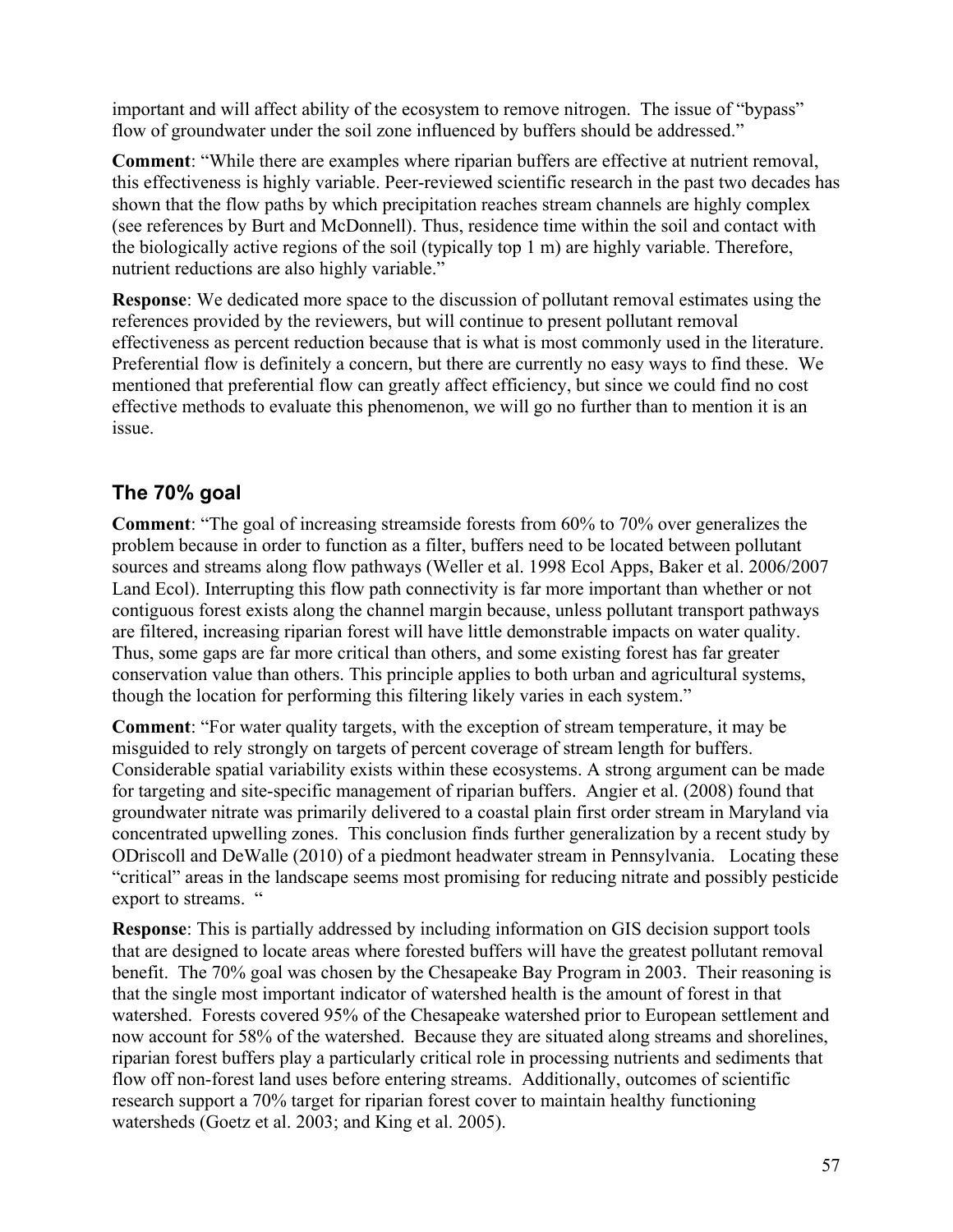important and will affect ability of the ecosystem to remove nitrogen. The issue of "bypass" flow of groundwater under the soil zone influenced by buffers should be addressed."

**Comment**: "While there are examples where riparian buffers are effective at nutrient removal, this effectiveness is highly variable. Peer-reviewed scientific research in the past two decades has shown that the flow paths by which precipitation reaches stream channels are highly complex (see references by Burt and McDonnell). Thus, residence time within the soil and contact with the biologically active regions of the soil (typically top 1 m) are highly variable. Therefore, nutrient reductions are also highly variable."

**Response**: We dedicated more space to the discussion of pollutant removal estimates using the references provided by the reviewers, but will continue to present pollutant removal effectiveness as percent reduction because that is what is most commonly used in the literature. Preferential flow is definitely a concern, but there are currently no easy ways to find these. We mentioned that preferential flow can greatly affect efficiency, but since we could find no cost effective methods to evaluate this phenomenon, we will go no further than to mention it is an issue.

### <span id="page-56-0"></span>**The 70% goal**

**Comment**: "The goal of increasing streamside forests from 60% to 70% over generalizes the problem because in order to function as a filter, buffers need to be located between pollutant sources and streams along flow pathways (Weller et al. 1998 Ecol Apps, Baker et al. 2006/2007 Land Ecol). Interrupting this flow path connectivity is far more important than whether or not contiguous forest exists along the channel margin because, unless pollutant transport pathways are filtered, increasing riparian forest will have little demonstrable impacts on water quality. Thus, some gaps are far more critical than others, and some existing forest has far greater conservation value than others. This principle applies to both urban and agricultural systems, though the location for performing this filtering likely varies in each system."

**Comment**: "For water quality targets, with the exception of stream temperature, it may be misguided to rely strongly on targets of percent coverage of stream length for buffers. Considerable spatial variability exists within these ecosystems. A strong argument can be made for targeting and site-specific management of riparian buffers. Angier et al. (2008) found that groundwater nitrate was primarily delivered to a coastal plain first order stream in Maryland via concentrated upwelling zones. This conclusion finds further generalization by a recent study by ODriscoll and DeWalle (2010) of a piedmont headwater stream in Pennsylvania. Locating these "critical" areas in the landscape seems most promising for reducing nitrate and possibly pesticide export to streams. "

**Response**: This is partially addressed by including information on GIS decision support tools that are designed to locate areas where forested buffers will have the greatest pollutant removal benefit. The 70% goal was chosen by the Chesapeake Bay Program in 2003. Their reasoning is that the single most important indicator of watershed health is the amount of forest in that watershed. Forests covered 95% of the Chesapeake watershed prior to European settlement and now account for 58% of the watershed. Because they are situated along streams and shorelines, riparian forest buffers play a particularly critical role in processing nutrients and sediments that flow off non-forest land uses before entering streams. Additionally, outcomes of scientific research support a 70% target for riparian forest cover to maintain healthy functioning watersheds (Goetz et al. 2003; and King et al. 2005).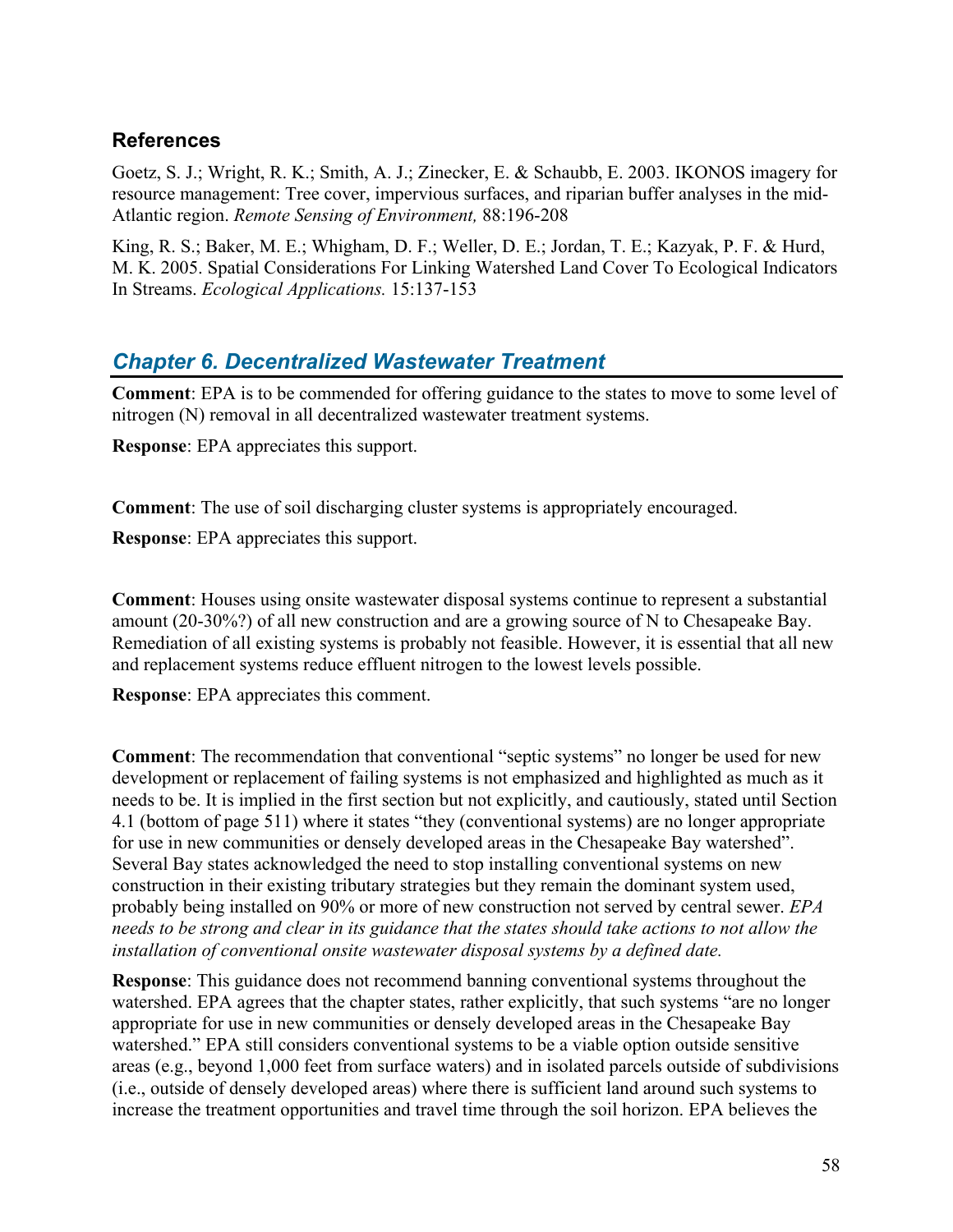### <span id="page-57-0"></span>**References**

Goetz, S. J.; Wright, R. K.; Smith, A. J.; Zinecker, E. & Schaubb, E. 2003. IKONOS imagery for resource management: Tree cover, impervious surfaces, and riparian buffer analyses in the mid-Atlantic region. *Remote Sensing of Environment,* 88:196-208

King, R. S.; Baker, M. E.; Whigham, D. F.; Weller, D. E.; Jordan, T. E.; Kazyak, P. F. & Hurd, M. K. 2005. Spatial Considerations For Linking Watershed Land Cover To Ecological Indicators In Streams. *Ecological Applications.* 15:137-153

### <span id="page-57-1"></span>*Chapter 6. Decentralized Wastewater Treatment*

**Comment**: EPA is to be commended for offering guidance to the states to move to some level of nitrogen (N) removal in all decentralized wastewater treatment systems.

**Response**: EPA appreciates this support.

**Comment**: The use of soil discharging cluster systems is appropriately encouraged.

**Response**: EPA appreciates this support.

**Comment**: Houses using onsite wastewater disposal systems continue to represent a substantial amount (20-30%?) of all new construction and are a growing source of N to Chesapeake Bay. Remediation of all existing systems is probably not feasible. However, it is essential that all new and replacement systems reduce effluent nitrogen to the lowest levels possible.

**Response**: EPA appreciates this comment.

**Comment**: The recommendation that conventional "septic systems" no longer be used for new development or replacement of failing systems is not emphasized and highlighted as much as it needs to be. It is implied in the first section but not explicitly, and cautiously, stated until Section 4.1 (bottom of page 511) where it states "they (conventional systems) are no longer appropriate for use in new communities or densely developed areas in the Chesapeake Bay watershed". Several Bay states acknowledged the need to stop installing conventional systems on new construction in their existing tributary strategies but they remain the dominant system used, probably being installed on 90% or more of new construction not served by central sewer. *EPA needs to be strong and clear in its guidance that the states should take actions to not allow the installation of conventional onsite wastewater disposal systems by a defined date.*

**Response**: This guidance does not recommend banning conventional systems throughout the watershed. EPA agrees that the chapter states, rather explicitly, that such systems "are no longer appropriate for use in new communities or densely developed areas in the Chesapeake Bay watershed." EPA still considers conventional systems to be a viable option outside sensitive areas (e.g., beyond 1,000 feet from surface waters) and in isolated parcels outside of subdivisions (i.e., outside of densely developed areas) where there is sufficient land around such systems to increase the treatment opportunities and travel time through the soil horizon. EPA believes the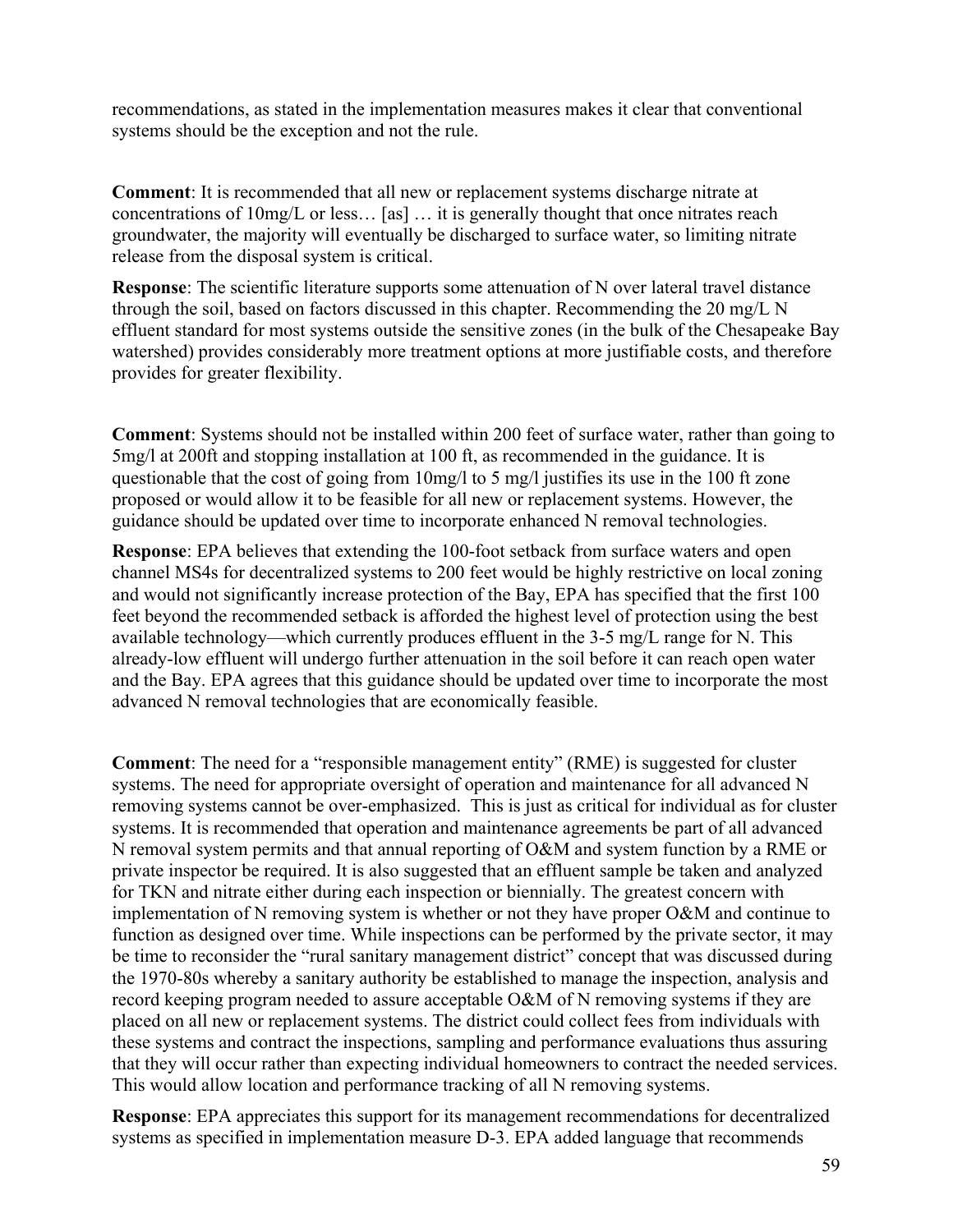recommendations, as stated in the implementation measures makes it clear that conventional systems should be the exception and not the rule.

**Comment**: It is recommended that all new or replacement systems discharge nitrate at concentrations of 10mg/L or less… [as] … it is generally thought that once nitrates reach groundwater, the majority will eventually be discharged to surface water, so limiting nitrate release from the disposal system is critical.

**Response**: The scientific literature supports some attenuation of N over lateral travel distance through the soil, based on factors discussed in this chapter. Recommending the 20 mg/L N effluent standard for most systems outside the sensitive zones (in the bulk of the Chesapeake Bay watershed) provides considerably more treatment options at more justifiable costs, and therefore provides for greater flexibility.

**Comment**: Systems should not be installed within 200 feet of surface water, rather than going to 5mg/l at 200ft and stopping installation at 100 ft, as recommended in the guidance. It is questionable that the cost of going from 10mg/l to 5 mg/l justifies its use in the 100 ft zone proposed or would allow it to be feasible for all new or replacement systems. However, the guidance should be updated over time to incorporate enhanced N removal technologies.

**Response**: EPA believes that extending the 100-foot setback from surface waters and open channel MS4s for decentralized systems to 200 feet would be highly restrictive on local zoning and would not significantly increase protection of the Bay, EPA has specified that the first 100 feet beyond the recommended setback is afforded the highest level of protection using the best available technology—which currently produces effluent in the 3-5 mg/L range for N. This already-low effluent will undergo further attenuation in the soil before it can reach open water and the Bay. EPA agrees that this guidance should be updated over time to incorporate the most advanced N removal technologies that are economically feasible.

**Comment**: The need for a "responsible management entity" (RME) is suggested for cluster systems. The need for appropriate oversight of operation and maintenance for all advanced N removing systems cannot be over-emphasized. This is just as critical for individual as for cluster systems. It is recommended that operation and maintenance agreements be part of all advanced N removal system permits and that annual reporting of O&M and system function by a RME or private inspector be required. It is also suggested that an effluent sample be taken and analyzed for TKN and nitrate either during each inspection or biennially. The greatest concern with implementation of N removing system is whether or not they have proper O&M and continue to function as designed over time. While inspections can be performed by the private sector, it may be time to reconsider the "rural sanitary management district" concept that was discussed during the 1970-80s whereby a sanitary authority be established to manage the inspection, analysis and record keeping program needed to assure acceptable O&M of N removing systems if they are placed on all new or replacement systems. The district could collect fees from individuals with these systems and contract the inspections, sampling and performance evaluations thus assuring that they will occur rather than expecting individual homeowners to contract the needed services. This would allow location and performance tracking of all N removing systems.

**Response**: EPA appreciates this support for its management recommendations for decentralized systems as specified in implementation measure D-3. EPA added language that recommends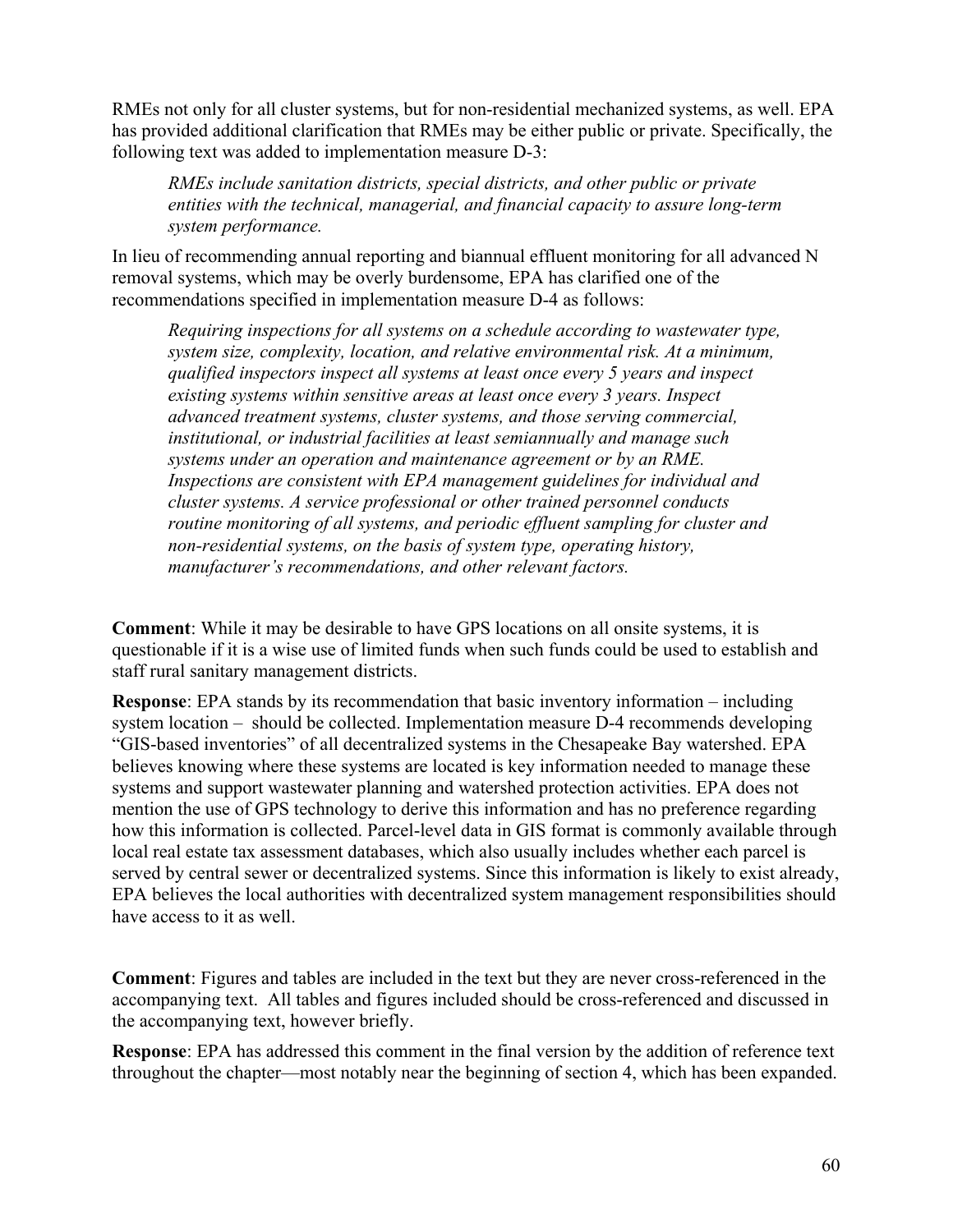RMEs not only for all cluster systems, but for non-residential mechanized systems, as well. EPA has provided additional clarification that RMEs may be either public or private. Specifically, the following text was added to implementation measure D-3:

*RMEs include sanitation districts, special districts, and other public or private entities with the technical, managerial, and financial capacity to assure long-term system performance.* 

In lieu of recommending annual reporting and biannual effluent monitoring for all advanced N removal systems, which may be overly burdensome, EPA has clarified one of the recommendations specified in implementation measure D-4 as follows:

*Requiring inspections for all systems on a schedule according to wastewater type, system size, complexity, location, and relative environmental risk. At a minimum, qualified inspectors inspect all systems at least once every 5 years and inspect existing systems within sensitive areas at least once every 3 years. Inspect advanced treatment systems, cluster systems, and those serving commercial, institutional, or industrial facilities at least semiannually and manage such systems under an operation and maintenance agreement or by an RME. Inspections are consistent with EPA management guidelines for individual and cluster systems. A service professional or other trained personnel conducts routine monitoring of all systems, and periodic effluent sampling for cluster and non-residential systems, on the basis of system type, operating history, manufacturer's recommendations, and other relevant factors.* 

**Comment**: While it may be desirable to have GPS locations on all onsite systems, it is questionable if it is a wise use of limited funds when such funds could be used to establish and staff rural sanitary management districts.

**Response**: EPA stands by its recommendation that basic inventory information – including system location – should be collected. Implementation measure D-4 recommends developing "GIS-based inventories" of all decentralized systems in the Chesapeake Bay watershed. EPA believes knowing where these systems are located is key information needed to manage these systems and support wastewater planning and watershed protection activities. EPA does not mention the use of GPS technology to derive this information and has no preference regarding how this information is collected. Parcel-level data in GIS format is commonly available through local real estate tax assessment databases, which also usually includes whether each parcel is served by central sewer or decentralized systems. Since this information is likely to exist already, EPA believes the local authorities with decentralized system management responsibilities should have access to it as well.

**Comment**: Figures and tables are included in the text but they are never cross-referenced in the accompanying text. All tables and figures included should be cross-referenced and discussed in the accompanying text, however briefly.

**Response**: EPA has addressed this comment in the final version by the addition of reference text throughout the chapter—most notably near the beginning of section 4, which has been expanded.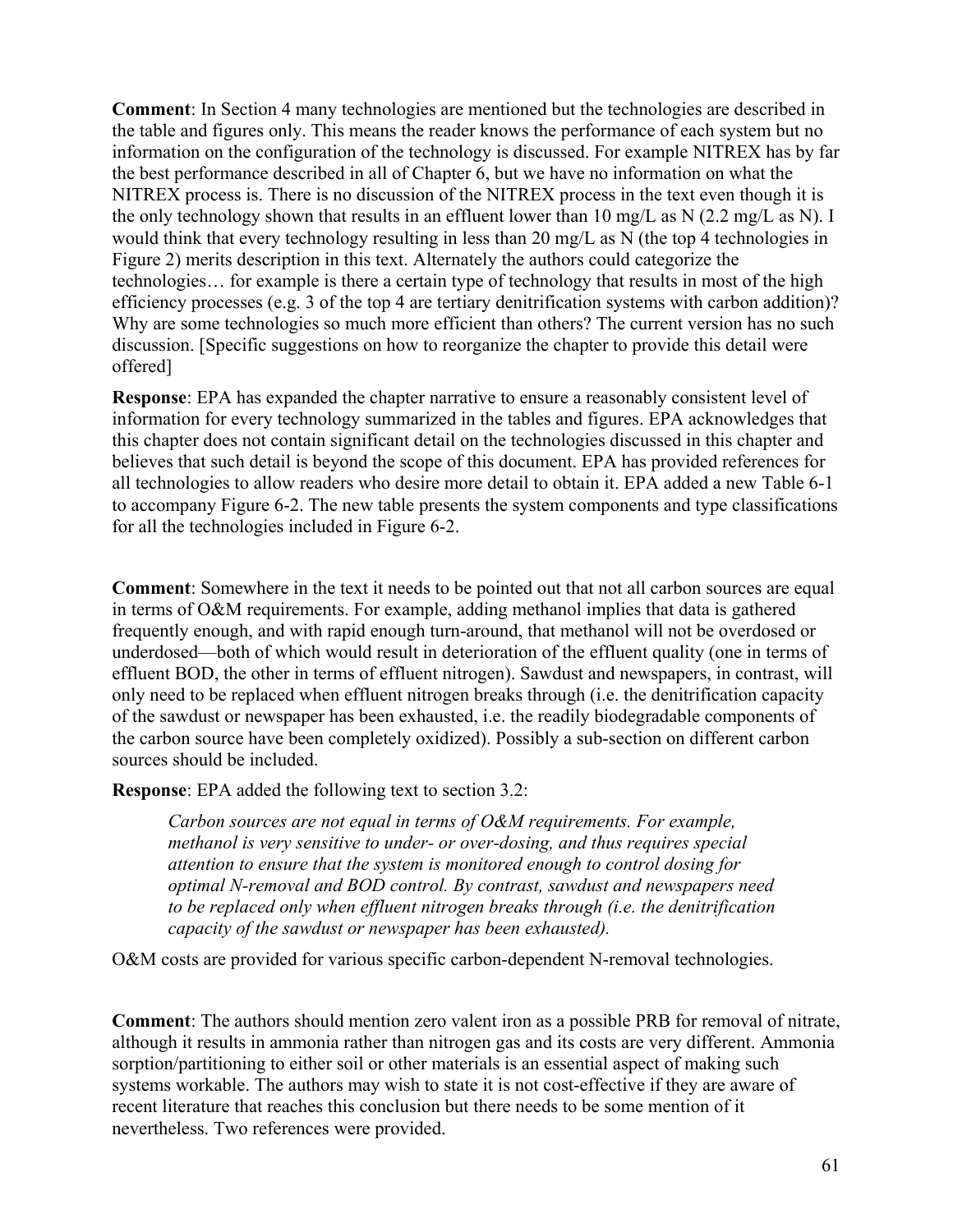**Comment**: In Section 4 many technologies are mentioned but the technologies are described in the table and figures only. This means the reader knows the performance of each system but no information on the configuration of the technology is discussed. For example NITREX has by far the best performance described in all of Chapter 6, but we have no information on what the NITREX process is. There is no discussion of the NITREX process in the text even though it is the only technology shown that results in an effluent lower than 10 mg/L as N (2.2 mg/L as N). I would think that every technology resulting in less than 20 mg/L as N (the top 4 technologies in Figure 2) merits description in this text. Alternately the authors could categorize the technologies… for example is there a certain type of technology that results in most of the high efficiency processes (e.g. 3 of the top 4 are tertiary denitrification systems with carbon addition)? Why are some technologies so much more efficient than others? The current version has no such discussion. [Specific suggestions on how to reorganize the chapter to provide this detail were offered]

**Response**: EPA has expanded the chapter narrative to ensure a reasonably consistent level of information for every technology summarized in the tables and figures. EPA acknowledges that this chapter does not contain significant detail on the technologies discussed in this chapter and believes that such detail is beyond the scope of this document. EPA has provided references for all technologies to allow readers who desire more detail to obtain it. EPA added a new Table 6-1 to accompany Figure 6-2. The new table presents the system components and type classifications for all the technologies included in Figure 6-2.

**Comment**: Somewhere in the text it needs to be pointed out that not all carbon sources are equal in terms of O&M requirements. For example, adding methanol implies that data is gathered frequently enough, and with rapid enough turn-around, that methanol will not be overdosed or underdosed—both of which would result in deterioration of the effluent quality (one in terms of effluent BOD, the other in terms of effluent nitrogen). Sawdust and newspapers, in contrast, will only need to be replaced when effluent nitrogen breaks through (i.e. the denitrification capacity of the sawdust or newspaper has been exhausted, i.e. the readily biodegradable components of the carbon source have been completely oxidized). Possibly a sub-section on different carbon sources should be included.

**Response**: EPA added the following text to section 3.2:

*Carbon sources are not equal in terms of O&M requirements. For example, methanol is very sensitive to under- or over-dosing, and thus requires special attention to ensure that the system is monitored enough to control dosing for optimal N-removal and BOD control. By contrast, sawdust and newspapers need to be replaced only when effluent nitrogen breaks through (i.e. the denitrification capacity of the sawdust or newspaper has been exhausted).* 

O&M costs are provided for various specific carbon-dependent N-removal technologies.

**Comment**: The authors should mention zero valent iron as a possible PRB for removal of nitrate, although it results in ammonia rather than nitrogen gas and its costs are very different. Ammonia sorption/partitioning to either soil or other materials is an essential aspect of making such systems workable. The authors may wish to state it is not cost-effective if they are aware of recent literature that reaches this conclusion but there needs to be some mention of it nevertheless. Two references were provided.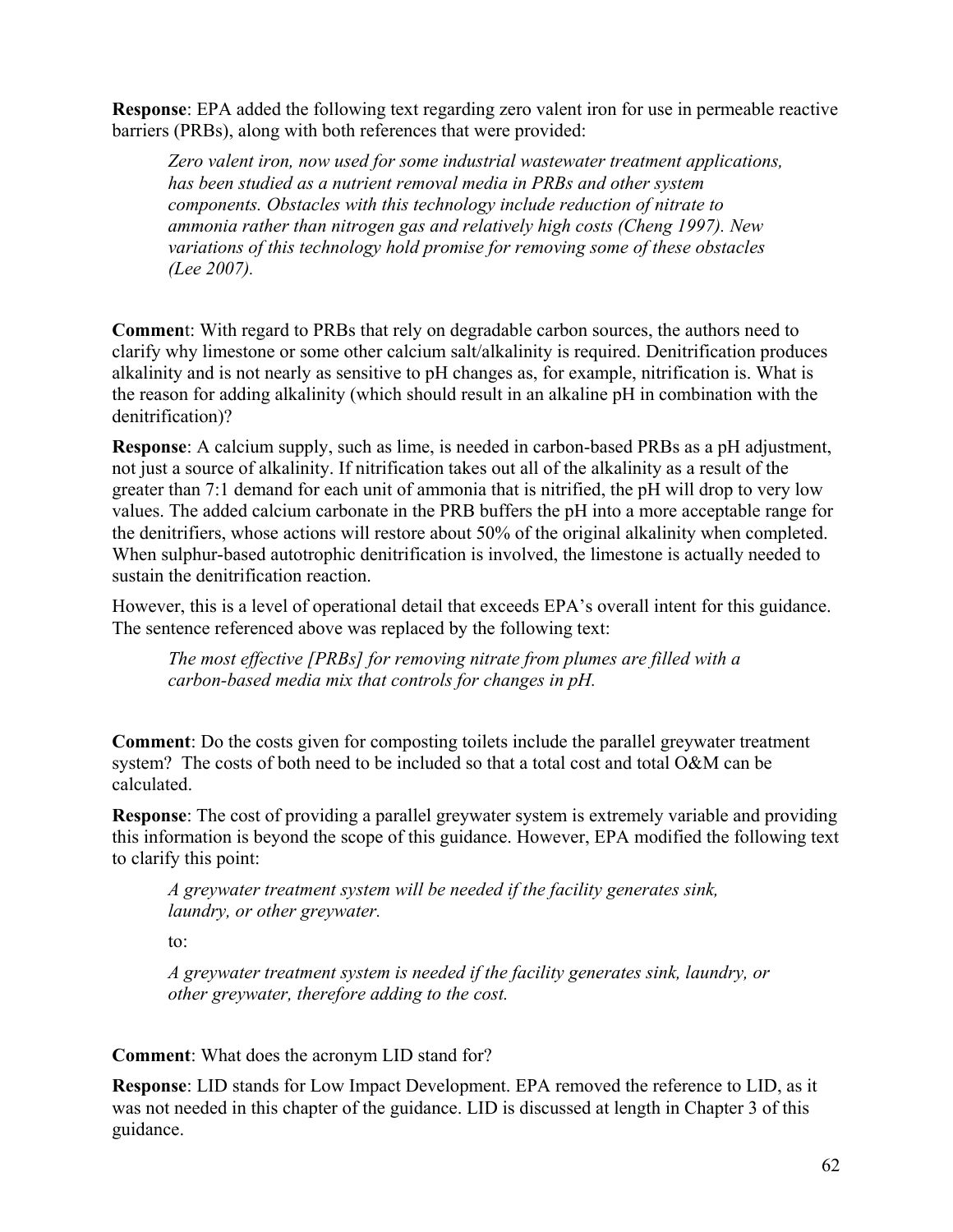**Response**: EPA added the following text regarding zero valent iron for use in permeable reactive barriers (PRBs), along with both references that were provided:

*Zero valent iron, now used for some industrial wastewater treatment applications, has been studied as a nutrient removal media in PRBs and other system components. Obstacles with this technology include reduction of nitrate to ammonia rather than nitrogen gas and relatively high costs (Cheng 1997). New variations of this technology hold promise for removing some of these obstacles (Lee 2007).* 

**Commen**t: With regard to PRBs that rely on degradable carbon sources, the authors need to clarify why limestone or some other calcium salt/alkalinity is required. Denitrification produces alkalinity and is not nearly as sensitive to pH changes as, for example, nitrification is. What is the reason for adding alkalinity (which should result in an alkaline pH in combination with the denitrification)?

**Response**: A calcium supply, such as lime, is needed in carbon-based PRBs as a pH adjustment, not just a source of alkalinity. If nitrification takes out all of the alkalinity as a result of the greater than 7:1 demand for each unit of ammonia that is nitrified, the pH will drop to very low values. The added calcium carbonate in the PRB buffers the pH into a more acceptable range for the denitrifiers, whose actions will restore about 50% of the original alkalinity when completed. When sulphur-based autotrophic denitrification is involved, the limestone is actually needed to sustain the denitrification reaction.

However, this is a level of operational detail that exceeds EPA's overall intent for this guidance. The sentence referenced above was replaced by the following text:

*The most effective [PRBs] for removing nitrate from plumes are filled with a carbon-based media mix that controls for changes in pH.* 

**Comment**: Do the costs given for composting toilets include the parallel greywater treatment system? The costs of both need to be included so that a total cost and total O&M can be calculated.

**Response**: The cost of providing a parallel greywater system is extremely variable and providing this information is beyond the scope of this guidance. However, EPA modified the following text to clarify this point:

*A greywater treatment system will be needed if the facility generates sink, laundry, or other greywater.* 

to:

*A greywater treatment system is needed if the facility generates sink, laundry, or other greywater, therefore adding to the cost.* 

**Comment**: What does the acronym LID stand for?

**Response**: LID stands for Low Impact Development. EPA removed the reference to LID, as it was not needed in this chapter of the guidance. LID is discussed at length in Chapter 3 of this guidance.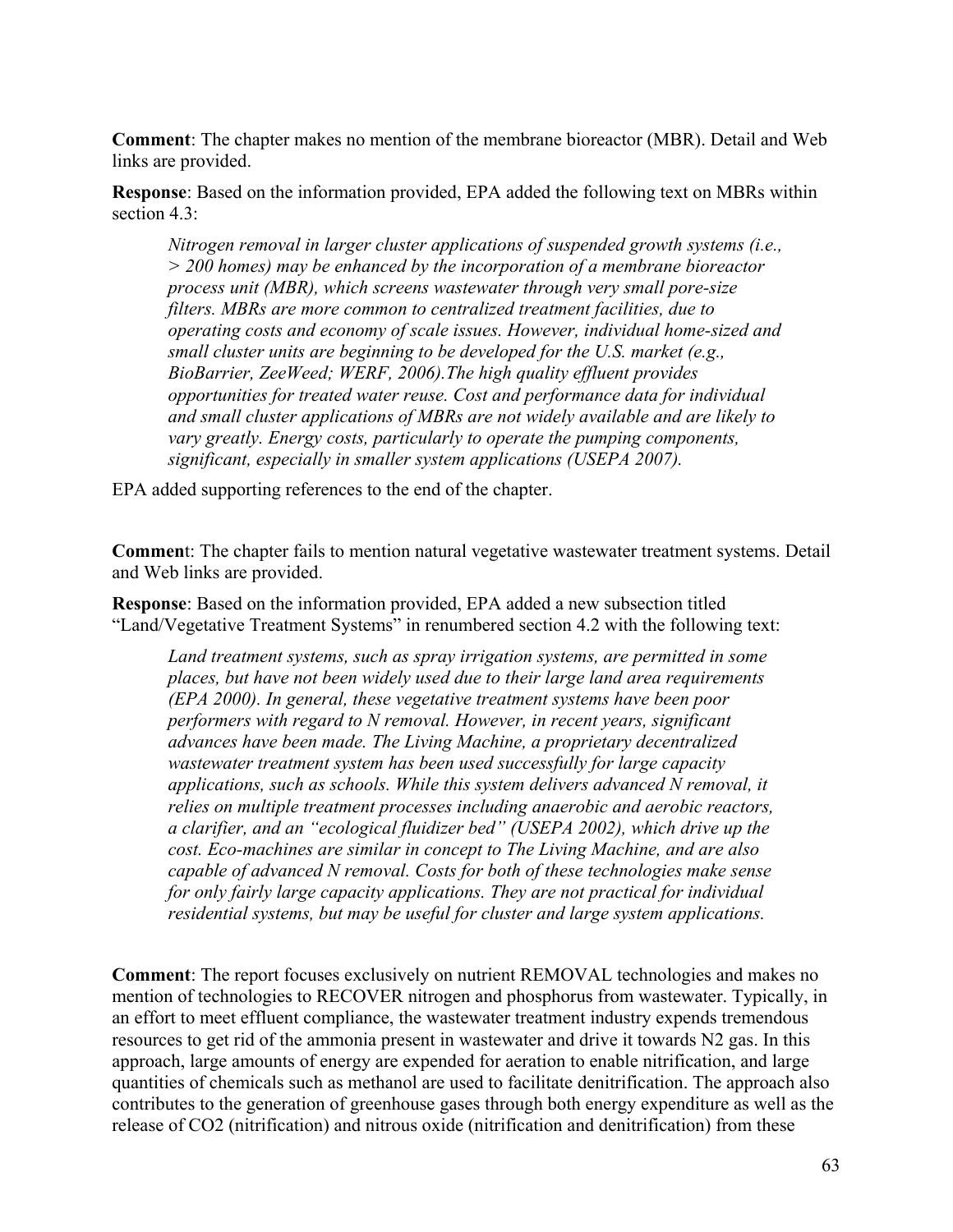**Comment**: The chapter makes no mention of the membrane bioreactor (MBR). Detail and Web links are provided.

**Response**: Based on the information provided, EPA added the following text on MBRs within section 4.3:

*Nitrogen removal in larger cluster applications of suspended growth systems (i.e., > 200 homes) may be enhanced by the incorporation of a membrane bioreactor process unit (MBR), which screens wastewater through very small pore-size filters. MBRs are more common to centralized treatment facilities, due to operating costs and economy of scale issues. However, individual home-sized and small cluster units are beginning to be developed for the U.S. market (e.g., BioBarrier, ZeeWeed; WERF, 2006).The high quality effluent provides opportunities for treated water reuse. Cost and performance data for individual and small cluster applications of MBRs are not widely available and are likely to vary greatly. Energy costs, particularly to operate the pumping components, significant, especially in smaller system applications (USEPA 2007).* 

EPA added supporting references to the end of the chapter.

**Commen**t: The chapter fails to mention natural vegetative wastewater treatment systems. Detail and Web links are provided.

**Response**: Based on the information provided, EPA added a new subsection titled "Land/Vegetative Treatment Systems" in renumbered section 4.2 with the following text:

Land treatment systems, such as spray irrigation systems, are permitted in some *places, but have not been widely used due to their large land area requirements (EPA 2000). In general, these vegetative treatment systems have been poor performers with regard to N removal. However, in recent years, significant advances have been made. The Living Machine, a proprietary decentralized wastewater treatment system has been used successfully for large capacity applications, such as schools. While this system delivers advanced N removal, it relies on multiple treatment processes including anaerobic and aerobic reactors, a clarifier, and an "ecological fluidizer bed" (USEPA 2002), which drive up the cost. Eco-machines are similar in concept to The Living Machine, and are also capable of advanced N removal. Costs for both of these technologies make sense for only fairly large capacity applications. They are not practical for individual residential systems, but may be useful for cluster and large system applications.* 

**Comment**: The report focuses exclusively on nutrient REMOVAL technologies and makes no mention of technologies to RECOVER nitrogen and phosphorus from wastewater. Typically, in an effort to meet effluent compliance, the wastewater treatment industry expends tremendous resources to get rid of the ammonia present in wastewater and drive it towards N2 gas. In this approach, large amounts of energy are expended for aeration to enable nitrification, and large quantities of chemicals such as methanol are used to facilitate denitrification. The approach also contributes to the generation of greenhouse gases through both energy expenditure as well as the release of CO2 (nitrification) and nitrous oxide (nitrification and denitrification) from these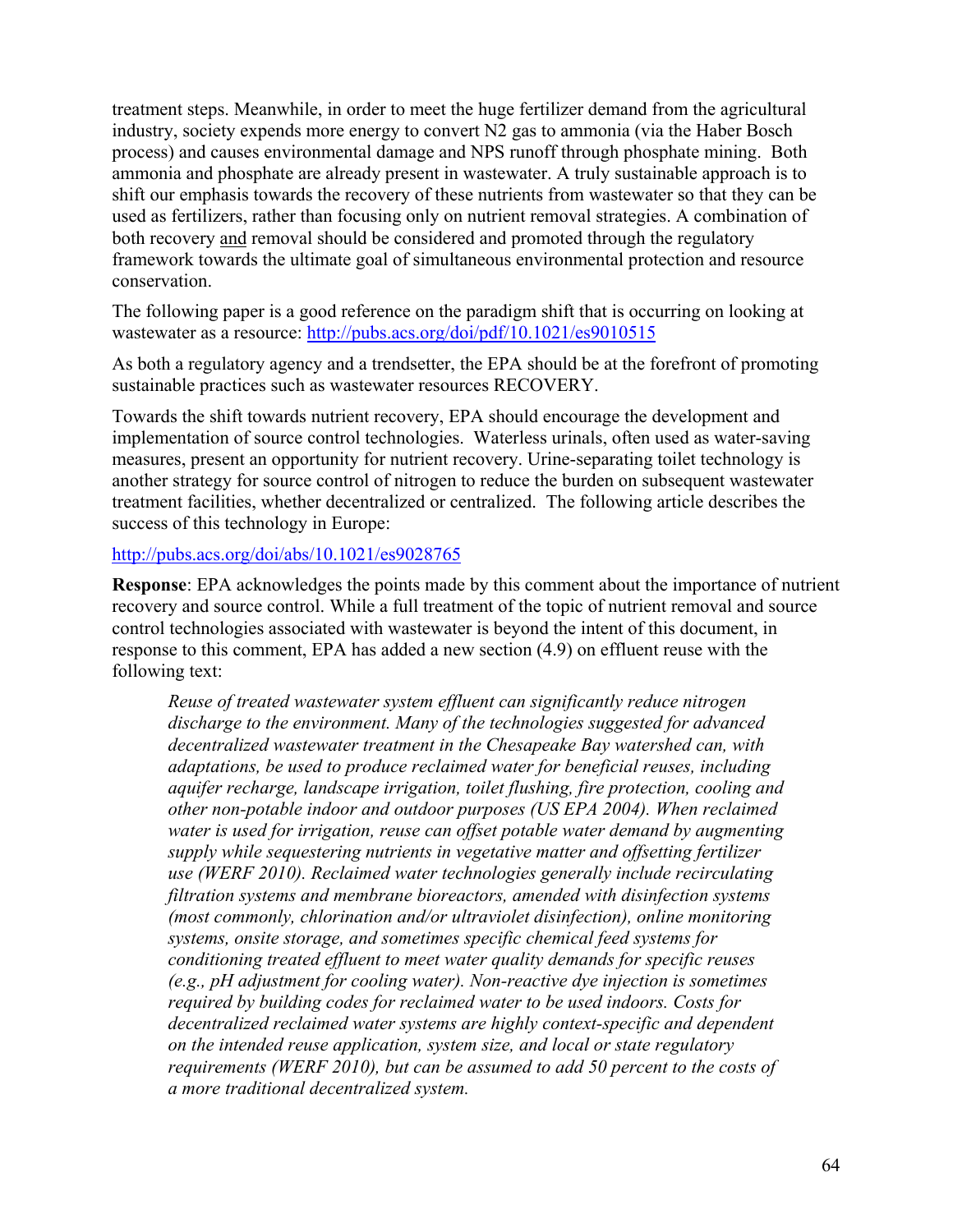treatment steps. Meanwhile, in order to meet the huge fertilizer demand from the agricultural industry, society expends more energy to convert N2 gas to ammonia (via the Haber Bosch process) and causes environmental damage and NPS runoff through phosphate mining. Both ammonia and phosphate are already present in wastewater. A truly sustainable approach is to shift our emphasis towards the recovery of these nutrients from wastewater so that they can be used as fertilizers, rather than focusing only on nutrient removal strategies. A combination of both recovery and removal should be considered and promoted through the regulatory framework towards the ultimate goal of simultaneous environmental protection and resource conservation.

The following paper is a good reference on the paradigm shift that is occurring on looking at wastewater as a resource:<http://pubs.acs.org/doi/pdf/10.1021/es9010515>

As both a regulatory agency and a trendsetter, the EPA should be at the forefront of promoting sustainable practices such as wastewater resources RECOVERY.

Towards the shift towards nutrient recovery, EPA should encourage the development and implementation of source control technologies. Waterless urinals, often used as water-saving measures, present an opportunity for nutrient recovery. Urine-separating toilet technology is another strategy for source control of nitrogen to reduce the burden on subsequent wastewater treatment facilities, whether decentralized or centralized. The following article describes the success of this technology in Europe:

#### <http://pubs.acs.org/doi/abs/10.1021/es9028765>

**Response**: EPA acknowledges the points made by this comment about the importance of nutrient recovery and source control. While a full treatment of the topic of nutrient removal and source control technologies associated with wastewater is beyond the intent of this document, in response to this comment, EPA has added a new section (4.9) on effluent reuse with the following text:

*Reuse of treated wastewater system effluent can significantly reduce nitrogen discharge to the environment. Many of the technologies suggested for advanced decentralized wastewater treatment in the Chesapeake Bay watershed can, with adaptations, be used to produce reclaimed water for beneficial reuses, including aquifer recharge, landscape irrigation, toilet flushing, fire protection, cooling and other non-potable indoor and outdoor purposes (US EPA 2004). When reclaimed water is used for irrigation, reuse can offset potable water demand by augmenting supply while sequestering nutrients in vegetative matter and offsetting fertilizer use (WERF 2010). Reclaimed water technologies generally include recirculating filtration systems and membrane bioreactors, amended with disinfection systems (most commonly, chlorination and/or ultraviolet disinfection), online monitoring systems, onsite storage, and sometimes specific chemical feed systems for conditioning treated effluent to meet water quality demands for specific reuses (e.g., pH adjustment for cooling water). Non-reactive dye injection is sometimes required by building codes for reclaimed water to be used indoors. Costs for decentralized reclaimed water systems are highly context-specific and dependent on the intended reuse application, system size, and local or state regulatory requirements (WERF 2010), but can be assumed to add 50 percent to the costs of a more traditional decentralized system.*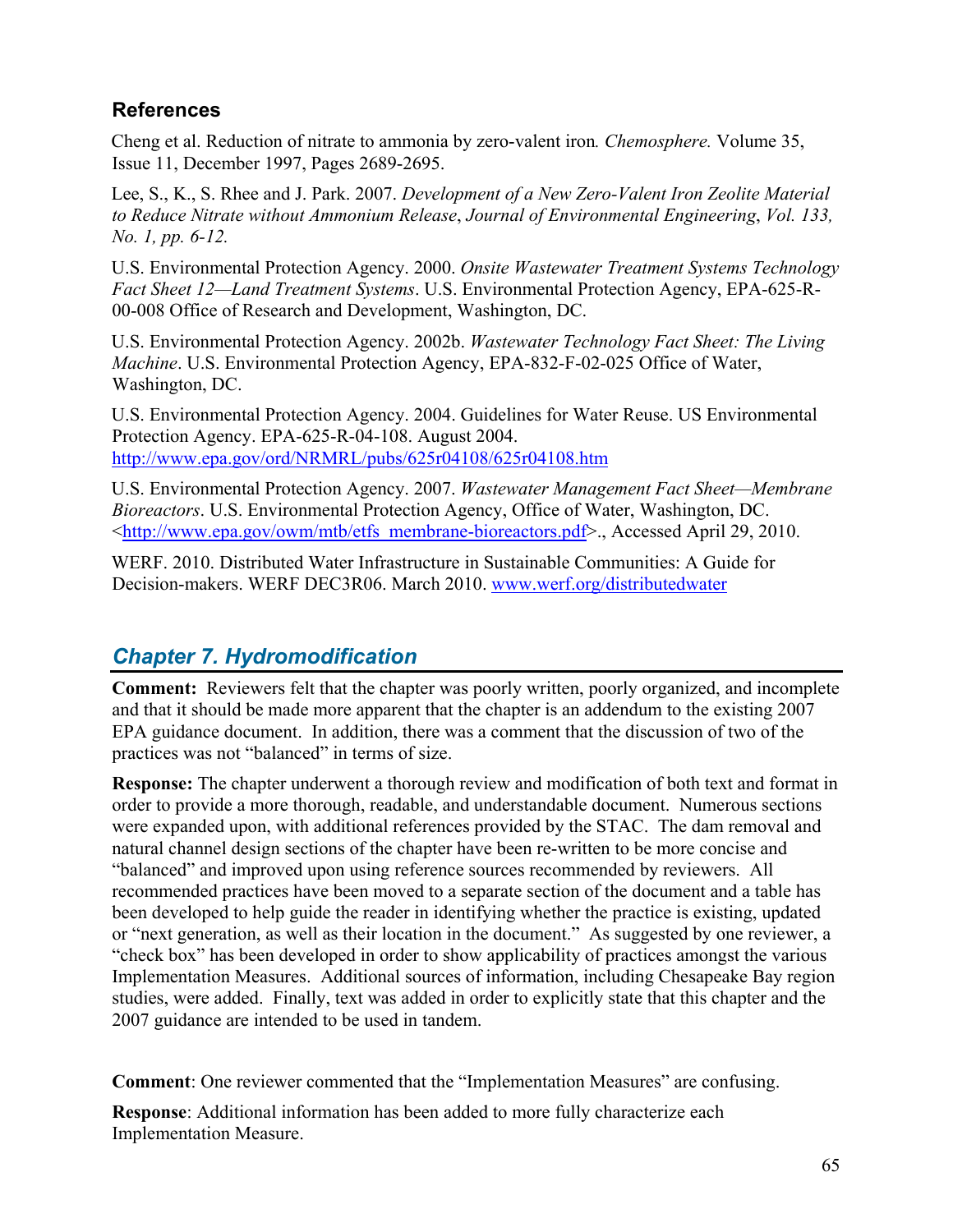# <span id="page-64-0"></span>**References**

Cheng et al. Reduction of nitrate to ammonia by zero-valent iron*. [Chemosphere.](http://www.sciencedirect.com/science/journal/00456535)* [Volume 35,](http://www.sciencedirect.com/science?_ob=PublicationURL&_tockey=%23TOC%235832%231997%23999649988%2315518%23FLP%23&_cdi=5832&_pubType=J&view=c&_auth=y&_acct=C000050221&_version=1&_urlVersion=0&_userid=10&md5=7363d6595ea1b493714c2c973b4b07b5)  [Issue 11,](http://www.sciencedirect.com/science?_ob=PublicationURL&_tockey=%23TOC%235832%231997%23999649988%2315518%23FLP%23&_cdi=5832&_pubType=J&view=c&_auth=y&_acct=C000050221&_version=1&_urlVersion=0&_userid=10&md5=7363d6595ea1b493714c2c973b4b07b5) December 1997, Pages 2689-2695.

Lee, S., K., S. Rhee and J. Park. 2007. *Development of a New Zero-Valent Iron Zeolite Material to Reduce Nitrate without Ammonium Release*, *Journal of Environmental Engineering*, *Vol. 133, No. 1, pp. 6-12.*

U.S. Environmental Protection Agency. 2000. *Onsite Wastewater Treatment Systems Technology Fact Sheet 12—Land Treatment Systems*. U.S. Environmental Protection Agency, EPA-625-R-00-008 Office of Research and Development, Washington, DC.

U.S. Environmental Protection Agency. 2002b. *Wastewater Technology Fact Sheet: The Living Machine*. U.S. Environmental Protection Agency, EPA-832-F-02-025 Office of Water, Washington, DC.

U.S. Environmental Protection Agency. 2004. Guidelines for Water Reuse. US Environmental Protection Agency. EPA-625-R-04-108. August 2004. <http://www.epa.gov/ord/NRMRL/pubs/625r04108/625r04108.htm>

U.S. Environmental Protection Agency. 2007. *Wastewater Management Fact Sheet—Membrane Bioreactors*. U.S. Environmental Protection Agency, Office of Water, Washington, DC. <[http://www.epa.gov/owm/mtb/etfs\\_membrane-bioreactors.pdf>](http://www.epa.gov/owm/mtb/etfs_membrane-bioreactors.pdf)., Accessed April 29, 2010.

WERF. 2010. Distributed Water Infrastructure in Sustainable Communities: A Guide for Decision-makers. WERF DEC3R06. March 2010. [www.werf.org/distributedwater](http://www.werf.org/distributedwater)

# <span id="page-64-1"></span>*Chapter 7. Hydromodification*

**Comment:** Reviewers felt that the chapter was poorly written, poorly organized, and incomplete and that it should be made more apparent that the chapter is an addendum to the existing 2007 EPA guidance document. In addition, there was a comment that the discussion of two of the practices was not "balanced" in terms of size.

**Response:** The chapter underwent a thorough review and modification of both text and format in order to provide a more thorough, readable, and understandable document. Numerous sections were expanded upon, with additional references provided by the STAC. The dam removal and natural channel design sections of the chapter have been re-written to be more concise and "balanced" and improved upon using reference sources recommended by reviewers. All recommended practices have been moved to a separate section of the document and a table has been developed to help guide the reader in identifying whether the practice is existing, updated or "next generation, as well as their location in the document." As suggested by one reviewer, a "check box" has been developed in order to show applicability of practices amongst the various Implementation Measures. Additional sources of information, including Chesapeake Bay region studies, were added. Finally, text was added in order to explicitly state that this chapter and the 2007 guidance are intended to be used in tandem.

**Comment**: One reviewer commented that the "Implementation Measures" are confusing.

**Response**: Additional information has been added to more fully characterize each Implementation Measure.